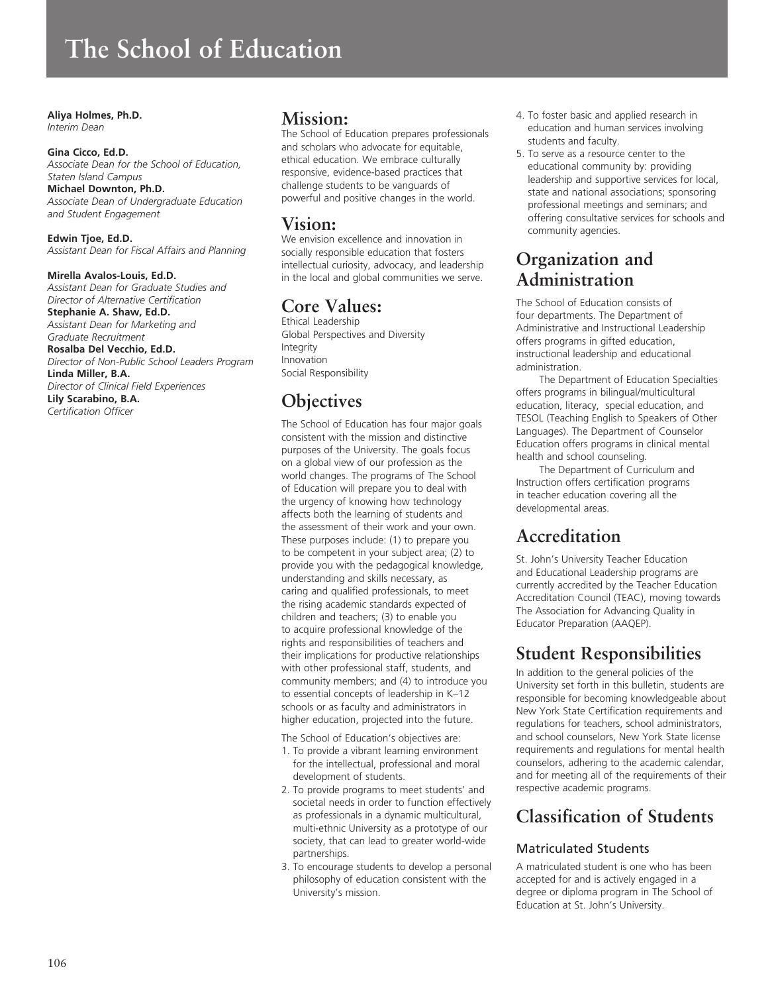# **The School of Education**

## **Aliya Holmes, Ph.D.**

*Interim Dean*

#### **Gina Cicco, Ed.D.**

*Associate Dean for the School of Education, Staten Island Campus*  **Michael Downton, Ph.D.** *Associate Dean of Undergraduate Education* 

**Edwin Tjoe, Ed.D.** *Assistant Dean for Fiscal Affairs and Planning*

#### **Mirella Avalos-Louis, Ed.D.**

*and Student Engagement*

*Assistant Dean for Graduate Studies and Director of Alternative Certification* **Stephanie A. Shaw, Ed.D.**

*Assistant Dean for Marketing and Graduate Recruitment* **Rosalba Del Vecchio, Ed.D.**

*Director of Non-Public School Leaders Program* **Linda Miller, B.A.** *Director of Clinical Field Experiences* **Lily Scarabino, B.A.**

*Certification Officer*

## **Mission:**

The School of Education prepares professionals and scholars who advocate for equitable, ethical education. We embrace culturally responsive, evidence-based practices that challenge students to be vanguards of powerful and positive changes in the world.

# **Vision:**

We envision excellence and innovation in socially responsible education that fosters intellectual curiosity, advocacy, and leadership in the local and global communities we serve.

# **Core Values:**

Ethical Leadership Global Perspectives and Diversity Integrity Innovation Social Responsibility

# **Objectives**

The School of Education has four major goals consistent with the mission and distinctive purposes of the University. The goals focus on a global view of our profession as the world changes. The programs of The School of Education will prepare you to deal with the urgency of knowing how technology affects both the learning of students and the assessment of their work and your own. These purposes include: (1) to prepare you to be competent in your subject area; (2) to provide you with the pedagogical knowledge, understanding and skills necessary, as caring and qualified professionals, to meet the rising academic standards expected of children and teachers; (3) to enable you to acquire professional knowledge of the rights and responsibilities of teachers and their implications for productive relationships with other professional staff, students, and community members; and (4) to introduce you to essential concepts of leadership in K–12 schools or as faculty and administrators in higher education, projected into the future.

The School of Education's objectives are:

- 1. To provide a vibrant learning environment for the intellectual, professional and moral development of students.
- 2. To provide programs to meet students' and societal needs in order to function effectively as professionals in a dynamic multicultural, multi-ethnic University as a prototype of our society, that can lead to greater world-wide partnerships.
- 3. To encourage students to develop a personal philosophy of education consistent with the University's mission.
- 4. To foster basic and applied research in education and human services involving students and faculty.
- 5. To serve as a resource center to the educational community by: providing leadership and supportive services for local, state and national associations; sponsoring professional meetings and seminars; and offering consultative services for schools and community agencies.

# **Organization and Administration**

The School of Education consists of four departments. The Department of Administrative and Instructional Leadership offers programs in gifted education, instructional leadership and educational administration.

The Department of Education Specialties offers programs in bilingual/multicultural education, literacy, special education, and TESOL (Teaching English to Speakers of Other Languages). The Department of Counselor Education offers programs in clinical mental health and school counseling.

The Department of Curriculum and Instruction offers certification programs in teacher education covering all the developmental areas.

# **Accreditation**

St. John's University Teacher Education and Educational Leadership programs are currently accredited by the Teacher Education Accreditation Council (TEAC), moving towards The Association for Advancing Quality in Educator Preparation (AAQEP).

# **Student Responsibilities**

In addition to the general policies of the University set forth in this bulletin, students are responsible for becoming knowledgeable about New York State Certification requirements and regulations for teachers, school administrators, and school counselors, New York State license requirements and regulations for mental health counselors, adhering to the academic calendar, and for meeting all of the requirements of their respective academic programs.

# **Classification of Students**

## Matriculated Students

A matriculated student is one who has been accepted for and is actively engaged in a degree or diploma program in The School of Education at St. John's University.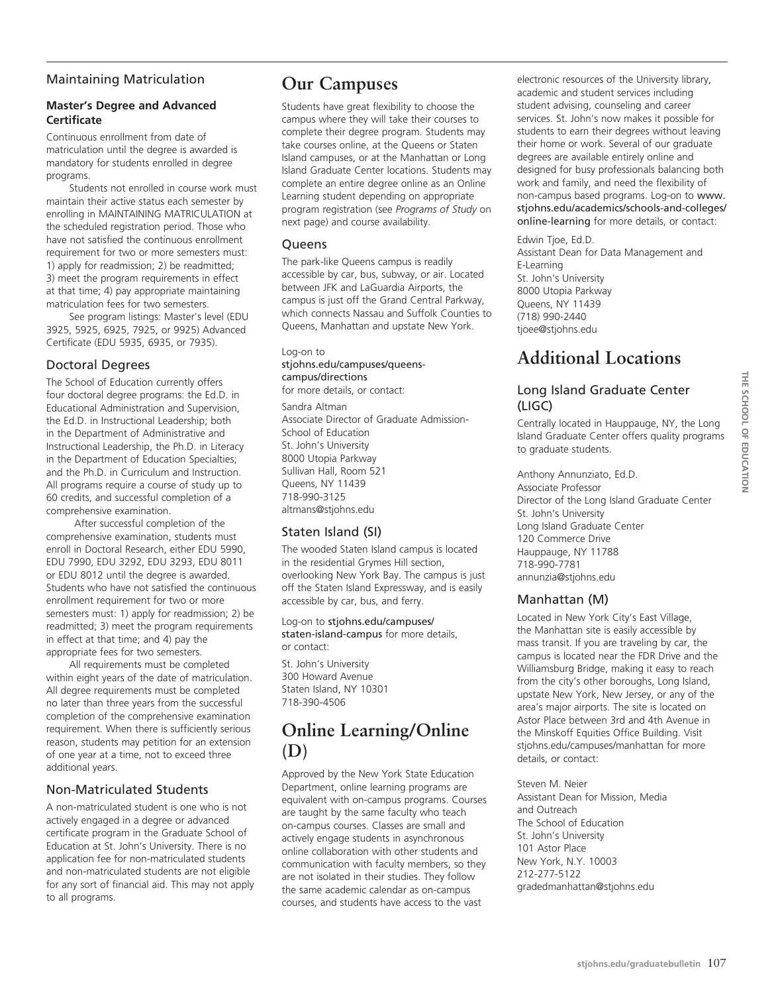## Maintaining Matriculation

### **Master's Degree and Advanced Certificate**

Continuous enrollment from date of matriculation until the degree is awarded is mandatory for students enrolled in degree programs.

Students not enrolled in course work must maintain their active status each semester by enrolling in MAINTAINING MATRICULATION at the scheduled registration period. Those who have not satisfied the continuous enrollment requirement for two or more semesters must: 1) apply for readmission; 2) be readmitted; 3) meet the program requirements in effect at that time; 4) pay appropriate maintaining matriculation fees for two semesters.

See program listings: Master's level (EDU 3925, 5925, 6925, 7925, or 9925) Advanced Certificate (EDU 5935, 6935, or 7935).

## Doctoral Degrees

The School of Education currently offers four doctoral degree programs: the Ed.D. in Educational Administration and Supervision, the Ed.D. in Instructional Leadership; both in the Department of Administrative and Instructional Leadership, the Ph.D. in Literacy in the Department of Education Specialties; and the Ph.D. in Curriculum and Instruction. All programs require a course of study up to 60 credits, and successful completion of a comprehensive examination.

 After successful completion of the comprehensive examination, students must enroll in Doctoral Research, either EDU 5990, EDU 7990, EDU 3292, EDU 3293, EDU 8011 or EDU 8012 until the degree is awarded. Students who have not satisfied the continuous enrollment requirement for two or more semesters must: 1) apply for readmission; 2) be readmitted; 3) meet the program requirements in effect at that time; and 4) pay the appropriate fees for two semesters.

All requirements must be completed within eight years of the date of matriculation. All degree requirements must be completed no later than three years from the successful completion of the comprehensive examination requirement. When there is sufficiently serious reason, students may petition for an extension of one year at a time, not to exceed three additional years.

## Non-Matriculated Students

A non-matriculated student is one who is not actively engaged in a degree or advanced certificate program in the Graduate School of Education at St. John's University. There is no application fee for non-matriculated students and non-matriculated students are not eligible for any sort of financial aid. This may not apply to all programs.

## **Our Campuses**

Students have great flexibility to choose the campus where they will take their courses to complete their degree program. Students may take courses online, at the Queens or Staten Island campuses, or at the Manhattan or Long Island Graduate Center locations. Students may complete an entire degree online as an Online Learning student depending on appropriate program registration (see *Programs of Study* on next page) and course availability.

## **Queens**

The park-like Queens campus is readily accessible by car, bus, subway, or air. Located between JFK and LaGuardia Airports, the campus is just off the Grand Central Parkway, which connects Nassau and Suffolk Counties to Queens, Manhattan and upstate New York.

## Log-on to

## stjohns.edu/campuses/queenscampus/directions

for more details, or contact:

Sandra Altman Associate Director of Graduate Admission-School of Education St. John's University 8000 Utopia Parkway Sullivan Hall, Room 521 Queens, NY 11439 718-990-3125 altmans@stjohns.edu

## Staten Island (SI)

The wooded Staten Island campus is located in the residential Grymes Hill section, overlooking New York Bay. The campus is just off the Staten Island Expressway, and is easily accessible by car, bus, and ferry.

Log-on to stjohns.edu/campuses/ staten-island-campus for more details, or contact:

St. John's University 300 Howard Avenue Staten Island, NY 10301 718-390-4506

# **Online Learning/Online (D)**

Approved by the New York State Education Department, online learning programs are equivalent with on-campus programs. Courses are taught by the same faculty who teach on-campus courses. Classes are small and actively engage students in asynchronous online collaboration with other students and communication with faculty members, so they are not isolated in their studies. They follow the same academic calendar as on-campus courses, and students have access to the vast

electronic resources of the University library, academic and student services including student advising, counseling and career services. St. John's now makes it possible for students to earn their degrees without leaving their home or work. Several of our graduate degrees are available entirely online and designed for busy professionals balancing both work and family, and need the flexibility of non-campus based programs. Log-on to www. stjohns.edu/academics/schools-and-colleges/ online-learning for more details, or contact:

Edwin Tjoe, Ed.D. Assistant Dean for Data Management and E-Learning St. John's University 8000 Utopia Parkway Queens, NY 11439 (718) 990-2440 tjoee@stjohns.edu

# **Additional Locations**

## Long Island Graduate Center (LIGC)

Centrally located in Hauppauge, NY, the Long Island Graduate Center offers quality programs to graduate students.

Anthony Annunziato, Ed.D. Associate Professor Director of the Long Island Graduate Center St. John's University Long Island Graduate Center 120 Commerce Drive Hauppauge, NY 11788 718-990-7781 annunzia@stjohns.edu

## Manhattan (M)

Located in New York City's East Village, the Manhattan site is easily accessible by mass transit. If you are traveling by car, the campus is located near the FDR Drive and the Williamsburg Bridge, making it easy to reach from the city's other boroughs, Long Island, upstate New York, New Jersey, or any of the area's major airports. The site is located on Astor Place between 3rd and 4th Avenue in the Minskoff Equities Office Building. Visit stjohns.edu/campuses/manhattan for more details, or contact:

Steven M. Neier Assistant Dean for Mission, Media and Outreach The School of Education St. John's University 101 Astor Place New York, N.Y. 10003 212-277-5122 gradedmanhattan@stjohns.edu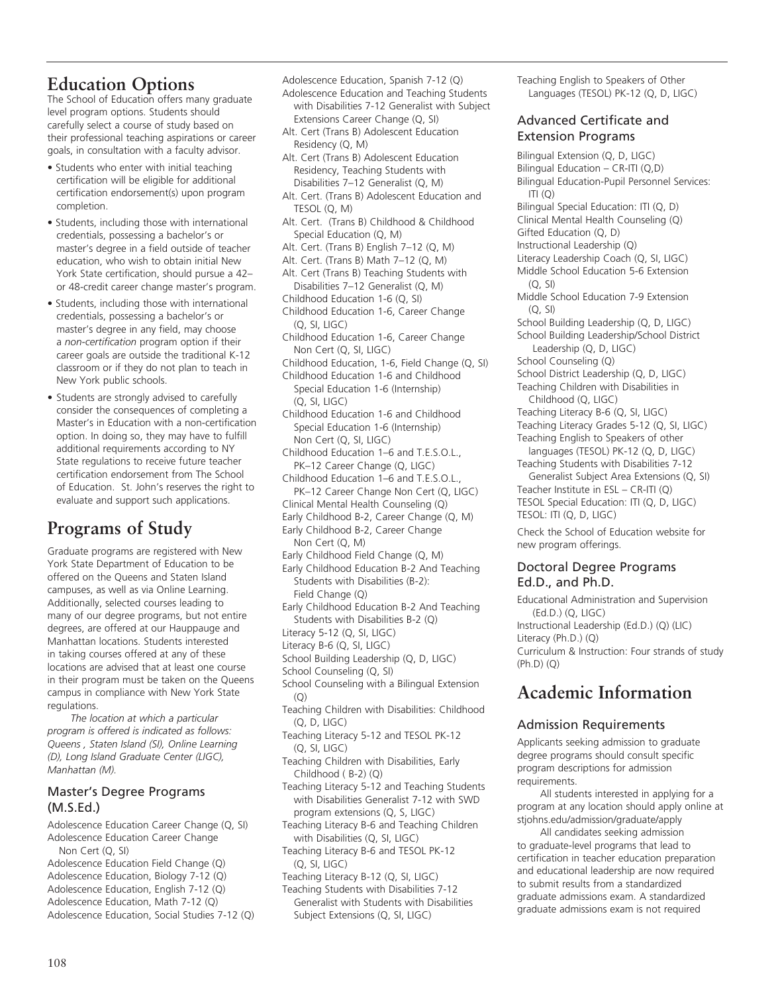## **Education Options**

The School of Education offers many graduate level program options. Students should carefully select a course of study based on their professional teaching aspirations or career goals, in consultation with a faculty advisor.

- Students who enter with initial teaching certification will be eligible for additional certification endorsement(s) upon program completion.
- Students, including those with international credentials, possessing a bachelor's or master's degree in a field outside of teacher education, who wish to obtain initial New York State certification, should pursue a 42– or 48-credit career change master's program.
- Students, including those with international credentials, possessing a bachelor's or master's degree in any field, may choose a *non-certification* program option if their career goals are outside the traditional K-12 classroom or if they do not plan to teach in New York public schools.
- Students are strongly advised to carefully consider the consequences of completing a Master's in Education with a non-certification option. In doing so, they may have to fulfill additional requirements according to NY State regulations to receive future teacher certification endorsement from The School of Education. St. John's reserves the right to evaluate and support such applications.

# **Programs of Study**

Graduate programs are registered with New York State Department of Education to be offered on the Queens and Staten Island campuses, as well as via Online Learning. Additionally, selected courses leading to many of our degree programs, but not entire degrees, are offered at our Hauppauge and Manhattan locations. Students interested in taking courses offered at any of these locations are advised that at least one course in their program must be taken on the Queens campus in compliance with New York State regulations.

*The location at which a particular program is offered is indicated as follows: Queens , Staten Island (SI), Online Learning (D), Long Island Graduate Center (LIGC), Manhattan (M).*

## Master's Degree Programs (M.S.Ed.)

- Adolescence Education Career Change (Q, SI) Adolescence Education Career Change Non Cert (Q, SI) Adolescence Education Field Change (Q)
- Adolescence Education, Biology 7-12 (Q) Adolescence Education, English 7-12 (Q) Adolescence Education, Math 7-12 (Q) Adolescence Education, Social Studies 7-12 (Q)

Adolescence Education, Spanish 7-12 (Q)

Adolescence Education and Teaching Students with Disabilities 7-12 Generalist with Subject Extensions Career Change (Q, SI)

- Alt. Cert (Trans B) Adolescent Education Residency (Q, M)
- Alt. Cert (Trans B) Adolescent Education Residency, Teaching Students with Disabilities 7–12 Generalist (Q, M)
- Alt. Cert. (Trans B) Adolescent Education and TESOL (Q, M)
- Alt. Cert. (Trans B) Childhood & Childhood Special Education (Q, M)
- Alt. Cert. (Trans B) English 7–12 (Q, M)
- Alt. Cert. (Trans B) Math 7–12 (Q, M)
- Alt. Cert (Trans B) Teaching Students with Disabilities 7–12 Generalist (Q, M)
- Childhood Education 1-6 (Q, SI)
- Childhood Education 1-6, Career Change (Q, SI, LIGC)
- Childhood Education 1-6, Career Change Non Cert (Q, SI, LIGC)
- Childhood Education, 1-6, Field Change (Q, SI)
- Childhood Education 1-6 and Childhood Special Education 1-6 (Internship) (Q, SI, LIGC)
- Childhood Education 1-6 and Childhood Special Education 1-6 (Internship) Non Cert (Q, SI, LIGC)
- Childhood Education 1–6 and T.E.S.O.L., PK–12 Career Change (Q, LIGC)
- Childhood Education 1–6 and T.E.S.O.L., PK–12 Career Change Non Cert (Q, LIGC) Clinical Mental Health Counseling (Q)
- Early Childhood B-2, Career Change (Q, M)
- Early Childhood B-2, Career Change Non Cert (Q, M)
- Early Childhood Field Change (Q, M)
- Early Childhood Education B-2 And Teaching Students with Disabilities (B-2): Field Change (Q)
- Early Childhood Education B-2 And Teaching Students with Disabilities B-2 (Q)
- Literacy 5-12 (Q, SI, LIGC)
- Literacy B-6 (Q, SI, LIGC)
- School Building Leadership (Q, D, LIGC)
- School Counseling (Q, SI)
- School Counseling with a Bilingual Extension  $(O)$
- Teaching Children with Disabilities: Childhood (Q, D, LIGC)
- Teaching Literacy 5-12 and TESOL PK-12 (Q, SI, LIGC)
- Teaching Children with Disabilities, Early Childhood ( B-2) (Q)
- Teaching Literacy 5-12 and Teaching Students with Disabilities Generalist 7-12 with SWD program extensions (Q, S, LIGC)
- Teaching Literacy B-6 and Teaching Children with Disabilities (Q, SI, LIGC)
- Teaching Literacy B-6 and TESOL PK-12 (Q, SI, LIGC)
- Teaching Literacy B-12 (Q, SI, LIGC)
- Teaching Students with Disabilities 7-12 Generalist with Students with Disabilities Subject Extensions (Q, SI, LIGC)

Teaching English to Speakers of Other Languages (TESOL) PK-12 (Q, D, LIGC)

## Advanced Certificate and Extension Programs

Bilingual Extension (Q, D, LIGC) Bilingual Education – CR-ITI (Q,D) Bilingual Education-Pupil Personnel Services: ITI (Q) Bilingual Special Education: ITI (Q, D) Clinical Mental Health Counseling (Q) Gifted Education (Q, D) Instructional Leadership (Q) Literacy Leadership Coach (Q, SI, LIGC) Middle School Education 5-6 Extension (Q, SI) Middle School Education 7-9 Extension  $(O, SI)$ School Building Leadership (Q, D, LIGC) School Building Leadership/School District Leadership (Q, D, LIGC) School Counseling (Q) School District Leadership (Q, D, LIGC) Teaching Children with Disabilities in Childhood (Q, LIGC) Teaching Literacy B-6 (Q, SI, LIGC) Teaching Literacy Grades 5-12 (Q, SI, LIGC) Teaching English to Speakers of other languages (TESOL) PK-12 (Q, D, LIGC) Teaching Students with Disabilities 7-12 Generalist Subject Area Extensions (Q, SI) Teacher Institute in ESL – CR-ITI (Q) TESOL Special Education: ITI (Q, D, LIGC) TESOL: ITI (Q, D, LIGC) Check the School of Education website for new program offerings.

## Doctoral Degree Programs Ed.D., and Ph.D.

Educational Administration and Supervision (Ed.D.) (Q, LIGC) Instructional Leadership (Ed.D.) (Q) (LIC) Literacy (Ph.D.) (Q) Curriculum & Instruction: Four strands of study (Ph.D) (Q)

# **Academic Information**

## Admission Requirements

Applicants seeking admission to graduate degree programs should consult specific program descriptions for admission requirements.

All students interested in applying for a program at any location should apply online at stjohns.edu/admission/graduate/apply

All candidates seeking admission to graduate-level programs that lead to certification in teacher education preparation and educational leadership are now required to submit results from a standardized graduate admissions exam. A standardized graduate admissions exam is not required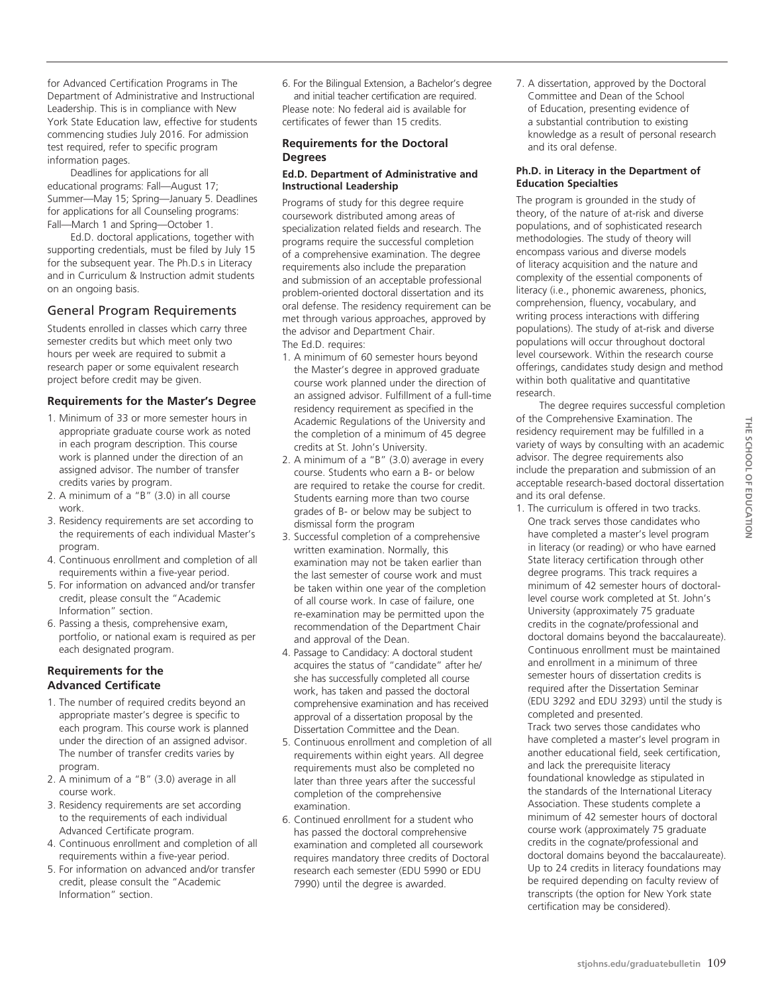for Advanced Certification Programs in The Department of Administrative and Instructional Leadership. This is in compliance with New York State Education law, effective for students commencing studies July 2016. For admission test required, refer to specific program information pages.

Deadlines for applications for all educational programs: Fall—August 17; Summer—May 15; Spring—January 5. Deadlines for applications for all Counseling programs: Fall—March 1 and Spring—October 1.

Ed.D. doctoral applications, together with supporting credentials, must be filed by July 15 for the subsequent year. The Ph.D.s in Literacy and in Curriculum & Instruction admit students on an ongoing basis.

#### General Program Requirements

Students enrolled in classes which carry three semester credits but which meet only two hours per week are required to submit a research paper or some equivalent research project before credit may be given.

#### **Requirements for the Master's Degree**

- 1. Minimum of 33 or more semester hours in appropriate graduate course work as noted in each program description. This course work is planned under the direction of an assigned advisor. The number of transfer credits varies by program.
- 2. A minimum of a  $"B"$  (3.0) in all course work.
- 3. Residency requirements are set according to the requirements of each individual Master's program.
- 4. Continuous enrollment and completion of all requirements within a five-year period.
- 5. For information on advanced and/or transfer credit, please consult the "Academic Information" section.
- 6. Passing a thesis, comprehensive exam, portfolio, or national exam is required as per each designated program.

#### **Requirements for the Advanced Certificate**

- 1. The number of required credits beyond an appropriate master's degree is specific to each program. This course work is planned under the direction of an assigned advisor. The number of transfer credits varies by program.
- 2. A minimum of a "B" (3.0) average in all course work.
- 3. Residency requirements are set according to the requirements of each individual Advanced Certificate program.
- 4. Continuous enrollment and completion of all requirements within a five-year period.
- 5. For information on advanced and/or transfer credit, please consult the "Academic Information" section.

6. For the Bilingual Extension, a Bachelor's degree and initial teacher certification are required. Please note: No federal aid is available for certificates of fewer than 15 credits.

#### **Requirements for the Doctoral Degrees**

#### **Ed.D. Department of Administrative and Instructional Leadership**

Programs of study for this degree require coursework distributed among areas of specialization related fields and research. The programs require the successful completion of a comprehensive examination. The degree requirements also include the preparation and submission of an acceptable professional problem-oriented doctoral dissertation and its oral defense. The residency requirement can be met through various approaches, approved by the advisor and Department Chair. The Ed.D. requires:

- 1. A minimum of 60 semester hours beyond the Master's degree in approved graduate course work planned under the direction of an assigned advisor. Fulfillment of a full-time residency requirement as specified in the Academic Regulations of the University and the completion of a minimum of 45 degree credits at St. John's University.
- 2. A minimum of a "B" (3.0) average in every course. Students who earn a B- or below are required to retake the course for credit. Students earning more than two course grades of B- or below may be subject to dismissal form the program
- 3. Successful completion of a comprehensive written examination. Normally, this examination may not be taken earlier than the last semester of course work and must be taken within one year of the completion of all course work. In case of failure, one re-examination may be permitted upon the recommendation of the Department Chair and approval of the Dean.
- 4. Passage to Candidacy: A doctoral student acquires the status of "candidate" after he/ she has successfully completed all course work, has taken and passed the doctoral comprehensive examination and has received approval of a dissertation proposal by the Dissertation Committee and the Dean.
- 5. Continuous enrollment and completion of all requirements within eight years. All degree requirements must also be completed no later than three years after the successful completion of the comprehensive examination.
- 6. Continued enrollment for a student who has passed the doctoral comprehensive examination and completed all coursework requires mandatory three credits of Doctoral research each semester (EDU 5990 or EDU 7990) until the degree is awarded.

7. A dissertation, approved by the Doctoral Committee and Dean of the School of Education, presenting evidence of a substantial contribution to existing knowledge as a result of personal research and its oral defense.

#### **Ph.D. in Literacy in the Department of Education Specialties**

The program is grounded in the study of theory, of the nature of at-risk and diverse populations, and of sophisticated research methodologies. The study of theory will encompass various and diverse models of literacy acquisition and the nature and complexity of the essential components of literacy (i.e., phonemic awareness, phonics, comprehension, fluency, vocabulary, and writing process interactions with differing populations). The study of at-risk and diverse populations will occur throughout doctoral level coursework. Within the research course offerings, candidates study design and method within both qualitative and quantitative research.

The degree requires successful completion of the Comprehensive Examination. The residency requirement may be fulfilled in a variety of ways by consulting with an academic advisor. The degree requirements also include the preparation and submission of an acceptable research-based doctoral dissertation and its oral defense.

1. The curriculum is offered in two tracks. One track serves those candidates who have completed a master's level program in literacy (or reading) or who have earned State literacy certification through other degree programs. This track requires a minimum of 42 semester hours of doctorallevel course work completed at St. John's University (approximately 75 graduate credits in the cognate/professional and doctoral domains beyond the baccalaureate). Continuous enrollment must be maintained and enrollment in a minimum of three semester hours of dissertation credits is required after the Dissertation Seminar (EDU 3292 and EDU 3293) until the study is completed and presented. Track two serves those candidates who have completed a master's level program in another educational field, seek certification, and lack the prerequisite literacy foundational knowledge as stipulated in the standards of the International Literacy Association. These students complete a minimum of 42 semester hours of doctoral course work (approximately 75 graduate credits in the cognate/professional and doctoral domains beyond the baccalaureate). Up to 24 credits in literacy foundations may be required depending on faculty review of transcripts (the option for New York state certification may be considered).

THE SCHOOL OF EDUCATION **school of Education**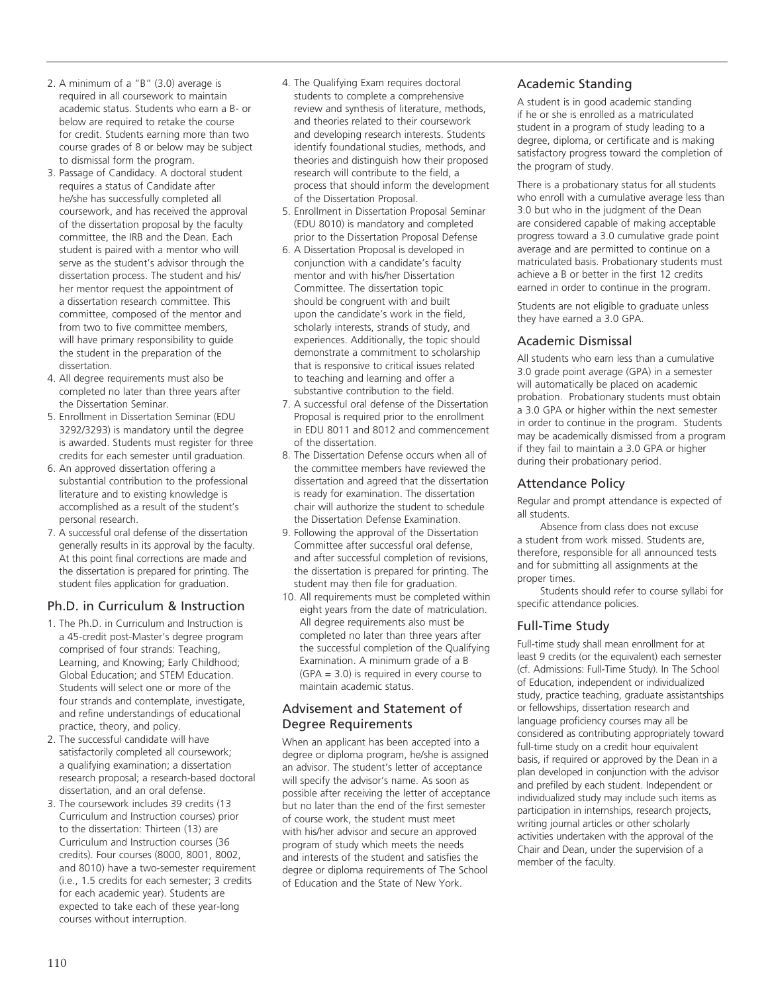- 2. A minimum of a "B" (3.0) average is required in all coursework to maintain academic status. Students who earn a B- or below are required to retake the course for credit. Students earning more than two course grades of 8 or below may be subject to dismissal form the program.
- 3. Passage of Candidacy. A doctoral student requires a status of Candidate after he/she has successfully completed all coursework, and has received the approval of the dissertation proposal by the faculty committee, the IRB and the Dean. Each student is paired with a mentor who will serve as the student's advisor through the dissertation process. The student and his/ her mentor request the appointment of a dissertation research committee. This committee, composed of the mentor and from two to five committee members, will have primary responsibility to guide the student in the preparation of the dissertation.
- 4. All degree requirements must also be completed no later than three years after the Dissertation Seminar.
- 5. Enrollment in Dissertation Seminar (EDU 3292/3293) is mandatory until the degree is awarded. Students must register for three credits for each semester until graduation.
- 6. An approved dissertation offering a substantial contribution to the professional literature and to existing knowledge is accomplished as a result of the student's personal research.
- 7. A successful oral defense of the dissertation generally results in its approval by the faculty. At this point final corrections are made and the dissertation is prepared for printing. The student files application for graduation.

## Ph.D. in Curriculum & Instruction

- 1. The Ph.D. in Curriculum and Instruction is a 45-credit post-Master's degree program comprised of four strands: Teaching, Learning, and Knowing; Early Childhood; Global Education; and STEM Education. Students will select one or more of the four strands and contemplate, investigate, and refine understandings of educational practice, theory, and policy.
- 2. The successful candidate will have satisfactorily completed all coursework; a qualifying examination; a dissertation research proposal; a research-based doctoral dissertation, and an oral defense.
- 3. The coursework includes 39 credits (13 Curriculum and Instruction courses) prior to the dissertation: Thirteen (13) are Curriculum and Instruction courses (36 credits). Four courses (8000, 8001, 8002, and 8010) have a two-semester requirement (i.e., 1.5 credits for each semester; 3 credits for each academic year). Students are expected to take each of these year-long courses without interruption.
- 4. The Qualifying Exam requires doctoral students to complete a comprehensive review and synthesis of literature, methods, and theories related to their coursework and developing research interests. Students identify foundational studies, methods, and theories and distinguish how their proposed research will contribute to the field, a process that should inform the development of the Dissertation Proposal.
- 5. Enrollment in Dissertation Proposal Seminar (EDU 8010) is mandatory and completed prior to the Dissertation Proposal Defense
- 6. A Dissertation Proposal is developed in conjunction with a candidate's faculty mentor and with his/her Dissertation Committee. The dissertation topic should be congruent with and built upon the candidate's work in the field, scholarly interests, strands of study, and experiences. Additionally, the topic should demonstrate a commitment to scholarship that is responsive to critical issues related to teaching and learning and offer a substantive contribution to the field.
- 7. A successful oral defense of the Dissertation Proposal is required prior to the enrollment in EDU 8011 and 8012 and commencement of the dissertation.
- 8. The Dissertation Defense occurs when all of the committee members have reviewed the dissertation and agreed that the dissertation is ready for examination. The dissertation chair will authorize the student to schedule the Dissertation Defense Examination.
- 9. Following the approval of the Dissertation Committee after successful oral defense, and after successful completion of revisions, the dissertation is prepared for printing. The student may then file for graduation.
- 10. All requirements must be completed within eight years from the date of matriculation. All degree requirements also must be completed no later than three years after the successful completion of the Qualifying Examination. A minimum grade of a B (GPA = 3.0) is required in every course to maintain academic status.

## Advisement and Statement of Degree Requirements

When an applicant has been accepted into a degree or diploma program, he/she is assigned an advisor. The student's letter of acceptance will specify the advisor's name. As soon as possible after receiving the letter of acceptance but no later than the end of the first semester of course work, the student must meet with his/her advisor and secure an approved program of study which meets the needs and interests of the student and satisfies the degree or diploma requirements of The School of Education and the State of New York.

## Academic Standing

A student is in good academic standing if he or she is enrolled as a matriculated student in a program of study leading to a degree, diploma, or certificate and is making satisfactory progress toward the completion of the program of study.

There is a probationary status for all students who enroll with a cumulative average less than 3.0 but who in the judgment of the Dean are considered capable of making acceptable progress toward a 3.0 cumulative grade point average and are permitted to continue on a matriculated basis. Probationary students must achieve a B or better in the first 12 credits earned in order to continue in the program.

Students are not eligible to graduate unless they have earned a 3.0 GPA.

## Academic Dismissal

All students who earn less than a cumulative 3.0 grade point average (GPA) in a semester will automatically be placed on academic probation. Probationary students must obtain a 3.0 GPA or higher within the next semester in order to continue in the program. Students may be academically dismissed from a program if they fail to maintain a 3.0 GPA or higher during their probationary period.

## Attendance Policy

Regular and prompt attendance is expected of all students.

Absence from class does not excuse a student from work missed. Students are, therefore, responsible for all announced tests and for submitting all assignments at the proper times.

Students should refer to course syllabi for specific attendance policies.

## Full-Time Study

Full-time study shall mean enrollment for at least 9 credits (or the equivalent) each semester (cf. Admissions: Full-Time Study). In The School of Education, independent or individualized study, practice teaching, graduate assistantships or fellowships, dissertation research and language proficiency courses may all be considered as contributing appropriately toward full-time study on a credit hour equivalent basis, if required or approved by the Dean in a plan developed in conjunction with the advisor and prefiled by each student. Independent or individualized study may include such items as participation in internships, research projects, writing journal articles or other scholarly activities undertaken with the approval of the Chair and Dean, under the supervision of a member of the faculty.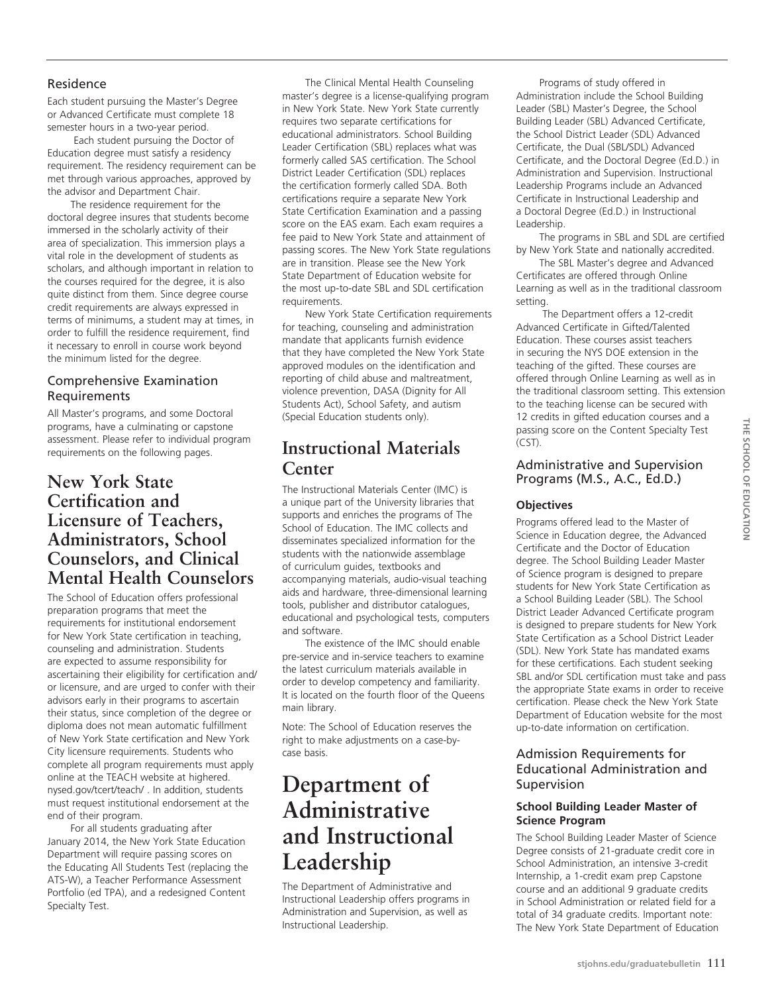## Residence

Each student pursuing the Master's Degree or Advanced Certificate must complete 18 semester hours in a two-year period.

 Each student pursuing the Doctor of Education degree must satisfy a residency requirement. The residency requirement can be met through various approaches, approved by the advisor and Department Chair.

The residence requirement for the doctoral degree insures that students become immersed in the scholarly activity of their area of specialization. This immersion plays a vital role in the development of students as scholars, and although important in relation to the courses required for the degree, it is also quite distinct from them. Since degree course credit requirements are always expressed in terms of minimums, a student may at times, in order to fulfill the residence requirement, find it necessary to enroll in course work beyond the minimum listed for the degree.

## Comprehensive Examination Requirements

All Master's programs, and some Doctoral programs, have a culminating or capstone assessment. Please refer to individual program requirements on the following pages.

## **New York State Certification and Licensure of Teachers, Administrators, School Counselors, and Clinical Mental Health Counselors**

The School of Education offers professional preparation programs that meet the requirements for institutional endorsement for New York State certification in teaching, counseling and administration. Students are expected to assume responsibility for ascertaining their eligibility for certification and/ or licensure, and are urged to confer with their advisors early in their programs to ascertain their status, since completion of the degree or diploma does not mean automatic fulfillment of New York State certification and New York City licensure requirements. Students who complete all program requirements must apply online at the TEACH website at highered. nysed.gov/tcert/teach/ . In addition, students must request institutional endorsement at the end of their program.

For all students graduating after January 2014, the New York State Education Department will require passing scores on the Educating All Students Test (replacing the ATS-W), a Teacher Performance Assessment Portfolio (ed TPA), and a redesigned Content Specialty Test.

The Clinical Mental Health Counseling master's degree is a license-qualifying program in New York State. New York State currently requires two separate certifications for educational administrators. School Building Leader Certification (SBL) replaces what was formerly called SAS certification. The School District Leader Certification (SDL) replaces the certification formerly called SDA. Both certifications require a separate New York State Certification Examination and a passing score on the EAS exam. Each exam requires a fee paid to New York State and attainment of passing scores. The New York State regulations are in transition. Please see the New York State Department of Education website for the most up-to-date SBL and SDL certification requirements.

New York State Certification requirements for teaching, counseling and administration mandate that applicants furnish evidence that they have completed the New York State approved modules on the identification and reporting of child abuse and maltreatment, violence prevention, DASA (Dignity for All Students Act), School Safety, and autism (Special Education students only).

# **Instructional Materials Center**

The Instructional Materials Center (IMC) is a unique part of the University libraries that supports and enriches the programs of The School of Education. The IMC collects and disseminates specialized information for the students with the nationwide assemblage of curriculum guides, textbooks and accompanying materials, audio-visual teaching aids and hardware, three-dimensional learning tools, publisher and distributor catalogues, educational and psychological tests, computers and software.

The existence of the IMC should enable pre-service and in-service teachers to examine the latest curriculum materials available in order to develop competency and familiarity. It is located on the fourth floor of the Queens main library.

Note: The School of Education reserves the right to make adjustments on a case-bycase basis.

# **Department of Administrative and Instructional Leadership**

The Department of Administrative and Instructional Leadership offers programs in Administration and Supervision, as well as Instructional Leadership.

Programs of study offered in Administration include the School Building Leader (SBL) Master's Degree, the School Building Leader (SBL) Advanced Certificate, the School District Leader (SDL) Advanced Certificate, the Dual (SBL/SDL) Advanced Certificate, and the Doctoral Degree (Ed.D.) in Administration and Supervision. Instructional Leadership Programs include an Advanced Certificate in Instructional Leadership and a Doctoral Degree (Ed.D.) in Instructional Leadership.

The programs in SBL and SDL are certified by New York State and nationally accredited.

The SBL Master's degree and Advanced Certificates are offered through Online Learning as well as in the traditional classroom setting.

 The Department offers a 12-credit Advanced Certificate in Gifted/Talented Education. These courses assist teachers in securing the NYS DOE extension in the teaching of the gifted. These courses are offered through Online Learning as well as in the traditional classroom setting. This extension to the teaching license can be secured with 12 credits in gifted education courses and a passing score on the Content Specialty Test (CST).

## Administrative and Supervision Programs (M.S., A.C., Ed.D.)

## **Objectives**

Programs offered lead to the Master of Science in Education degree, the Advanced Certificate and the Doctor of Education degree. The School Building Leader Master of Science program is designed to prepare students for New York State Certification as a School Building Leader (SBL). The School District Leader Advanced Certificate program is designed to prepare students for New York State Certification as a School District Leader (SDL). New York State has mandated exams for these certifications. Each student seeking SBL and/or SDL certification must take and pass the appropriate State exams in order to receive certification. Please check the New York State Department of Education website for the most up-to-date information on certification.

## Admission Requirements for Educational Administration and Supervision

## **School Building Leader Master of Science Program**

The School Building Leader Master of Science Degree consists of 21-graduate credit core in School Administration, an intensive 3-credit Internship, a 1-credit exam prep Capstone course and an additional 9 graduate credits in School Administration or related field for a total of 34 graduate credits. Important note: The New York State Department of Education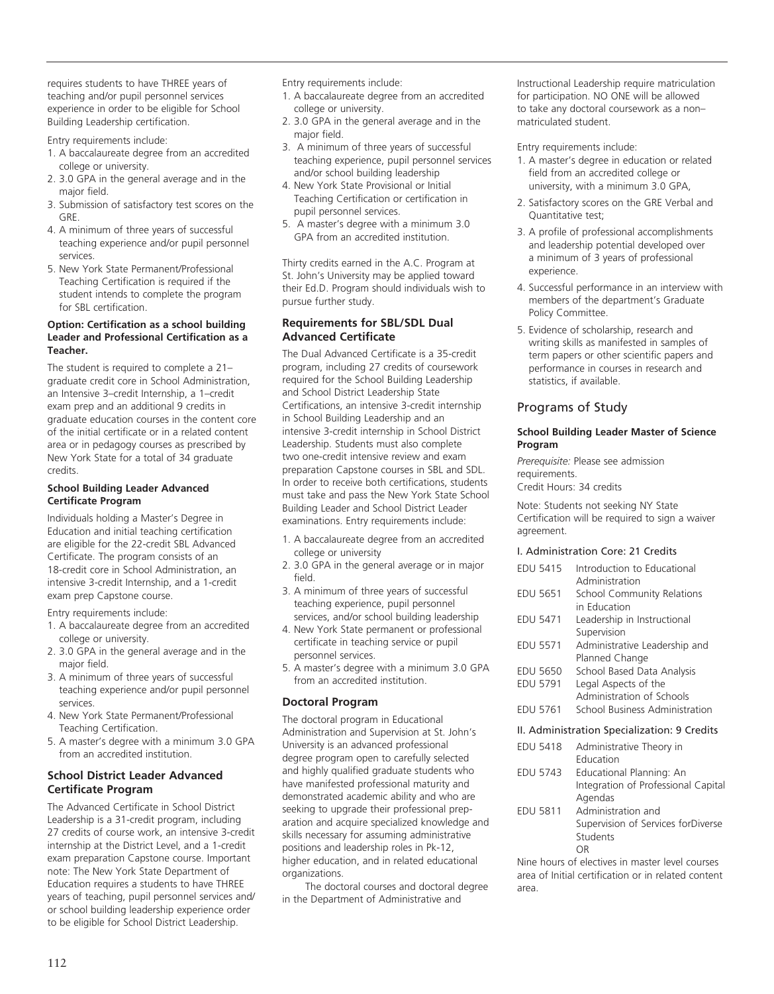requires students to have THREE years of teaching and/or pupil personnel services experience in order to be eligible for School Building Leadership certification.

Entry requirements include:

- 1. A baccalaureate degree from an accredited college or university.
- 2. 3.0 GPA in the general average and in the major field.
- 3. Submission of satisfactory test scores on the GRE.
- 4. A minimum of three years of successful teaching experience and/or pupil personnel services.
- 5. New York State Permanent/Professional Teaching Certification is required if the student intends to complete the program for SBL certification.

#### **Option: Certification as a school building Leader and Professional Certification as a Teacher.**

The student is required to complete a 21– graduate credit core in School Administration, an Intensive 3–credit Internship, a 1–credit exam prep and an additional 9 credits in graduate education courses in the content core of the initial certificate or in a related content area or in pedagogy courses as prescribed by New York State for a total of 34 graduate credits.

#### **School Building Leader Advanced Certificate Program**

Individuals holding a Master's Degree in Education and initial teaching certification are eligible for the 22-credit SBL Advanced Certificate. The program consists of an 18-credit core in School Administration, an intensive 3-credit Internship, and a 1-credit exam prep Capstone course.

Entry requirements include:

- 1. A baccalaureate degree from an accredited college or university.
- 2. 3.0 GPA in the general average and in the major field.
- 3. A minimum of three years of successful teaching experience and/or pupil personnel services.
- 4. New York State Permanent/Professional Teaching Certification.
- 5. A master's degree with a minimum 3.0 GPA from an accredited institution.

#### **School District Leader Advanced Certificate Program**

The Advanced Certificate in School District Leadership is a 31-credit program, including 27 credits of course work, an intensive 3-credit internship at the District Level, and a 1-credit exam preparation Capstone course. Important note: The New York State Department of Education requires a students to have THREE years of teaching, pupil personnel services and/ or school building leadership experience order to be eligible for School District Leadership.

Entry requirements include:

- 1. A baccalaureate degree from an accredited college or university.
- 2. 3.0 GPA in the general average and in the major field.
- 3. A minimum of three years of successful teaching experience, pupil personnel services and/or school building leadership
- 4. New York State Provisional or Initial Teaching Certification or certification in pupil personnel services.
- 5. A master's degree with a minimum 3.0 GPA from an accredited institution.

Thirty credits earned in the A.C. Program at St. John's University may be applied toward their Ed.D. Program should individuals wish to pursue further study.

## **Requirements for SBL/SDL Dual Advanced Certificate**

The Dual Advanced Certificate is a 35-credit program, including 27 credits of coursework required for the School Building Leadership and School District Leadership State Certifications, an intensive 3-credit internship in School Building Leadership and an intensive 3-credit internship in School District Leadership. Students must also complete two one-credit intensive review and exam preparation Capstone courses in SBL and SDL. In order to receive both certifications, students must take and pass the New York State School Building Leader and School District Leader examinations. Entry requirements include:

- 1. A baccalaureate degree from an accredited college or university
- 2. 3.0 GPA in the general average or in major field.
- 3. A minimum of three years of successful teaching experience, pupil personnel services, and/or school building leadership
- 4. New York State permanent or professional certificate in teaching service or pupil personnel services.
- 5. A master's degree with a minimum 3.0 GPA from an accredited institution.

## **Doctoral Program**

The doctoral program in Educational Administration and Supervision at St. John's University is an advanced professional degree program open to carefully selected and highly qualified graduate students who have manifested professional maturity and demonstrated academic ability and who are seeking to upgrade their professional preparation and acquire specialized knowledge and skills necessary for assuming administrative positions and leadership roles in Pk-12, higher education, and in related educational organizations.

The doctoral courses and doctoral degree in the Department of Administrative and

Instructional Leadership require matriculation for participation. NO ONE will be allowed to take any doctoral coursework as a non– matriculated student.

Entry requirements include:

- 1. A master's degree in education or related field from an accredited college or university, with a minimum 3.0 GPA,
- 2. Satisfactory scores on the GRE Verbal and Quantitative test;
- 3. A profile of professional accomplishments and leadership potential developed over a minimum of 3 years of professional experience.
- 4. Successful performance in an interview with members of the department's Graduate Policy Committee.
- 5. Evidence of scholarship, research and writing skills as manifested in samples of term papers or other scientific papers and performance in courses in research and statistics, if available.

## Programs of Study

#### **School Building Leader Master of Science Program**

*Prerequisite:* Please see admission requirements. Credit Hours: 34 credits

Note: Students not seeking NY State Certification will be required to sign a waiver agreement.

#### I. Administration Core: 21 Credits

| <b>EDU 5415</b> | Introduction to Educational<br>Administration |
|-----------------|-----------------------------------------------|
| EDU 5651        | <b>School Community Relations</b>             |
|                 | in Education                                  |
| EDU 5471        | Leadership in Instructional<br>Supervision    |
| <b>EDU 5571</b> | Administrative Leadership and                 |
|                 | Planned Change                                |
| EDU 5650        | School Based Data Analysis                    |
| <b>EDU 5791</b> | Legal Aspects of the                          |
|                 | Administration of Schools                     |
| EDU 5761        | School Business Administration                |
|                 | II. Administration Specialization: 9 Credits  |
| EDU 5418        | Administrative Theory in<br>Education         |
|                 |                                               |

|          | Education                           |
|----------|-------------------------------------|
| EDU 5743 | Educational Planning: An            |
|          | Integration of Professional Capital |
|          | Agendas                             |
| EDU 5811 | Administration and                  |
|          | Supervision of Services forDiverse  |
|          | Students                            |
|          |                                     |

Nine hours of electives in master level courses area of Initial certification or in related content area.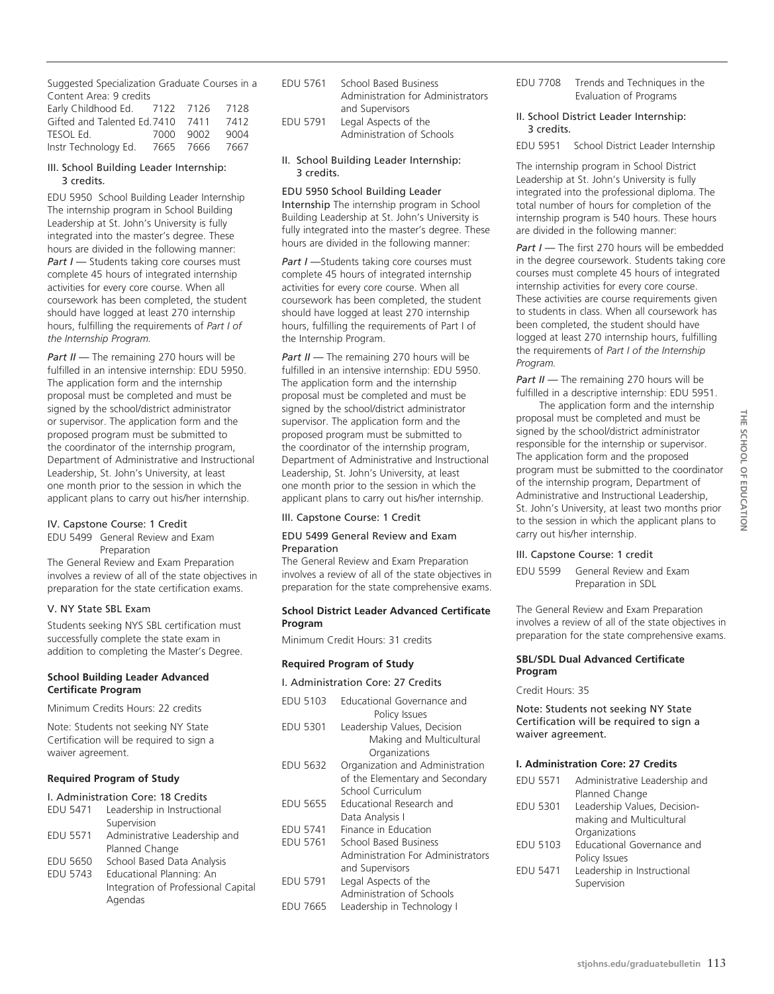Suggested Specialization Graduate Courses in a Content Area: 9 credits

| Early Childhood Ed.          | 7122 7126 |           | 7128 |
|------------------------------|-----------|-----------|------|
| Gifted and Talented Ed. 7410 |           | 7411      | 7412 |
| TESOL Ed.                    | 7000 9002 |           | 9004 |
| Instr Technology Ed.         |           | 7665 7666 | 7667 |

#### III. School Building Leader Internship: 3 credits.

EDU 5950 School Building Leader Internship The internship program in School Building Leadership at St. John's University is fully integrated into the master's degree. These hours are divided in the following manner: *Part I — Students taking core courses must* complete 45 hours of integrated internship activities for every core course. When all coursework has been completed, the student should have logged at least 270 internship hours, fulfilling the requirements of *Part I of the Internship Program.* 

*Part II* — The remaining 270 hours will be fulfilled in an intensive internship: EDU 5950. The application form and the internship proposal must be completed and must be signed by the school/district administrator or supervisor. The application form and the proposed program must be submitted to the coordinator of the internship program, Department of Administrative and Instructional Leadership, St. John's University, at least one month prior to the session in which the applicant plans to carry out his/her internship.

#### IV. Capstone Course: 1 Credit

EDU 5499 General Review and Exam Preparation The General Review and Exam Preparation involves a review of all of the state objectives in preparation for the state certification exams.

#### V. NY State SBL Exam

Students seeking NYS SBL certification must successfully complete the state exam in addition to completing the Master's Degree.

#### **School Building Leader Advanced Certificate Program**

Minimum Credits Hours: 22 credits

Note: Students not seeking NY State Certification will be required to sign a waiver agreement.

#### **Required Program of Study**

#### I. Administration Core: 18 Credits

Agendas

| EDU 5471        | Leadership in Instructional         |
|-----------------|-------------------------------------|
|                 | Supervision                         |
| <b>EDU 5571</b> | Administrative Leadership and       |
|                 | Planned Change                      |
| <b>EDU 5650</b> | School Based Data Analysis          |
| <b>EDU 5743</b> | Educational Planning: An            |
|                 | Integration of Professional Capital |

- EDU 5761 School Based Business Administration for Administrators and Supervisors EDU 5791 Legal Aspects of the
- Administration of Schools
- II. School Building Leader Internship: 3 credits.

#### EDU 5950 School Building Leader

Internship The internship program in School Building Leadership at St. John's University is fully integrated into the master's degree. These hours are divided in the following manner:

**Part I** -Students taking core courses must complete 45 hours of integrated internship activities for every core course. When all coursework has been completed, the student should have logged at least 270 internship hours, fulfilling the requirements of Part I of the Internship Program.

*Part II* — The remaining 270 hours will be fulfilled in an intensive internship: EDU 5950. The application form and the internship proposal must be completed and must be signed by the school/district administrator supervisor. The application form and the proposed program must be submitted to the coordinator of the internship program, Department of Administrative and Instructional Leadership, St. John's University, at least one month prior to the session in which the applicant plans to carry out his/her internship.

#### III. Capstone Course: 1 Credit

#### EDU 5499 General Review and Exam Preparation

The General Review and Exam Preparation involves a review of all of the state objectives in preparation for the state comprehensive exams.

#### **School District Leader Advanced Certificate Program**

Minimum Credit Hours: 31 credits

#### **Required Program of Study**

I. Administration Core: 27 Credits

| <b>EDU 5103</b> | Educational Governance and<br>Policy Issues                                             |
|-----------------|-----------------------------------------------------------------------------------------|
| <b>EDU 5301</b> | Leadership Values, Decision<br>Making and Multicultural<br>Organizations                |
| EDU 5632        | Organization and Administration<br>of the Elementary and Secondary<br>School Curriculum |
| <b>EDU 5655</b> | Educational Research and<br>Data Analysis I                                             |
| <b>EDU 5741</b> | Finance in Education                                                                    |
| EDU 5761        | School Based Business                                                                   |
|                 | Administration For Administrators<br>and Supervisors                                    |
| <b>FDU 5791</b> | Legal Aspects of the<br>Administration of Schools                                       |
| <b>FDU 7665</b> | Leadership in Technology I                                                              |

- EDU 7708 Trends and Techniques in the Evaluation of Programs
- II. School District Leader Internship: 3 credits.

EDU 5951 School District Leader Internship

The internship program in School District Leadership at St. John's University is fully integrated into the professional diploma. The total number of hours for completion of the internship program is 540 hours. These hours are divided in the following manner:

Part I - The first 270 hours will be embedded in the degree coursework. Students taking core courses must complete 45 hours of integrated internship activities for every core course. These activities are course requirements given to students in class. When all coursework has been completed, the student should have logged at least 270 internship hours, fulfilling the requirements of *Part I of the Internship Program.* 

*Part II* — The remaining 270 hours will be fulfilled in a descriptive internship: EDU 5951.

The application form and the internship proposal must be completed and must be signed by the school/district administrator responsible for the internship or supervisor. The application form and the proposed program must be submitted to the coordinator of the internship program, Department of Administrative and Instructional Leadership, St. John's University, at least two months prior to the session in which the applicant plans to carry out his/her internship.

#### III. Capstone Course: 1 credit

EDU 5599 General Review and Exam Preparation in SDL

The General Review and Exam Preparation involves a review of all of the state objectives in preparation for the state comprehensive exams.

#### **SBL/SDL Dual Advanced Certificate Program**

Credit Hours: 35

Note: Students not seeking NY State Certification will be required to sign a waiver agreement.

#### **I. Administration Core: 27 Credits**

| Administrative Leadership and |
|-------------------------------|
| Planned Change                |
| Leadership Values, Decision-  |
| making and Multicultural      |
| Organizations                 |
| Educational Governance and    |
| Policy Issues                 |
| Leadership in Instructional   |
| Supervision                   |
|                               |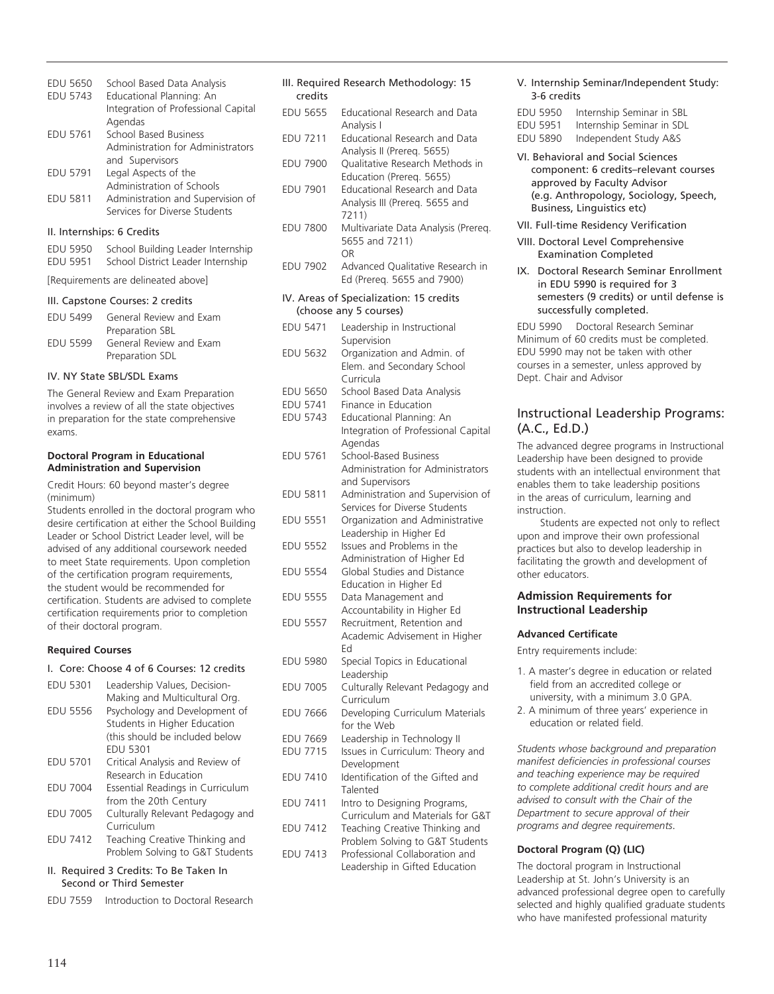| EDU 5650        | School Based Data Analysis                                                                                                                                         |
|-----------------|--------------------------------------------------------------------------------------------------------------------------------------------------------------------|
| <b>EDU 5743</b> | Educational Planning: An                                                                                                                                           |
|                 | Integration of Professional Capital                                                                                                                                |
|                 | Agendas                                                                                                                                                            |
| <b>EDU 5761</b> | <b>School Based Business</b>                                                                                                                                       |
|                 | Administration for Administrators                                                                                                                                  |
|                 | and Supervisors                                                                                                                                                    |
| <b>EDU 5791</b> | Legal Aspects of the                                                                                                                                               |
|                 | Administration of Schools                                                                                                                                          |
| <b>EDU 5811</b> | Administration and Supervision of                                                                                                                                  |
|                 | Services for Diverse Students                                                                                                                                      |
|                 | $\mathbf{u}$ , $\mathbf{u}$ , $\mathbf{u}$ , $\mathbf{u}$ , $\mathbf{u}$ , $\mathbf{u}$ , $\mathbf{u}$ , $\mathbf{u}$ , $\mathbf{u}$ , $\mathbf{u}$ , $\mathbf{u}$ |

#### II. Internships: 6 Credits

| EDU 5950 | School Building Leader Internship |
|----------|-----------------------------------|
| EDU 5951 | School District Leader Internship |
|          |                                   |

[Requirements are delineated above]

#### III. Capstone Courses: 2 credits

| <b>FDU 5499</b> | General Review and Exam |
|-----------------|-------------------------|
|                 | Preparation SBL         |
| <b>FDU 5599</b> | General Review and Exam |
|                 | Preparation SDL         |

#### IV. NY State SBL/SDL Exams

The General Review and Exam Preparation involves a review of all the state objectives in preparation for the state comprehensive exams.

#### **Doctoral Program in Educational Administration and Supervision**

Credit Hours: 60 beyond master's degree (minimum)

Students enrolled in the doctoral program who desire certification at either the School Building Leader or School District Leader level, will be advised of any additional coursework needed to meet State requirements. Upon completion of the certification program requirements, the student would be recommended for certification. Students are advised to complete certification requirements prior to completion of their doctoral program.

#### **Required Courses**

#### I. Core: Choose 4 of 6 Courses: 12 credits

| <b>EDU 5301</b> | Leadership Values, Decision-           |
|-----------------|----------------------------------------|
|                 | Making and Multicultural Org.          |
| <b>EDU 5556</b> | Psychology and Development of          |
|                 | Students in Higher Education           |
|                 | (this should be included below         |
|                 | <b>EDU 5301</b>                        |
| <b>EDU 5701</b> | Critical Analysis and Review of        |
|                 | Research in Education                  |
| <b>EDU 7004</b> | Essential Readings in Curriculum       |
|                 | from the 20th Century                  |
| <b>EDU 7005</b> | Culturally Relevant Pedagogy and       |
|                 | Curriculum                             |
| <b>EDU 7412</b> | Teaching Creative Thinking and         |
|                 | Problem Solving to G&T Students        |
|                 | II. Required 3 Credits: To Be Taken In |

# Second or Third Semester

EDU 7559 Introduction to Doctoral Research

#### III. Required Research Methodology: 15 credits

- EDU 5655 Educational Research and Data Analysis I
- EDU 7211 Educational Research and Data Analysis II (Prereq. 5655)
- EDU 7900 Qualitative Research Methods in Education (Prereq. 5655) EDU 7901 Educational Research and Data Analysis III (Prereq. 5655 and 7211)
- EDU 7800 Multivariate Data Analysis (Prereq. 5655 and 7211) OR
- EDU 7902 Advanced Qualitative Research in Ed (Prereq. 5655 and 7900)

#### IV. Areas of Specialization: 15 credits (choose any 5 courses)

- EDU 5471 Leadership in Instructional Supervision EDU 5632 Organization and Admin. of Elem. and Secondary School Curricula
- EDU 5650 School Based Data Analysis
- EDU 5741 Finance in Education
- EDU 5743 Educational Planning: An Integration of Professional Capital Agendas
- EDU 5761 School-Based Business Administration for Administrators and Supervisors
- EDU 5811 Administration and Supervision of Services for Diverse Students EDU 5551 Organization and Administrative Leadership in Higher Ed EDU 5552 Issues and Problems in the Administration of Higher Ed
- EDU 5554 Global Studies and Distance Education in Higher Ed
- EDU 5555 Data Management and Accountability in Higher Ed
- EDU 5557 Recruitment, Retention and Academic Advisement in Higher Ed
- EDU 5980 Special Topics in Educational Leadership
- EDU 7005 Culturally Relevant Pedagogy and Curriculum
- EDU 7666 Developing Curriculum Materials for the Web
- EDU 7669 Leadership in Technology II EDU 7715 Issues in Curriculum: Theory and
- Development EDU 7410 Identification of the Gifted and
- Talented EDU 7411 Intro to Designing Programs,
- Curriculum and Materials for G&T EDU 7412 Teaching Creative Thinking and
- Problem Solving to G&T Students EDU 7413 Professional Collaboration and
	- Leadership in Gifted Education

#### V. Internship Seminar/Independent Study: 3-6 credits

EDU 5950 Internship Seminar in SBL<br>EDU 5951 Internship Seminar in SDL EDU 5951 Internship Seminar in SDL

Independent Study A&S

- VI. Behavioral and Social Sciences component: 6 credits–relevant courses approved by Faculty Advisor (e.g. Anthropology, Sociology, Speech, Business, Linguistics etc)
- VII. Full-time Residency Verification
- VIII. Doctoral Level Comprehensive Examination Completed
- IX. Doctoral Research Seminar Enrollment in EDU 5990 is required for 3 semesters (9 credits) or until defense is successfully completed.

EDU 5990 Doctoral Research Seminar Minimum of 60 credits must be completed. EDU 5990 may not be taken with other courses in a semester, unless approved by Dept. Chair and Advisor

### Instructional Leadership Programs: (A.C., Ed.D.)

The advanced degree programs in instructional leadership have been designed to provide students with an intellectual environment that enables them to take leadership positions in the areas of curriculum, learning and instruction.

Students are expected not only to reflect upon and improve their own professional practices but also to develop leadership in facilitating the growth and development of other educators.

#### **Admission Requirements for Instructional Leadership**

#### **Advanced Certificate**

Entry requirements include:

- 1. A master's degree in education or related field from an accredited college or university, with a minimum 3.0 GPA.
- 2. A minimum of three years' experience in education or related field.

*Students whose background and preparation manifest deficiencies in professional courses and teaching experience may be required to complete additional credit hours and are advised to consult with the Chair of the Department to secure approval of their programs and degree requirements*.

#### **Doctoral Program (Q) (LIC)**

The doctoral program in Instructional Leadership at St. John's University is an advanced professional degree open to carefully selected and highly qualified graduate students who have manifested professional maturity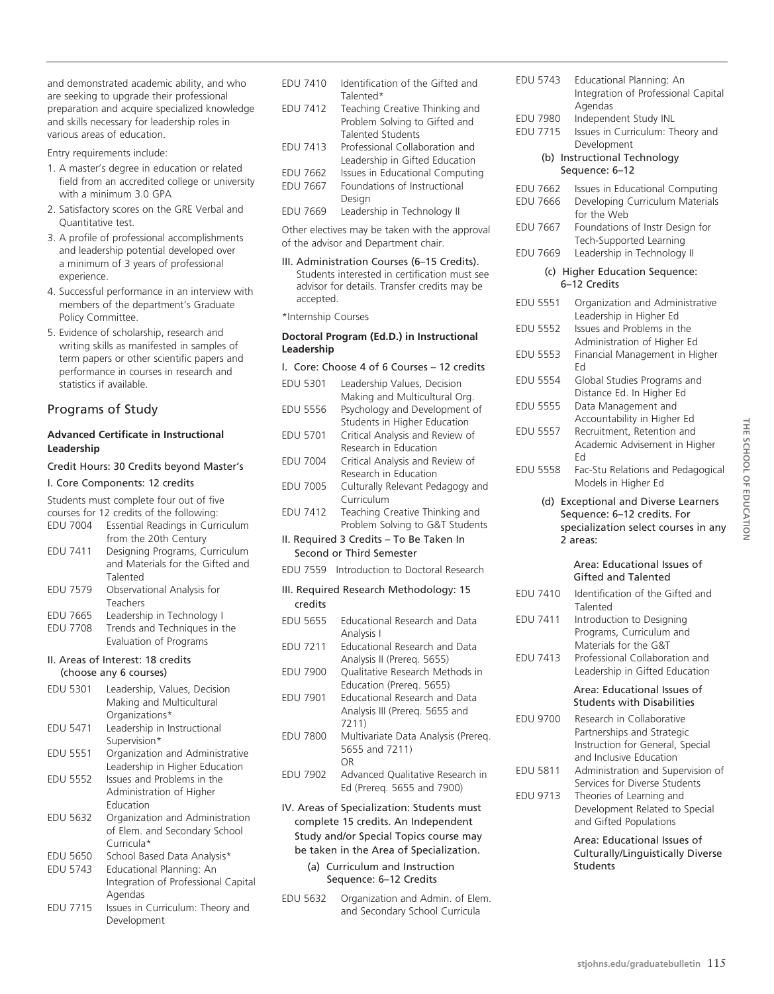and demonstrated academic ability, and who are seeking to upgrade their professional preparation and acquire specialized knowledge and skills necessary for leadership roles in various areas of education.

Entry requirements include:

- 1. A master's degree in education or related field from an accredited college or university with a minimum 3.0 GPA
- 2. Satisfactory scores on the GRE Verbal and Quantitative test.
- 3. A profile of professional accomplishments and leadership potential developed over a minimum of 3 years of professional experience.
- 4. Successful performance in an interview with members of the department's Graduate Policy Committee.
- 5. Evidence of scholarship, research and writing skills as manifested in samples of term papers or other scientific papers and performance in courses in research and statistics if available.

## Programs of Study

#### **Advanced Certificate in Instructional Leadership**

#### Credit Hours: 30 Credits beyond Master's

#### I. Core Components: 12 credits

Students must complete four out of five<br>secured for 12 and its of the following:

|                 | courses for 12 credits of the following: |
|-----------------|------------------------------------------|
| <b>EDU 7004</b> | Essential Readings in Curriculum         |
|                 | from the 20th Century                    |
| EDU 7411        | Designing Programs, Curriculum           |
|                 | and Materials for the Gifted and         |
|                 | Talented                                 |
| <b>EDU 7579</b> | Observational Analysis for               |
|                 | Teachers                                 |
| EDU 7665        | Leadership in Technology I               |
| <b>EDU 7708</b> | Trends and Techniques in the             |
|                 | Evaluation of Programs                   |
|                 |                                          |

#### II. Areas of Interest: 18 credits (choose any 6 courses)

| <b>EDU 5301</b> | Leadership, Values, Decision        |
|-----------------|-------------------------------------|
|                 | Making and Multicultural            |
|                 | Organizations*                      |
| <b>EDU 5471</b> | Leadership in Instructional         |
|                 | Supervision*                        |
| <b>EDU 5551</b> | Organization and Administrative     |
|                 | Leadership in Higher Education      |
| <b>EDU 5552</b> | Issues and Problems in the          |
|                 | Administration of Higher            |
|                 | Education                           |
| <b>EDU 5632</b> | Organization and Administration     |
|                 | of Elem. and Secondary School       |
|                 | Curricula*                          |
| <b>EDU 5650</b> | School Based Data Analysis*         |
| <b>EDU 5743</b> | Educational Planning: An            |
|                 | Integration of Professional Capital |

|          | <u>INCONSTRUCTION CONTROLLER CAPITAL</u> |
|----------|------------------------------------------|
|          | Agendas                                  |
| EDU 7715 | Issues in Curriculum: Theory and         |
|          |                                          |

Development

| <b>FDU 7410</b> | Identification of the Gifted and |
|-----------------|----------------------------------|
|                 | Talented*                        |
| <b>EDU 7412</b> | Teaching Creative Thinking and   |
|                 | Problem Solving to Gifted and    |
|                 | <b>Talented Students</b>         |
| <b>EDU 7413</b> | Professional Collaboration and   |
|                 | Leadership in Gifted Education   |
| EDU 7662        | Issues in Educational Computing  |
| <b>EDU 7667</b> | Foundations of Instructional     |
|                 | Desian                           |

EDU 7669 Leadership in Technology II

Other electives may be taken with the approval of the advisor and Department chair.

- III. Administration Courses (6–15 Credits). Students interested in certification must see advisor for details. Transfer credits may be accepted.
- \*Internship Courses

#### **Doctoral Program (Ed.D.) in Instructional Leadership**

|                                                                                                                                                                        | I. Core: Choose 4 of 6 Courses - 12 credits                                     |
|------------------------------------------------------------------------------------------------------------------------------------------------------------------------|---------------------------------------------------------------------------------|
| <b>EDU 5301</b>                                                                                                                                                        | Leadership Values, Decision<br>Making and Multicultural Org.                    |
| <b>EDU 5556</b>                                                                                                                                                        | Psychology and Development of<br>Students in Higher Education                   |
| <b>EDU 5701</b>                                                                                                                                                        | Critical Analysis and Review of<br>Research in Education                        |
| <b>EDU 7004</b>                                                                                                                                                        | Critical Analysis and Review of<br>Research in Education                        |
| <b>EDU 7005</b>                                                                                                                                                        | Culturally Relevant Pedagogy and<br>Curriculum                                  |
| <b>EDU 7412</b>                                                                                                                                                        | Teaching Creative Thinking and<br>Problem Solving to G&T Students               |
|                                                                                                                                                                        | II. Required 3 Credits - To Be Taken In<br>Second or Third Semester             |
| EDU 7559                                                                                                                                                               | Introduction to Doctoral Research                                               |
| credits                                                                                                                                                                | III. Required Research Methodology: 15                                          |
| <b>EDU 5655</b>                                                                                                                                                        | <b>Educational Research and Data</b><br>Analysis I                              |
| EDU 7211                                                                                                                                                               | Educational Research and Data<br>Analysis II (Prereq. 5655)                     |
| <b>EDU 7900</b>                                                                                                                                                        | Qualitative Research Methods in<br>Education (Prereg. 5655)                     |
| <b>EDU 7901</b>                                                                                                                                                        | <b>Educational Research and Data</b><br>Analysis III (Prereq. 5655 and<br>7211) |
| <b>EDU 7800</b>                                                                                                                                                        | Multivariate Data Analysis (Prereg.<br>5655 and 7211)<br>OR                     |
| <b>EDU 7902</b>                                                                                                                                                        | Advanced Qualitative Research in<br>Ed (Prereq. 5655 and 7900)                  |
| IV. Areas of Specialization: Students must<br>complete 15 credits. An Independent<br>Study and/or Special Topics course may<br>be taken in the Area of Specialization. |                                                                                 |

(a) Curriculum and Instruction Sequence: 6–12 Credits

EDU 5632 Organization and Admin. of Elem. and Secondary School Curricula

| <b>EDU 5743</b>                    | Educational Planning: An<br>Integration of Professional Capital<br>Agendas                                            |
|------------------------------------|-----------------------------------------------------------------------------------------------------------------------|
| <b>EDU 7980</b><br><b>EDU 7715</b> | Independent Study INL<br>Issues in Curriculum: Theory and<br>Development                                              |
|                                    | (b) Instructional Technology<br>Sequence: 6-12                                                                        |
| EDU 7662<br><b>EDU 7666</b>        | Issues in Educational Computing<br>Developing Curriculum Materials<br>for the Web                                     |
| EDU 7667                           | Foundations of Instr Design for<br>Tech-Supported Learning                                                            |
| <b>EDU 7669</b>                    | Leadership in Technology II<br>(c) Higher Education Sequence:                                                         |
|                                    | 6-12 Credits                                                                                                          |
| <b>EDU 5551</b>                    | Organization and Administrative<br>Leadership in Higher Ed                                                            |
| <b>EDU 5552</b>                    | Issues and Problems in the<br>Administration of Higher Ed                                                             |
| <b>EDU 5553</b>                    | Financial Management in Higher<br>Ed                                                                                  |
| <b>EDU 5554</b>                    | Global Studies Programs and<br>Distance Ed. In Higher Ed                                                              |
| <b>EDU 5555</b>                    | Data Management and<br>Accountability in Higher Ed                                                                    |
| <b>EDU 5557</b>                    | Recruitment, Retention and<br>Academic Advisement in Higher<br>Ed                                                     |
| <b>EDU 5558</b>                    | Fac-Stu Relations and Pedagogical<br>Models in Higher Ed                                                              |
|                                    | (d) Exceptional and Diverse Learners                                                                                  |
|                                    | Sequence: 6-12 credits. For<br>specialization select courses in any                                                   |
|                                    | 2 areas:                                                                                                              |
|                                    | Area: Educational Issues of<br>Gifted and Talented                                                                    |
| <b>EDU 7410</b>                    | Identification of the Gifted and<br>Talented                                                                          |
| <b>EDU 7411</b>                    | Introduction to Designing<br>Programs, Curriculum and                                                                 |
| EDU 7413                           | Materials for the G&T<br>Professional Collaboration and<br>Leadership in Gifted Education                             |
|                                    | Area: Educational Issues of<br><b>Students with Disabilities</b>                                                      |
| <b>EDU 9700</b>                    | Research in Collaborative<br>Partnerships and Strategic<br>Instruction for General, Special                           |
| <b>EDU 5811</b>                    | and Inclusive Education<br>Administration and Supervision of                                                          |
| EDU 9713                           | Services for Diverse Students<br>Theories of Learning and<br>Development Related to Special<br>and Gifted Populations |

Area: Educational Issues of Culturally/Linguistically Diverse Students

THE SCHOOL OF EDUCATION **school of Education**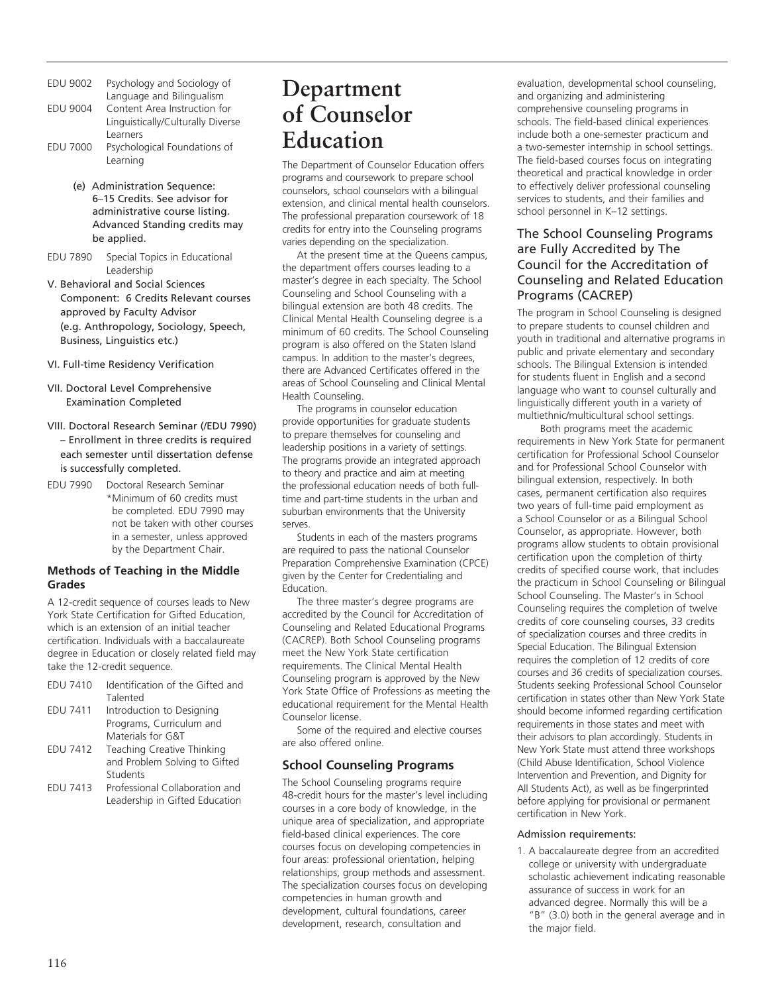- EDU 9002 Psychology and Sociology of Language and Bilingualism
- EDU 9004 Content Area Instruction for Linguistically/Culturally Diverse Learners
- EDU 7000 Psychological Foundations of Learning
	- (e) Administration Sequence: 6–15 Credits. See advisor for administrative course listing. Advanced Standing credits may be applied.
- EDU 7890 Special Topics in Educational Leadership
- V. Behavioral and Social Sciences Component: 6 Credits Relevant courses approved by Faculty Advisor (e.g. Anthropology, Sociology, Speech, Business, Linguistics etc.)
- VI. Full-time Residency Verification
- VII. Doctoral Level Comprehensive Examination Completed
- VIII. Doctoral Research Seminar (/EDU 7990) – Enrollment in three credits is required each semester until dissertation defense is successfully completed.
- EDU 7990 Doctoral Research Seminar \*Minimum of 60 credits must be completed. EDU 7990 may not be taken with other courses in a semester, unless approved by the Department Chair.

## **Methods of Teaching in the Middle Grades**

A 12-credit sequence of courses leads to New York State Certification for Gifted Education, which is an extension of an initial teacher certification. Individuals with a baccalaureate degree in Education or closely related field may take the 12-credit sequence.

- EDU 7410 Identification of the Gifted and Talented
- EDU 7411 Introduction to Designing Programs, Curriculum and Materials for G&T
- EDU 7412 Teaching Creative Thinking and Problem Solving to Gifted Students
- EDU 7413 Professional Collaboration and Leadership in Gifted Education

# **Department of Counselor Education**

The Department of Counselor Education offers programs and coursework to prepare school counselors, school counselors with a bilingual extension, and clinical mental health counselors. The professional preparation coursework of 18 credits for entry into the Counseling programs varies depending on the specialization.

At the present time at the Queens campus, the department offers courses leading to a master's degree in each specialty. The School Counseling and School Counseling with a bilingual extension are both 48 credits. The Clinical Mental Health Counseling degree is a minimum of 60 credits. The School Counseling program is also offered on the Staten Island campus. In addition to the master's degrees, there are Advanced Certificates offered in the areas of School Counseling and Clinical Mental Health Counseling.

The programs in counselor education provide opportunities for graduate students to prepare themselves for counseling and leadership positions in a variety of settings. The programs provide an integrated approach to theory and practice and aim at meeting the professional education needs of both fulltime and part-time students in the urban and suburban environments that the University serves.

Students in each of the masters programs are required to pass the national Counselor Preparation Comprehensive Examination (CPCE) given by the Center for Credentialing and Education.

The three master's degree programs are accredited by the Council for Accreditation of Counseling and Related Educational Programs (CACREP). Both School Counseling programs meet the New York State certification requirements. The Clinical Mental Health Counseling program is approved by the New York State Office of Professions as meeting the educational requirement for the Mental Health Counselor license.

Some of the required and elective courses are also offered online.

## **School Counseling Programs**

The School Counseling programs require 48-credit hours for the master's level including courses in a core body of knowledge, in the unique area of specialization, and appropriate field-based clinical experiences. The core courses focus on developing competencies in four areas: professional orientation, helping relationships, group methods and assessment. The specialization courses focus on developing competencies in human growth and development, cultural foundations, career development, research, consultation and

evaluation, developmental school counseling, and organizing and administering comprehensive counseling programs in schools. The field-based clinical experiences include both a one-semester practicum and a two-semester internship in school settings. The field-based courses focus on integrating theoretical and practical knowledge in order to effectively deliver professional counseling services to students, and their families and school personnel in K–12 settings.

## The School Counseling Programs are Fully Accredited by The Council for the Accreditation of Counseling and Related Education Programs (CACREP)

The program in School Counseling is designed to prepare students to counsel children and youth in traditional and alternative programs in public and private elementary and secondary schools. The Bilingual Extension is intended for students fluent in English and a second language who want to counsel culturally and linguistically different youth in a variety of multiethnic/multicultural school settings.

Both programs meet the academic requirements in New York State for permanent certification for Professional School Counselor and for Professional School Counselor with bilingual extension, respectively. In both cases, permanent certification also requires two years of full-time paid employment as a School Counselor or as a Bilingual School Counselor, as appropriate. However, both programs allow students to obtain provisional certification upon the completion of thirty credits of specified course work, that includes the practicum in School Counseling or Bilingual School Counseling. The Master's in School Counseling requires the completion of twelve credits of core counseling courses, 33 credits of specialization courses and three credits in Special Education. The Bilingual Extension requires the completion of 12 credits of core courses and 36 credits of specialization courses. Students seeking Professional School Counselor certification in states other than New York State should become informed regarding certification requirements in those states and meet with their advisors to plan accordingly. Students in New York State must attend three workshops (Child Abuse Identification, School Violence Intervention and Prevention, and Dignity for All Students Act), as well as be fingerprinted before applying for provisional or permanent certification in New York.

#### Admission requirements:

1. A baccalaureate degree from an accredited college or university with undergraduate scholastic achievement indicating reasonable assurance of success in work for an advanced degree. Normally this will be a "B" (3.0) both in the general average and in the major field.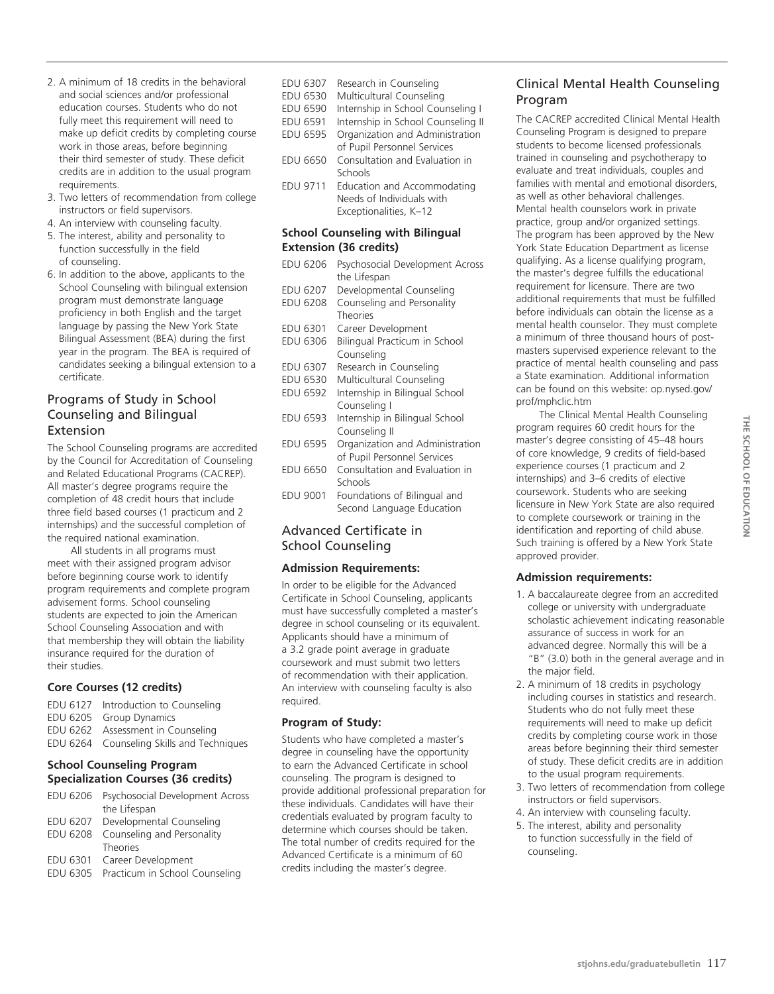- 2. A minimum of 18 credits in the behavioral and social sciences and/or professional education courses. Students who do not fully meet this requirement will need to make up deficit credits by completing course work in those areas, before beginning their third semester of study. These deficit credits are in addition to the usual program requirements.
- 3. Two letters of recommendation from college instructors or field supervisors.
- 4. An interview with counseling faculty.
- 5. The interest, ability and personality to function successfully in the field of counseling.
- 6. In addition to the above, applicants to the School Counseling with bilingual extension program must demonstrate language proficiency in both English and the target language by passing the New York State Bilingual Assessment (BEA) during the first year in the program. The BEA is required of candidates seeking a bilingual extension to a certificate.

## Programs of Study in School Counseling and Bilingual Extension

The School Counseling programs are accredited by the Council for Accreditation of Counseling and Related Educational Programs (CACREP). All master's degree programs require the completion of 48 credit hours that include three field based courses (1 practicum and 2 internships) and the successful completion of the required national examination.

All students in all programs must meet with their assigned program advisor before beginning course work to identify program requirements and complete program advisement forms. School counseling students are expected to join the American School Counseling Association and with that membership they will obtain the liability insurance required for the duration of their studies.

## **Core Courses (12 credits)**

EDU 6127 Introduction to Counseling EDU 6205 Group Dynamics EDU 6262 Assessment in Counseling EDU 6264 Counseling Skills and Techniques

## **School Counseling Program Specialization Courses (36 credits)**

| EDU 6206        | Psychosocial Development Across |
|-----------------|---------------------------------|
|                 | the Lifespan                    |
| EDU 6207        | Developmental Counseling        |
| <b>EDU 6208</b> | Counseling and Personality      |
|                 | <b>Theories</b>                 |
| EDU 6301        | Career Development              |
| EDU 6305        | Practicum in School Counseling  |

EDU 6307 Research in Counseling EDU 6530 Multicultural Counseling EDU 6590 Internship in School Counseling I EDU 6591 Internship in School Counseling II<br>EDU 6595 Organization and Administration Organization and Administration of Pupil Personnel Services EDU 6650 Consultation and Evaluation in Schools EDU 9711 Education and Accommodating Needs of Individuals with Exceptionalities, K–12

#### **School Counseling with Bilingual Extension (36 credits)**

| <b>EDU 6206</b>         | Psychosocial Development Across<br>the Lifespan |
|-------------------------|-------------------------------------------------|
| EDU 6207                | Developmental Counseling                        |
| <b>EDU 6208</b>         | Counseling and Personality<br><b>Theories</b>   |
| EDU 6301                | Career Development                              |
| EDU 6306                | Bilingual Practicum in School                   |
|                         | Counseling                                      |
| EDU 6307                | Research in Counseling                          |
| EDU 6530                | Multicultural Counseling                        |
| EDU 6592                | Internship in Bilingual School                  |
|                         | Counseling I                                    |
| EDU 6593                | Internship in Bilingual School                  |
|                         | Counseling II                                   |
| <b>EDU 6595</b>         | Organization and Administration                 |
|                         | of Pupil Personnel Services                     |
| <b>EDU 6650</b>         | Consultation and Evaluation in                  |
|                         | Schools                                         |
| <b>EDU 9001</b>         | Foundations of Bilingual and                    |
|                         | Second Language Education                       |
| Advanced Certificate in |                                                 |

## Advanced Certificate in School Counseling

## **Admission Requirements:**

In order to be eligible for the Advanced Certificate in School Counseling, applicants must have successfully completed a master's degree in school counseling or its equivalent. Applicants should have a minimum of a 3.2 grade point average in graduate coursework and must submit two letters of recommendation with their application. An interview with counseling faculty is also required.

## **Program of Study:**

Students who have completed a master's degree in counseling have the opportunity to earn the Advanced Certificate in school counseling. The program is designed to provide additional professional preparation for these individuals. Candidates will have their credentials evaluated by program faculty to determine which courses should be taken. The total number of credits required for the Advanced Certificate is a minimum of 60 credits including the master's degree.

## Clinical Mental Health Counseling Program

The CACREP accredited Clinical Mental Health Counseling Program is designed to prepare students to become licensed professionals trained in counseling and psychotherapy to evaluate and treat individuals, couples and families with mental and emotional disorders, as well as other behavioral challenges. Mental health counselors work in private practice, group and/or organized settings. The program has been approved by the New York State Education Department as license qualifying. As a license qualifying program, the master's degree fulfills the educational requirement for licensure. There are two additional requirements that must be fulfilled before individuals can obtain the license as a mental health counselor. They must complete a minimum of three thousand hours of postmasters supervised experience relevant to the practice of mental health counseling and pass a State examination. Additional information can be found on this website: op.nysed.gov/ prof/mphclic.htm

The Clinical Mental Health Counseling program requires 60 credit hours for the master's degree consisting of 45–48 hours of core knowledge, 9 credits of field-based experience courses (1 practicum and 2 internships) and 3–6 credits of elective coursework. Students who are seeking licensure in New York State are also required to complete coursework or training in the identification and reporting of child abuse. Such training is offered by a New York State approved provider.

## **Admission requirements:**

- 1. A baccalaureate degree from an accredited college or university with undergraduate scholastic achievement indicating reasonable assurance of success in work for an advanced degree. Normally this will be a "B" (3.0) both in the general average and in the major field.
- 2. A minimum of 18 credits in psychology including courses in statistics and research. Students who do not fully meet these requirements will need to make up deficit credits by completing course work in those areas before beginning their third semester of study. These deficit credits are in addition to the usual program requirements.
- 3. Two letters of recommendation from college instructors or field supervisors.
- 4. An interview with counseling faculty.
- 5. The interest, ability and personality to function successfully in the field of counseling.

**stjohns.edu/graduatebulletin** 117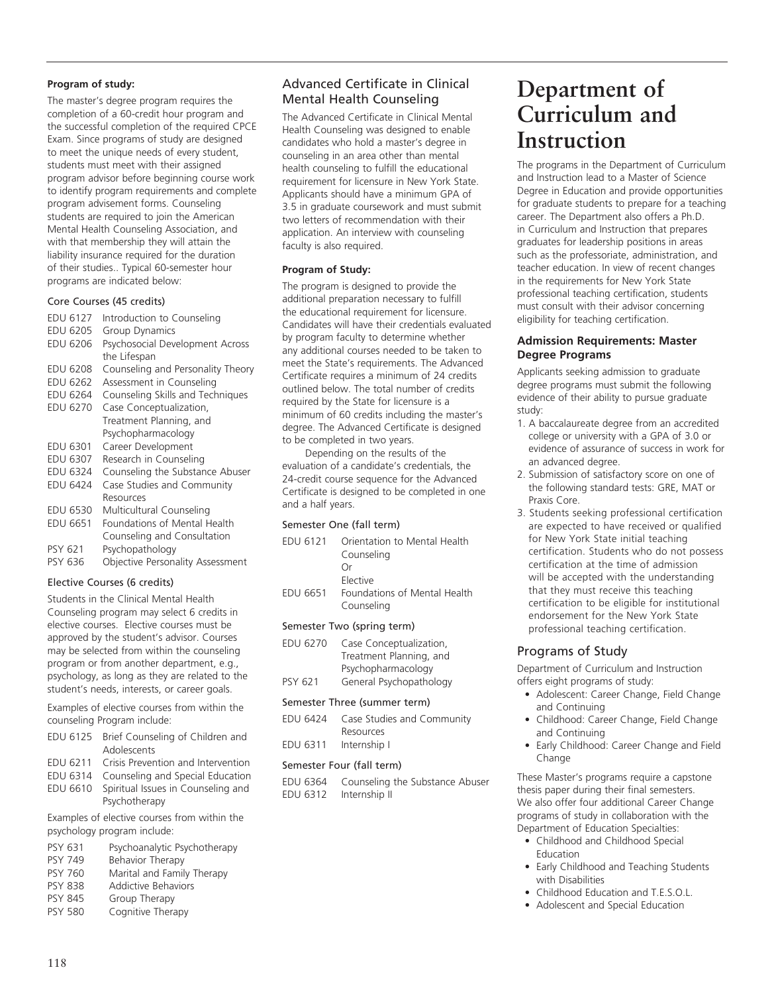#### **Program of study:**

The master's degree program requires the completion of a 60-credit hour program and the successful completion of the required CPCE Exam. Since programs of study are designed to meet the unique needs of every student, students must meet with their assigned program advisor before beginning course work to identify program requirements and complete program advisement forms. Counseling students are required to join the American Mental Health Counseling Association, and with that membership they will attain the liability insurance required for the duration of their studies.. Typical 60-semester hour programs are indicated below:

#### Core Courses (45 credits)

| EDU 6127<br><b>EDU 6205</b> | Introduction to Counseling<br>Group Dynamics |
|-----------------------------|----------------------------------------------|
| <b>EDU 6206</b>             | Psychosocial Development Across              |
|                             | the Lifespan                                 |
| EDU 6208                    | Counseling and Personality Theory            |
| <b>EDU 6262</b>             | Assessment in Counseling                     |
| <b>EDU 6264</b>             | Counseling Skills and Techniques             |
| <b>EDU 6270</b>             | Case Conceptualization,                      |
|                             | Treatment Planning, and                      |
|                             | Psychopharmacology                           |
| EDU 6301                    | Career Development                           |
| EDU 6307                    | Research in Counseling                       |
| <b>EDU 6324</b>             | Counseling the Substance Abuser              |
| <b>EDU 6424</b>             | Case Studies and Community                   |
|                             | Resources                                    |
| EDU 6530                    | Multicultural Counseling                     |
| <b>EDU 6651</b>             | Foundations of Mental Health                 |
|                             | Counseling and Consultation                  |
| PSY 621                     | Psychopathology                              |
| <b>PSY 636</b>              | Objective Personality Assessment             |

#### Elective Courses (6 credits)

Students in the Clinical Mental Health Counseling program may select 6 credits in elective courses. Elective courses must be approved by the student's advisor. Courses may be selected from within the counseling program or from another department, e.g., psychology, as long as they are related to the student's needs, interests, or career goals.

Examples of elective courses from within the counseling Program include:

- EDU 6125 Brief Counseling of Children and Adolescents
- EDU 6211 Crisis Prevention and Intervention
- EDU 6314 Counseling and Special Education
- EDU 6610 Spiritual Issues in Counseling and Psychotherapy

Examples of elective courses from within the psychology program include:

- PSY 631 Psychoanalytic Psychotherapy<br>PSY 749 Behavior Therapy
- PSY 749 Behavior Therapy<br>PSY 760 Marital and Family
- Marital and Family Therapy
- PSY 838 Addictive Behaviors
- PSY 845 Group Therapy<br>PSY 580 Cognitive Thera Cognitive Therapy

## Advanced Certificate in Clinical Mental Health Counseling

The Advanced Certificate in Clinical Mental Health Counseling was designed to enable candidates who hold a master's degree in counseling in an area other than mental health counseling to fulfill the educational requirement for licensure in New York State. Applicants should have a minimum GPA of 3.5 in graduate coursework and must submit two letters of recommendation with their application. An interview with counseling faculty is also required.

#### **Program of Study:**

The program is designed to provide the additional preparation necessary to fulfill the educational requirement for licensure. Candidates will have their credentials evaluated by program faculty to determine whether any additional courses needed to be taken to meet the State's requirements. The Advanced Certificate requires a minimum of 24 credits outlined below. The total number of credits required by the State for licensure is a minimum of 60 credits including the master's degree. The Advanced Certificate is designed to be completed in two years.

Depending on the results of the evaluation of a candidate's credentials, the 24-credit course sequence for the Advanced Certificate is designed to be completed in one and a half years.

#### Semester One (fall term)

| EDU 6121 | Orientation to Mental Health<br>Counseling<br>Ωr<br>Elective |
|----------|--------------------------------------------------------------|
| EDU 6651 | Foundations of Mental Health<br>Counseling                   |
|          | Semester Two (spring term)                                   |
|          |                                                              |

#### EDU 6270 Case Conceptualization, Treatment Planning, and Psychopharmacology PSY 621 General Psychopathology

#### Semester Three (summer term)

| EDU 6424 Case Studies and Community |
|-------------------------------------|
| Resources                           |
| EDU 6311 Internship I               |

#### Semester Four (fall term)

EDU 6364 Counseling the Substance Abuser EDU 6312 Internship II

# **Department of Curriculum and Instruction**

The programs in the Department of Curriculum and Instruction lead to a Master of Science Degree in Education and provide opportunities for graduate students to prepare for a teaching career. The Department also offers a Ph.D. in Curriculum and Instruction that prepares graduates for leadership positions in areas such as the professoriate, administration, and teacher education. In view of recent changes in the requirements for New York State professional teaching certification, students must consult with their advisor concerning eligibility for teaching certification.

#### **Admission Requirements: Master Degree Programs**

Applicants seeking admission to graduate degree programs must submit the following evidence of their ability to pursue graduate study:

- 1. A baccalaureate degree from an accredited college or university with a GPA of 3.0 or evidence of assurance of success in work for an advanced degree.
- 2. Submission of satisfactory score on one of the following standard tests: GRE, MAT or Praxis Core.
- 3. Students seeking professional certification are expected to have received or qualified for New York State initial teaching certification. Students who do not possess certification at the time of admission will be accepted with the understanding that they must receive this teaching certification to be eligible for institutional endorsement for the New York State professional teaching certification.

## Programs of Study

Department of Curriculum and Instruction offers eight programs of study:

- Adolescent: Career Change, Field Change and Continuing
- Childhood: Career Change, Field Change and Continuing
- Early Childhood: Career Change and Field Change

These Master's programs require a capstone thesis paper during their final semesters. We also offer four additional Career Change programs of study in collaboration with the Department of Education Specialties:

- Childhood and Childhood Special Education
- Early Childhood and Teaching Students with Disabilities
- Childhood Education and T.E.S.O.L.
- Adolescent and Special Education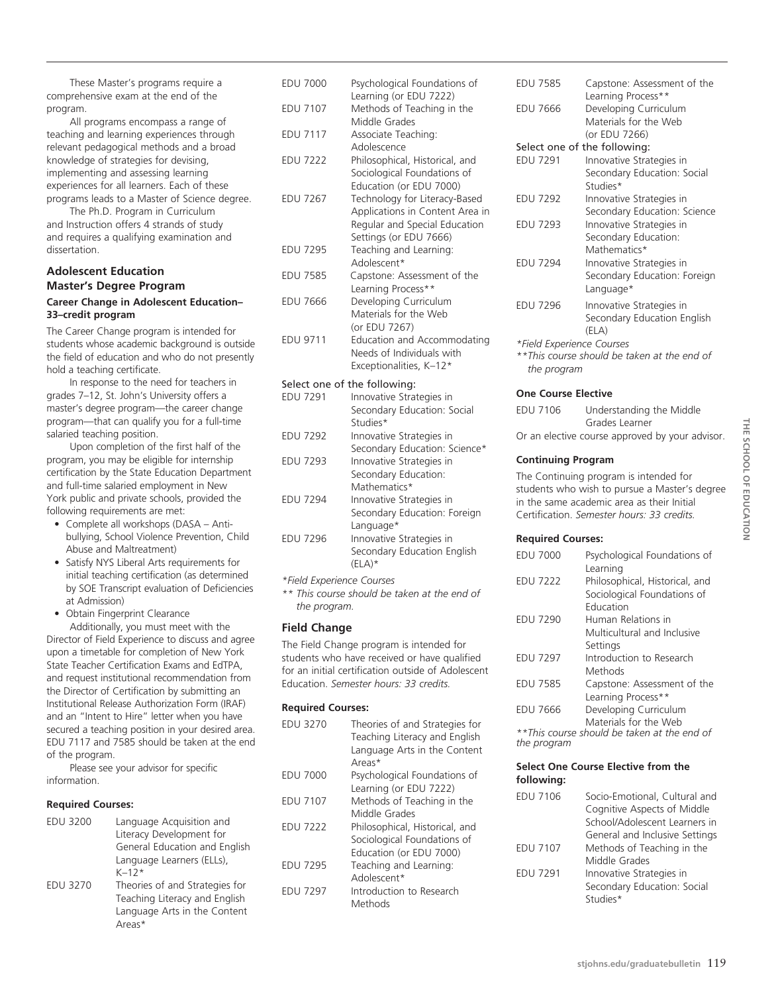These Master's programs require a comprehensive exam at the end of the program.

All programs encompass a range of teaching and learning experiences through relevant pedagogical methods and a broad knowledge of strategies for devising, implementing and assessing learning experiences for all learners. Each of these programs leads to a Master of Science degree.

The Ph.D. Program in Curriculum and Instruction offers 4 strands of study and requires a qualifying examination and dissertation.

### **Adolescent Education Master's Degree Program Career Change in Adolescent Education–**

## **33–credit program** The Career Change program is intended for

students whose academic background is outside the field of education and who do not presently hold a teaching certificate.

In response to the need for teachers in grades 7–12, St. John's University offers a master's degree program—the career change program—that can qualify you for a full-time salaried teaching position.

Upon completion of the first half of the program, you may be eligible for internship certification by the State Education Department and full-time salaried employment in New York public and private schools, provided the following requirements are met:

- Complete all workshops (DASA Antibullying, School Violence Prevention, Child Abuse and Maltreatment)
- Satisfy NYS Liberal Arts requirements for initial teaching certification (as determined by SOE Transcript evaluation of Deficiencies at Admission)

• Obtain Fingerprint Clearance

Additionally, you must meet with the Director of Field Experience to discuss and agree upon a timetable for completion of New York State Teacher Certification Exams and EdTPA, and request institutional recommendation from the Director of Certification by submitting an Institutional Release Authorization Form (IRAF) and an "Intent to Hire" letter when you have secured a teaching position in your desired area. EDU 7117 and 7585 should be taken at the end of the program.

Please see your advisor for specific information.

#### **Required Courses:**

| <b>EDU 3200</b> | Language Acquisition and       |
|-----------------|--------------------------------|
|                 | Literacy Development for       |
|                 | General Education and English  |
|                 | Language Learners (ELLs),      |
|                 | $K - 12*$                      |
| <b>EDU 3270</b> | Theories of and Strategies for |
|                 | Teaching Literacy and English  |
|                 | Language Arts in the Content   |
|                 | Areas*                         |

| <b>EDU 7000</b> | Psychological Foundations of              |
|-----------------|-------------------------------------------|
|                 | Learning (or EDU 7222)                    |
| <b>EDU 7107</b> | Methods of Teaching in the                |
|                 | Middle Grades                             |
| <b>EDU 7117</b> | Associate Teaching:                       |
|                 | Adolescence                               |
| <b>EDU 7222</b> | Philosophical, Historical, and            |
|                 | Sociological Foundations of               |
|                 | Education (or EDU 7000)                   |
| <b>EDU 7267</b> | Technology for Literacy-Based             |
|                 | Applications in Content Area in           |
|                 | Regular and Special Education             |
|                 | Settings (or EDU 7666)                    |
| <b>EDU 7295</b> | Teaching and Learning:                    |
|                 | Adolescent*                               |
| <b>EDU 7585</b> | Capstone: Assessment of the               |
|                 | Learning Process**                        |
| <b>EDU 7666</b> | Developing Curriculum                     |
|                 | Materials for the Web                     |
|                 | (or EDU 7267)                             |
| <b>EDU 9711</b> | <b>Education and Accommodating</b>        |
|                 | Needs of Individuals with                 |
|                 | Exceptionalities, K-12*                   |
|                 |                                           |
| <b>EDU 7291</b> | Select one of the following:              |
|                 | Innovative Strategies in                  |
|                 | Secondary Education: Social               |
|                 | Studies*                                  |
| <b>EDU 7292</b> | Innovative Strategies in                  |
|                 | Secondary Education: Science*             |
| <b>EDU 7293</b> | Innovative Strategies in                  |
|                 | Secondary Education:                      |
|                 | Mathematics*<br>a chart a Craige at 22 to |
| $FDI + 7204$    |                                           |

| EDU 7294 | Innovative Strategies in     |
|----------|------------------------------|
|          | Secondary Education: Foreign |
|          | Language*                    |
| EDU 7296 | Innovative Strategies in     |
|          | Secondary Education English  |
|          | $(FIA)^*$                    |

*\*Field Experience Courses*

*\*\* This course should be taken at the end of the program.*

## **Field Change**

The Field Change program is intended for students who have received or have qualified for an initial certification outside of Adolescent Education. *Semester hours: 33 credits.*

#### **Required Courses:**

| <b>EDU 3270</b> | Theories of and Strategies for<br>Teaching Literacy and English<br>Language Arts in the Content<br>Areas* |
|-----------------|-----------------------------------------------------------------------------------------------------------|
| <b>EDU 7000</b> | Psychological Foundations of<br>Learning (or EDU 7222)                                                    |
| <b>EDU 7107</b> | Methods of Teaching in the<br>Middle Grades                                                               |
| <b>EDU 7222</b> | Philosophical, Historical, and<br>Sociological Foundations of<br>Education (or EDU 7000)                  |
| <b>EDU 7295</b> | Teaching and Learning:<br>Adolescent*                                                                     |
| <b>EDU 7297</b> | Introduction to Research<br>Methods                                                                       |

| <b>EDU 7585</b>                             | Capstone: Assessment of the                                          |  |
|---------------------------------------------|----------------------------------------------------------------------|--|
| <b>EDU 7666</b>                             | Learning Process**<br>Developing Curriculum<br>Materials for the Web |  |
|                                             | (or EDU 7266)                                                        |  |
|                                             | Select one of the following:                                         |  |
| <b>EDU 7291</b>                             | Innovative Strategies in                                             |  |
|                                             |                                                                      |  |
|                                             | Secondary Education: Social<br>Studies*                              |  |
| <b>EDU 7292</b>                             | Innovative Strategies in                                             |  |
|                                             | Secondary Education: Science                                         |  |
| <b>EDU 7293</b>                             | Innovative Strategies in                                             |  |
|                                             | Secondary Education:                                                 |  |
|                                             | Mathematics*                                                         |  |
| <b>EDU 7294</b>                             | Innovative Strategies in                                             |  |
|                                             | Secondary Education: Foreign                                         |  |
|                                             | Language*                                                            |  |
| <b>EDU 7296</b>                             | Innovative Strategies in                                             |  |
|                                             | Secondary Education English                                          |  |
|                                             | (ELA)                                                                |  |
| *Field Experience Courses                   |                                                                      |  |
| **This course should be taken at the end of |                                                                      |  |
| the program                                 |                                                                      |  |

#### **One Course Elective**

EDU 7106 Understanding the Middle Grades Learner Or an elective course approved by your advisor.

#### **Continuing Program**

The Continuing program is intended for students who wish to pursue a Master's degree in the same academic area as their Initial Certification. *Semester hours: 33 credits.*

#### **Required Courses:**

| <b>EDU 7000</b> | Psychological Foundations of<br>Learning    |
|-----------------|---------------------------------------------|
| <b>EDU 7222</b> | Philosophical, Historical, and              |
|                 | Sociological Foundations of<br>Education    |
| <b>EDU 7290</b> | Human Relations in                          |
|                 | Multicultural and Inclusive                 |
|                 | Settings                                    |
| <b>EDU 7297</b> | Introduction to Research                    |
|                 | Methods                                     |
| <b>EDU 7585</b> | Capstone: Assessment of the                 |
|                 | Learning Process**                          |
| <b>EDU 7666</b> | Developing Curriculum                       |
|                 | Materials for the Web                       |
|                 | **This course should be taken at the end of |
| the program     |                                             |

#### **Select One Course Elective from the following:**

| EDU 7106        | Socio-Emotional, Cultural and  |
|-----------------|--------------------------------|
|                 | Cognitive Aspects of Middle    |
|                 | School/Adolescent Learners in  |
|                 | General and Inclusive Settings |
| <b>EDU 7107</b> | Methods of Teaching in the     |
|                 | Middle Grades                  |
| <b>EDU 7291</b> | Innovative Strategies in       |
|                 | Secondary Education: Social    |
|                 | Studies*                       |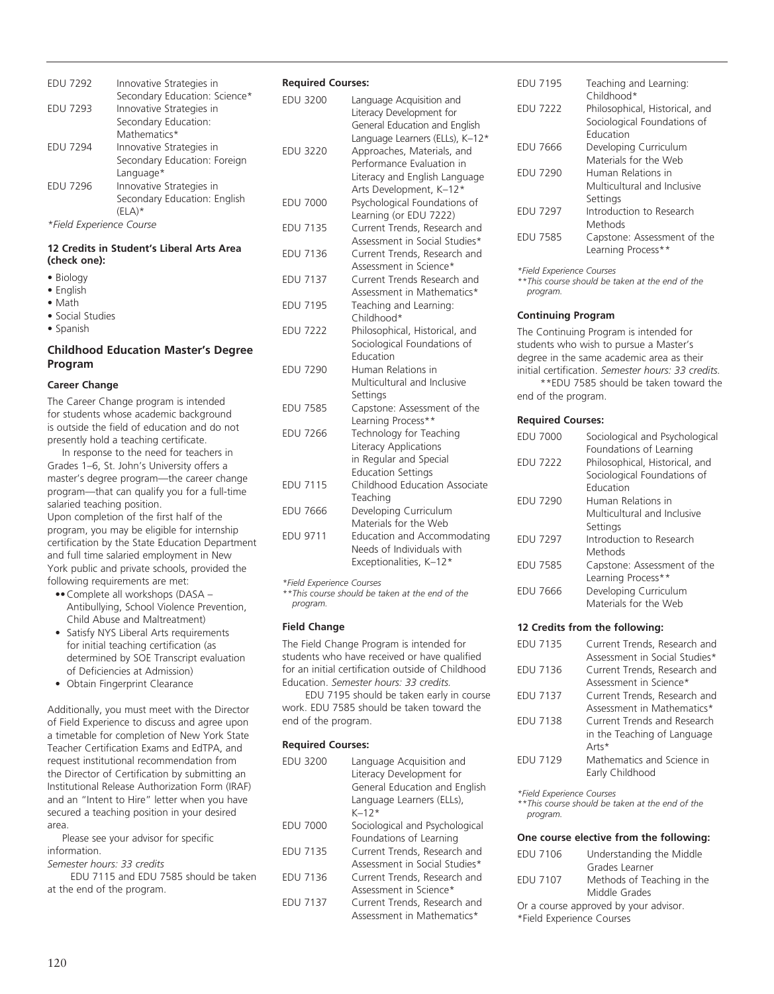| <b>EDU 7292</b>                                               | Innovative Strategies in<br>Secondary Education: Science* | R١ |
|---------------------------------------------------------------|-----------------------------------------------------------|----|
| <b>EDU 7293</b>                                               | Innovative Strategies in<br>Secondary Education:          | ΕI |
|                                                               | Mathematics*                                              |    |
| <b>EDU 7294</b>                                               | Innovative Strategies in                                  | ΕI |
|                                                               | Secondary Education: Foreign                              |    |
|                                                               | Language*                                                 |    |
| <b>EDU 7296</b>                                               | Innovative Strategies in                                  |    |
|                                                               | Secondary Education: English                              | ΕI |
|                                                               | $(ELA)*$                                                  |    |
| *Field Experience Course                                      |                                                           | EI |
| 12 Credits in Student's Liberal Arts Area<br>المحامد المتحامل |                                                           | EI |

| (check one):     |  |
|------------------|--|
| • Biology        |  |
| • English        |  |
| $\bullet$ Math   |  |
| • Social Studies |  |
| • Spanish        |  |

## **Childhood Education Master's Degree Program**

#### **Career Change**

The Career Change program is intended for students whose academic background is outside the field of education and do not presently hold a teaching certificate.

In response to the need for teachers in Grades 1–6, St. John's University offers a master's degree program—the career change program—that can qualify you for a full-time salaried teaching position.

Upon completion of the first half of the program, you may be eligible for internship certification by the State Education Department and full time salaried employment in New York public and private schools, provided the following requirements are met:

- ••Complete all workshops (DASA Antibullying, School Violence Prevention, Child Abuse and Maltreatment)
- Satisfy NYS Liberal Arts requirements for initial teaching certification (as determined by SOE Transcript evaluation of Deficiencies at Admission)
- Obtain Fingerprint Clearance

Additionally, you must meet with the Director of Field Experience to discuss and agree upon a timetable for completion of New York State Teacher Certification Exams and EdTPA, and request institutional recommendation from the Director of Certification by submitting an Institutional Release Authorization Form (IRAF) and an "Intent to Hire" letter when you have secured a teaching position in your desired area.

Please see your advisor for specific information.

*Semester hours: 33 credits*

EDU 7115 and EDU 7585 should be taken at the end of the program.

#### **Required Courses:**

| <b>EDU 3200</b> | Language Acquisition and<br>Literacy Development for<br>General Education and English<br>Language Learners (ELLs), K-12* |
|-----------------|--------------------------------------------------------------------------------------------------------------------------|
| <b>EDU 3220</b> | Approaches, Materials, and<br>Performance Evaluation in<br>Literacy and English Language<br>Arts Development, K-12*      |
| <b>EDU 7000</b> | Psychological Foundations of<br>Learning (or EDU 7222)                                                                   |
| <b>EDU 7135</b> | Current Trends, Research and<br>Assessment in Social Studies*                                                            |
| <b>EDU 7136</b> | Current Trends, Research and<br>Assessment in Science*                                                                   |
| <b>EDU 7137</b> | Current Trends Research and<br>Assessment in Mathematics*                                                                |
| <b>EDU 7195</b> | Teaching and Learning:<br>Childhood*                                                                                     |
| <b>EDU 7222</b> | Philosophical, Historical, and<br>Sociological Foundations of<br><b>Education</b>                                        |
| <b>EDU 7290</b> | Human Relations in<br>Multicultural and Inclusive<br>Settings                                                            |
| <b>EDU 7585</b> | Capstone: Assessment of the<br>Learning Process**                                                                        |
| <b>EDU 7266</b> | Technology for Teaching<br>Literacy Applications<br>in Regular and Special<br><b>Education Settings</b>                  |
| <b>EDU 7115</b> | Childhood Education Associate<br>Teaching                                                                                |
| <b>EDU 7666</b> | Developing Curriculum<br>Materials for the Web                                                                           |
| <b>EDU 9711</b> | <b>Education and Accommodating</b><br>Needs of Individuals with<br>Exceptionalities, K-12*                               |

*\*Field Experience Courses*

*\*\*This course should be taken at the end of the program.*

## **Field Change**

The Field Change Program is intended for students who have received or have qualified for an initial certification outside of Childhood Education. *Semester hours: 33 credits.*

EDU 7195 should be taken early in course work. EDU 7585 should be taken toward the end of the program.

#### **Required Courses:**

| <b>EDU 3200</b> | Language Acquisition and<br>Literacy Development for<br>General Education and English<br>Language Learners (ELLs),<br>$K-12*$ |
|-----------------|-------------------------------------------------------------------------------------------------------------------------------|
| <b>EDU 7000</b> | Sociological and Psychological                                                                                                |
|                 | Foundations of Learning                                                                                                       |
| <b>FDU 7135</b> | Current Trends, Research and                                                                                                  |
|                 | Assessment in Social Studies*                                                                                                 |
| <b>EDU 7136</b> | Current Trends, Research and                                                                                                  |
|                 | Assessment in Science*                                                                                                        |
| <b>FDU 7137</b> | Current Trends, Research and                                                                                                  |
|                 | Assessment in Mathematics*                                                                                                    |

| <b>EDU 7195</b> | Teaching and Learning:<br>Childhood*                                       |
|-----------------|----------------------------------------------------------------------------|
| <b>EDU 7222</b> | Philosophical, Historical, and<br>Sociological Foundations of<br>Education |
| <b>EDU 7666</b> | Developing Curriculum<br>Materials for the Web                             |
| <b>EDU 7290</b> | Human Relations in<br>Multicultural and Inclusive<br>Settings              |
| <b>EDU 7297</b> | Introduction to Research<br>Methods                                        |
| <b>FDU 7585</b> | Capstone: Assessment of the<br>Learning Process**                          |

*\*Field Experience Courses*

*\*\*This course should be taken at the end of the program.*

#### **Continuing Program**

The Continuing Program is intended for students who wish to pursue a Master's degree in the same academic area as their initial certification. *Semester hours: 33 credits.*

\*\*EDU 7585 should be taken toward the end of the program.

#### **Required Courses:**

| <b>EDU 7000</b> | Sociological and Psychological<br>Foundations of Learning     |
|-----------------|---------------------------------------------------------------|
| <b>EDU 7222</b> | Philosophical, Historical, and<br>Sociological Foundations of |
|                 | Education                                                     |
| <b>EDU 7290</b> | Human Relations in                                            |
|                 | Multicultural and Inclusive                                   |
|                 | Settings                                                      |
| <b>EDU 7297</b> | Introduction to Research                                      |
|                 | Methods                                                       |
| <b>EDU 7585</b> | Capstone: Assessment of the                                   |
|                 | Learning Process**                                            |
| EDU 7666        | Developing Curriculum                                         |
|                 | Materials for the Web                                         |

#### **12 Credits from the following:**

| EDU 7135        | Current Trends, Research and<br>Assessment in Social Studies*       |
|-----------------|---------------------------------------------------------------------|
| EDU 7136        | Current Trends, Research and<br>Assessment in Science*              |
| EDU 7137        | Current Trends, Research and<br>Assessment in Mathematics*          |
| <b>EDU 7138</b> | Current Trends and Research<br>in the Teaching of Language<br>Arts* |
| <b>EDU 7129</b> | Mathematics and Science in<br>Early Childhood                       |

*\*Field Experience Courses*

*\*\*This course should be taken at the end of the program.*

#### **One course elective from the following:**

| <b>EDU 7106</b>           | Understanding the Middle              |
|---------------------------|---------------------------------------|
|                           | Grades Learner                        |
| <b>EDU 7107</b>           | Methods of Teaching in the            |
|                           | Middle Grades                         |
|                           | Or a course approved by your advisor. |
| *Field Experience Courses |                                       |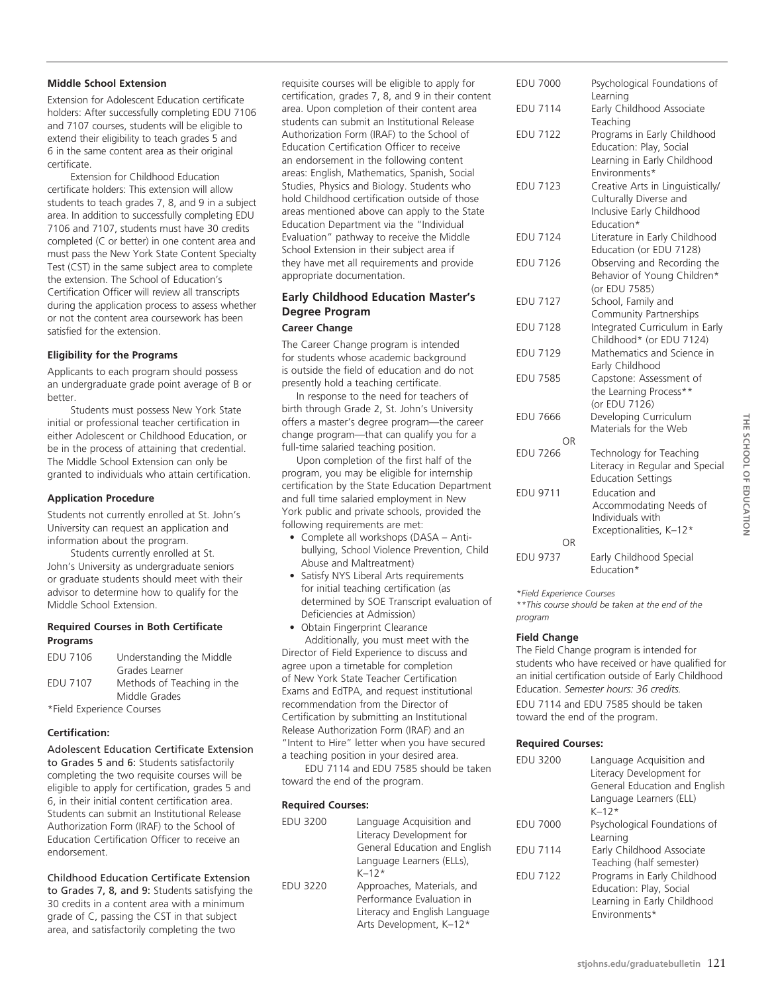#### **Middle School Extension**

Extension for Adolescent Education certificate holders: After successfully completing EDU 7106 and 7107 courses, students will be eligible to extend their eligibility to teach grades 5 and 6 in the same content area as their original certificate.

Extension for Childhood Education certificate holders: This extension will allow students to teach grades 7, 8, and 9 in a subject area. In addition to successfully completing EDU 7106 and 7107, students must have 30 credits completed (C or better) in one content area and must pass the New York State Content Specialty Test (CST) in the same subject area to complete the extension. The School of Education's Certification Officer will review all transcripts during the application process to assess whether or not the content area coursework has been satisfied for the extension.

#### **Eligibility for the Programs**

Applicants to each program should possess an undergraduate grade point average of B or better.

Students must possess New York State initial or professional teacher certification in either Adolescent or Childhood Education, or be in the process of attaining that credential. The Middle School Extension can only be granted to individuals who attain certification.

#### **Application Procedure**

Students not currently enrolled at St. John's University can request an application and information about the program.

Students currently enrolled at St. John's University as undergraduate seniors or graduate students should meet with their advisor to determine how to qualify for the Middle School Extension.

#### **Required Courses in Both Certificate Programs**

| <b>EDU 7106</b>           | Understanding the Middle   |
|---------------------------|----------------------------|
|                           | Grades Learner             |
| <b>EDU 7107</b>           | Methods of Teaching in the |
|                           | Middle Grades              |
| *Field Experience Courses |                            |

#### **Certification:**

Adolescent Education Certificate Extension to Grades 5 and 6: Students satisfactorily completing the two requisite courses will be eligible to apply for certification, grades 5 and 6, in their initial content certification area. Students can submit an Institutional Release Authorization Form (IRAF) to the School of Education Certification Officer to receive an endorsement.

#### Childhood Education Certificate Extension

to Grades 7, 8, and 9: Students satisfying the 30 credits in a content area with a minimum grade of C, passing the CST in that subject area, and satisfactorily completing the two

requisite courses will be eligible to apply for certification, grades 7, 8, and 9 in their content area. Upon completion of their content area students can submit an Institutional Release Authorization Form (IRAF) to the School of Education Certification Officer to receive an endorsement in the following content areas: English, Mathematics, Spanish, Social Studies, Physics and Biology. Students who hold Childhood certification outside of those areas mentioned above can apply to the State Education Department via the "Individual Evaluation" pathway to receive the Middle School Extension in their subject area if they have met all requirements and provide appropriate documentation.

#### **Early Childhood Education Master's Degree Program Career Change**

The Career Change program is intended for students whose academic background is outside the field of education and do not presently hold a teaching certificate.

In response to the need for teachers of birth through Grade 2, St. John's University offers a master's degree program—the career change program—that can qualify you for a full-time salaried teaching position.

Upon completion of the first half of the program, you may be eligible for internship certification by the State Education Department and full time salaried employment in New York public and private schools, provided the following requirements are met:

- Complete all workshops (DASA Antibullying, School Violence Prevention, Child Abuse and Maltreatment)
- Satisfy NYS Liberal Arts requirements for initial teaching certification (as determined by SOE Transcript evaluation of Deficiencies at Admission)

• Obtain Fingerprint Clearance Additionally, you must meet with the Director of Field Experience to discuss and agree upon a timetable for completion of New York State Teacher Certification Exams and EdTPA, and request institutional recommendation from the Director of Certification by submitting an Institutional Release Authorization Form (IRAF) and an "Intent to Hire" letter when you have secured a teaching position in your desired area.

EDU 7114 and EDU 7585 should be taken toward the end of the program.

#### **Required Courses:**

| <b>EDU 3200</b> | Language Acquisition and<br>Literacy Development for<br>General Education and English<br>Language Learners (ELLs),<br>$K - 12*$ |
|-----------------|---------------------------------------------------------------------------------------------------------------------------------|
| <b>EDU 3220</b> | Approaches, Materials, and<br>Performance Evaluation in<br>Literacy and English Language<br>Arts Development, K-12*             |

| <b>EDU 7000</b> | Psychological Foundations of<br>Learning                                                                                                              |
|-----------------|-------------------------------------------------------------------------------------------------------------------------------------------------------|
| <b>EDU 7114</b> | Early Childhood Associate<br>Teaching                                                                                                                 |
| <b>EDU 7122</b> | Programs in Early Childhood<br>Education: Play, Social                                                                                                |
| <b>EDU 7123</b> | Learning in Early Childhood<br>Environments*<br>Creative Arts in Linguistically/<br>Culturally Diverse and<br>Inclusive Early Childhood<br>Education* |
| <b>EDU 7124</b> | Literature in Early Childhood<br>Education (or EDU 7128)                                                                                              |
| <b>EDU 7126</b> | Observing and Recording the<br>Behavior of Young Children*                                                                                            |
| <b>EDU 7127</b> | (or EDU 7585)<br>School, Family and<br>Community Partnerships                                                                                         |
| <b>EDU 7128</b> | Integrated Curriculum in Early<br>Childhood* (or EDU 7124)                                                                                            |
| <b>EDU 7129</b> | Mathematics and Science in<br>Early Childhood                                                                                                         |
| <b>EDU 7585</b> | Capstone: Assessment of<br>the Learning Process**                                                                                                     |
| <b>EDU 7666</b> | (or EDU 7126)<br>Developing Curriculum<br>Materials for the Web                                                                                       |
| ΩR              |                                                                                                                                                       |
| <b>EDU 7266</b> | Technology for Teaching<br>Literacy in Regular and Special<br><b>Education Settings</b>                                                               |
| EDU 9711        | Education and<br>Accommodating Needs of<br>Individuals with<br>Exceptionalities, K-12*                                                                |
| OR              |                                                                                                                                                       |
| <b>EDU 9737</b> | Early Childhood Special<br>Education*                                                                                                                 |

THE SCHOOL OF EDUCATION **school of Education**

*\*Field Experience Courses*

*\*\*This course should be taken at the end of the program*

#### **Field Change**

The Field Change program is intended for students who have received or have qualified for an initial certification outside of Early Childhood Education. *Semester hours: 36 credits.* EDU 7114 and EDU 7585 should be taken toward the end of the program.

#### **Required Courses:**

| EDU 3200        | Language Acquisition and<br>Literacy Development for<br>General Education and English<br>Language Learners (ELL)<br>$K - 12*$ |
|-----------------|-------------------------------------------------------------------------------------------------------------------------------|
| <b>EDU 7000</b> | Psychological Foundations of<br>Learning                                                                                      |
| <b>FDU 7114</b> | Early Childhood Associate<br>Teaching (half semester)                                                                         |
| <b>EDU 7122</b> | Programs in Early Childhood<br>Education: Play, Social<br>Learning in Early Childhood<br>Fnvironments*                        |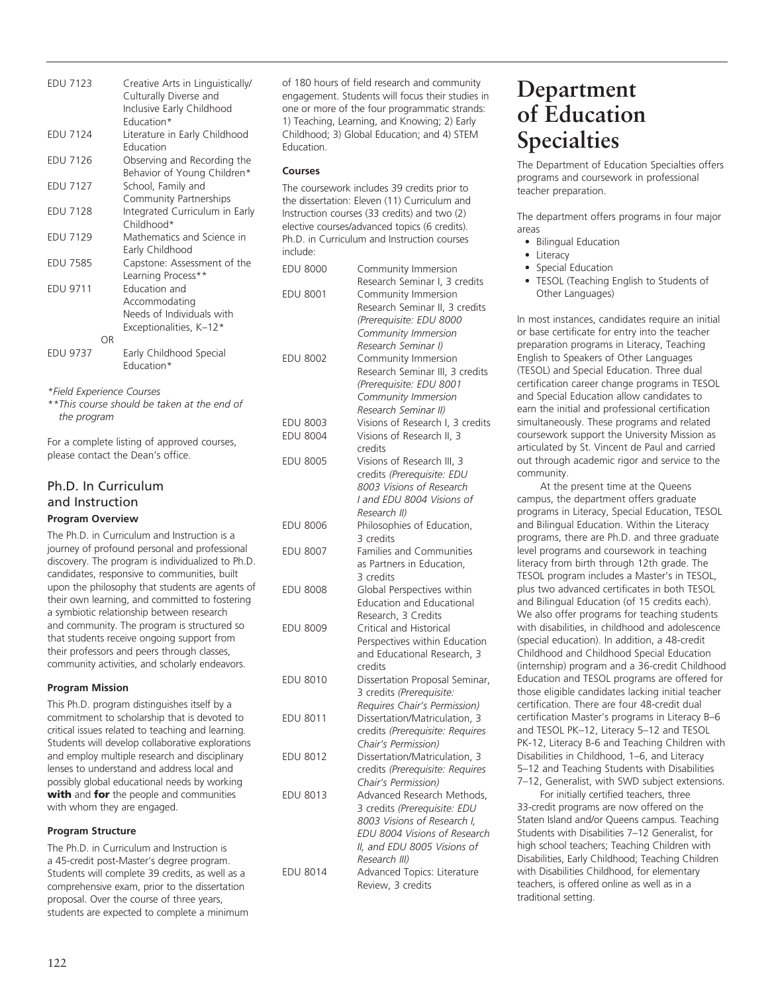EDU 7123 Creative Arts in Linguistically/ Culturally Diverse and Inclusive Early Childhood Education\* EDU 7124 Literature in Early Childhood Education EDU 7126 Observing and Recording the Behavior of Young Children\* EDU 7127 School, Family and Community Partnerships EDU 7128 Integrated Curriculum in Early Childhood\* EDU 7129 Mathematics and Science in Early Childhood EDU 7585 Capstone: Assessment of the Learning Process\*\* EDU 9711 Education and Accommodating Needs of Individuals with Exceptionalities, K–12\* **original** EDU 9737 Early Childhood Special Education\*

*\*Field Experience Courses*

*\*\*This course should be taken at the end of the program*

For a complete listing of approved courses, please contact the Dean's office.

## Ph.D. In Curriculum and Instruction **Program Overview**

The Ph.D. in Curriculum and Instruction is a journey of profound personal and professional discovery. The program is individualized to Ph.D. candidates, responsive to communities, built upon the philosophy that students are agents of their own learning, and committed to fostering a symbiotic relationship between research and community. The program is structured so that students receive ongoing support from their professors and peers through classes, community activities, and scholarly endeavors.

#### **Program Mission**

This Ph.D. program distinguishes itself by a commitment to scholarship that is devoted to critical issues related to teaching and learning. Students will develop collaborative explorations and employ multiple research and disciplinary lenses to understand and address local and possibly global educational needs by working with and for the people and communities with whom they are engaged.

#### **Program Structure**

The Ph.D. in Curriculum and Instruction is a 45-credit post-Master's degree program. Students will complete 39 credits, as well as a comprehensive exam, prior to the dissertation proposal. Over the course of three years, students are expected to complete a minimum of 180 hours of field research and community engagement. Students will focus their studies in one or more of the four programmatic strands: 1) Teaching, Learning, and Knowing; 2) Early Childhood; 3) Global Education; and 4) STEM Education.

#### **Courses**

The coursework includes 39 credits prior to the dissertation: Eleven (11) Curriculum and Instruction courses (33 credits) and two (2) elective courses/advanced topics (6 credits). Ph.D. in Curriculum and Instruction courses include:

| <b>EDU 8000</b> | Community Immersion                                    |
|-----------------|--------------------------------------------------------|
|                 | Research Seminar I, 3 credits                          |
| EDU 8001        | Community Immersion                                    |
|                 | Research Seminar II, 3 credits                         |
|                 | (Prerequisite: EDU 8000                                |
|                 | Community Immersion                                    |
|                 | Research Seminar I)                                    |
| <b>EDU 8002</b> | Community Immersion                                    |
|                 | Research Seminar III, 3 credits                        |
|                 | (Prerequisite: EDU 8001                                |
|                 | Community Immersion                                    |
|                 | Research Seminar II)                                   |
| <b>EDU 8003</b> | Visions of Research I, 3 credits                       |
| <b>EDU 8004</b> | Visions of Research II, 3                              |
|                 | credits                                                |
| <b>EDU 8005</b> | Visions of Research III, 3                             |
|                 | credits (Prerequisite: EDU                             |
|                 | 8003 Visions of Research                               |
|                 | I and EDU 8004 Visions of                              |
|                 | Research II)                                           |
| <b>EDU 8006</b> | Philosophies of Education,                             |
|                 | 3 credits                                              |
| <b>EDU 8007</b> | <b>Families and Communities</b>                        |
|                 | as Partners in Education,                              |
|                 | 3 credits                                              |
| <b>EDU 8008</b> | Global Perspectives within                             |
|                 | <b>Education and Educational</b>                       |
|                 | Research, 3 Credits                                    |
| <b>EDU 8009</b> | Critical and Historical                                |
|                 | Perspectives within Education                          |
|                 | and Educational Research, 3                            |
|                 | credits                                                |
| <b>EDU 8010</b> | Dissertation Proposal Seminar,                         |
|                 | 3 credits (Prerequisite:                               |
|                 | Requires Chair's Permission)                           |
| <b>EDU 8011</b> | Dissertation/Matriculation, 3                          |
|                 |                                                        |
|                 | credits (Prerequisite: Requires<br>Chair's Permission) |
|                 |                                                        |
| <b>EDU 8012</b> | Dissertation/Matriculation, 3                          |
|                 | credits (Prerequisite: Requires                        |
|                 | Chair's Permission)                                    |
| <b>EDU 8013</b> | Advanced Research Methods,                             |
|                 | 3 credits (Prerequisite: EDU                           |
|                 | 8003 Visions of Research I,                            |
|                 | EDU 8004 Visions of Research                           |
|                 | II, and EDU 8005 Visions of                            |
|                 | Research III)                                          |
| EDU 8014        | Advanced Topics: Literature                            |
|                 | Review, 3 credits                                      |

# **Department of Education Specialties**

The Department of Education Specialties offers programs and coursework in professional teacher preparation.

The department offers programs in four major areas

- Bilingual Education
- Literacy
- Special Education
- TESOL (Teaching English to Students of Other Languages)

In most instances, candidates require an initial or base certificate for entry into the teacher preparation programs in Literacy, Teaching English to Speakers of Other Languages (TESOL) and Special Education. Three dual certification career change programs in TESOL and Special Education allow candidates to earn the initial and professional certification simultaneously. These programs and related coursework support the University Mission as articulated by St. Vincent de Paul and carried out through academic rigor and service to the community.

At the present time at the Queens campus, the department offers graduate programs in Literacy, Special Education, TESOL and Bilingual Education. Within the Literacy programs, there are Ph.D. and three graduate level programs and coursework in teaching literacy from birth through 12th grade. The TESOL program includes a Master's in TESOL, plus two advanced certificates in both TESOL and Bilingual Education (of 15 credits each). We also offer programs for teaching students with disabilities, in childhood and adolescence (special education). In addition, a 48-credit Childhood and Childhood Special Education (internship) program and a 36-credit Childhood Education and TESOL programs are offered for those eligible candidates lacking initial teacher certification. There are four 48-credit dual certification Master's programs in Literacy B–6 and TESOL PK–12, Literacy 5–12 and TESOL PK-12, Literacy B-6 and Teaching Children with Disabilities in Childhood, 1–6, and Literacy 5–12 and Teaching Students with Disabilities 7–12, Generalist, with SWD subject extensions.

For initially certified teachers, three 33-credit programs are now offered on the Staten Island and/or Queens campus. Teaching Students with Disabilities 7–12 Generalist, for high school teachers; Teaching Children with Disabilities, Early Childhood; Teaching Children with Disabilities Childhood, for elementary teachers, is offered online as well as in a traditional setting.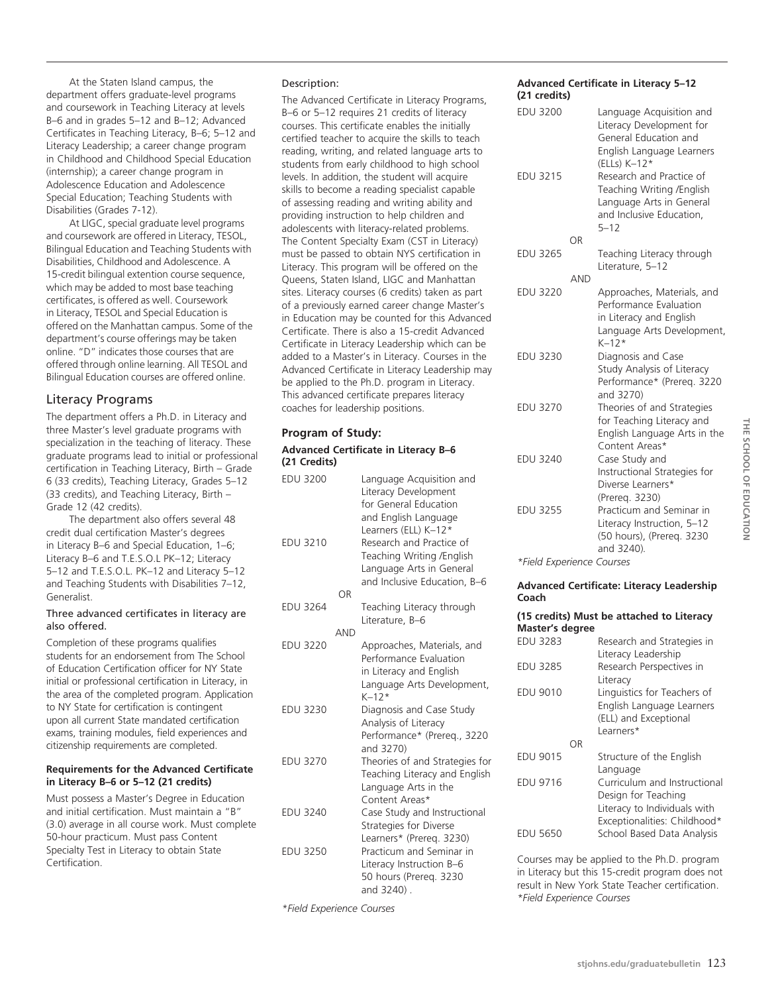At the Staten Island campus, the department offers graduate-level programs and coursework in Teaching Literacy at levels B–6 and in grades 5–12 and B–12; Advanced Certificates in Teaching Literacy, B–6; 5–12 and Literacy Leadership; a career change program in Childhood and Childhood Special Education (internship); a career change program in Adolescence Education and Adolescence Special Education; Teaching Students with Disabilities (Grades 7-12).

At LIGC, special graduate level programs and coursework are offered in Literacy, TESOL, Bilingual Education and Teaching Students with Disabilities, Childhood and Adolescence. A 15-credit bilingual extention course sequence, which may be added to most base teaching certificates, is offered as well. Coursework in Literacy, TESOL and Special Education is offered on the Manhattan campus. Some of the department's course offerings may be taken online. "D" indicates those courses that are offered through online learning. All TESOL and Bilingual Education courses are offered online.

## Literacy Programs

The department offers a Ph.D. in Literacy and three Master's level graduate programs with specialization in the teaching of literacy. These graduate programs lead to initial or professional certification in Teaching Literacy, Birth – Grade 6 (33 credits), Teaching Literacy, Grades 5–12 (33 credits), and Teaching Literacy, Birth – Grade 12 (42 credits).

The department also offers several 48 credit dual certification Master's degrees in Literacy B–6 and Special Education, 1–6; Literacy B–6 and T.E.S.O.L PK–12; Literacy 5–12 and T.E.S.O.L. PK–12 and Literacy 5–12 and Teaching Students with Disabilities 7–12, Generalist.

#### Three advanced certificates in literacy are also offered.

Completion of these programs qualifies students for an endorsement from The School of Education Certification officer for NY State initial or professional certification in Literacy, in the area of the completed program. Application to NY State for certification is contingent upon all current State mandated certification exams, training modules, field experiences and citizenship requirements are completed.

#### **Requirements for the Advanced Certificate in Literacy B–6 or 5–12 (21 credits)**

Must possess a Master's Degree in Education and initial certification. Must maintain a "B" (3.0) average in all course work. Must complete 50-hour practicum. Must pass Content Specialty Test in Literacy to obtain State Certification.

#### Description:

The Advanced Certificate in Literacy Programs, B–6 or 5–12 requires 21 credits of literacy courses. This certificate enables the initially certified teacher to acquire the skills to teach reading, writing, and related language arts to students from early childhood to high school levels. In addition, the student will acquire skills to become a reading specialist capable of assessing reading and writing ability and providing instruction to help children and adolescents with literacy-related problems. The Content Specialty Exam (CST in Literacy) must be passed to obtain NYS certification in Literacy. This program will be offered on the Queens, Staten Island, LIGC and Manhattan sites. Literacy courses (6 credits) taken as part of a previously earned career change Master's in Education may be counted for this Advanced Certificate. There is also a 15-credit Advanced Certificate in Literacy Leadership which can be added to a Master's in Literacy. Courses in the Advanced Certificate in Literacy Leadership may be applied to the Ph.D. program in Literacy. This advanced certificate prepares literacy coaches for leadership positions.

#### **Program of Study:**

#### **Advanced Certificate in Literacy B–6 (21 Credits)**

| <b>EDU 3200</b> |            | Language Acquisition and<br>Literacy Development<br>for General Education                                                                                         |
|-----------------|------------|-------------------------------------------------------------------------------------------------------------------------------------------------------------------|
| <b>EDU 3210</b> | OR         | and English Language<br>Learners (ELL) K-12*<br>Research and Practice of<br>Teaching Writing /English<br>Language Arts in General<br>and Inclusive Education, B-6 |
| <b>EDU 3264</b> |            | Teaching Literacy through                                                                                                                                         |
|                 |            | Literature, B-6                                                                                                                                                   |
| <b>EDU 3220</b> | <b>AND</b> | Approaches, Materials, and                                                                                                                                        |
|                 |            | Performance Evaluation<br>in Literacy and English<br>Language Arts Development,<br>$K - 12*$                                                                      |
| <b>EDU 3230</b> |            | Diagnosis and Case Study<br>Analysis of Literacy<br>Performance* (Prereq., 3220<br>and 3270)                                                                      |
| <b>EDU 3270</b> |            | Theories of and Strategies for<br>Teaching Literacy and English<br>Language Arts in the<br>Content Areas*                                                         |
| <b>EDU 3240</b> |            | Case Study and Instructional<br>Strategies for Diverse<br>Learners* (Prereq. 3230)                                                                                |
| <b>EDU 3250</b> |            | Practicum and Seminar in<br>Literacy Instruction B-6<br>50 hours (Prereq. 3230<br>and 3240).                                                                      |

*\*Field Experience Courses*

#### **Advanced Certificate in Literacy 5–12 (21 credits)**

|            | Language Acquisition and<br>Literacy Development for<br>General Education and<br>English Language Learners<br>(ELLs) K-12*<br>Research and Practice of<br>Teaching Writing /English<br>Language Arts in General<br>and Inclusive Education.<br>$5 - 12$ |
|------------|---------------------------------------------------------------------------------------------------------------------------------------------------------------------------------------------------------------------------------------------------------|
| OR         |                                                                                                                                                                                                                                                         |
|            | Teaching Literacy through<br>Literature, 5-12                                                                                                                                                                                                           |
| <b>AND</b> |                                                                                                                                                                                                                                                         |
|            | Approaches, Materials, and<br>Performance Evaluation<br>in Literacy and English<br>Language Arts Development,<br>$K - 12*$                                                                                                                              |
|            | Diagnosis and Case<br>Study Analysis of Literacy<br>Performance* (Prereq. 3220<br>and 3270)                                                                                                                                                             |
|            | Theories of and Strategies<br>for Teaching Literacy and<br>English Language Arts in the<br>Content Areas*                                                                                                                                               |
|            | Case Study and<br>Instructional Strategies for<br>Diverse Learners*<br>(Prereg. 3230)                                                                                                                                                                   |
|            | Practicum and Seminar in<br>Literacy Instruction, 5-12<br>(50 hours), (Prereg. 3230<br>and 3240).                                                                                                                                                       |
|            |                                                                                                                                                                                                                                                         |

*\*Field Experience Courses*

#### **Advanced Certificate: Literacy Leadership Coach**

**(15 credits) Must be attached to Literacy Master's degree**

| <b>EDU 3283</b><br>EDU 3285<br><b>EDU 9010</b> |    | Research and Strategies in<br>Literacy Leadership<br>Research Perspectives in<br>Literacy<br>Linguistics for Teachers of |
|------------------------------------------------|----|--------------------------------------------------------------------------------------------------------------------------|
|                                                | ΩR | English Language Learners<br>(ELL) and Exceptional<br>Learners*                                                          |
| <b>EDU 9015</b>                                |    | Structure of the English<br>Language                                                                                     |
| <b>EDU 9716</b>                                |    | Curriculum and Instructional<br>Design for Teaching<br>Literacy to Individuals with<br>Exceptionalities: Childhood*      |
| <b>EDU 5650</b>                                |    | School Based Data Analysis                                                                                               |

Courses may be applied to the Ph.D. program in Literacy but this 15-credit program does not result in New York State Teacher certification. *\*Field Experience Courses*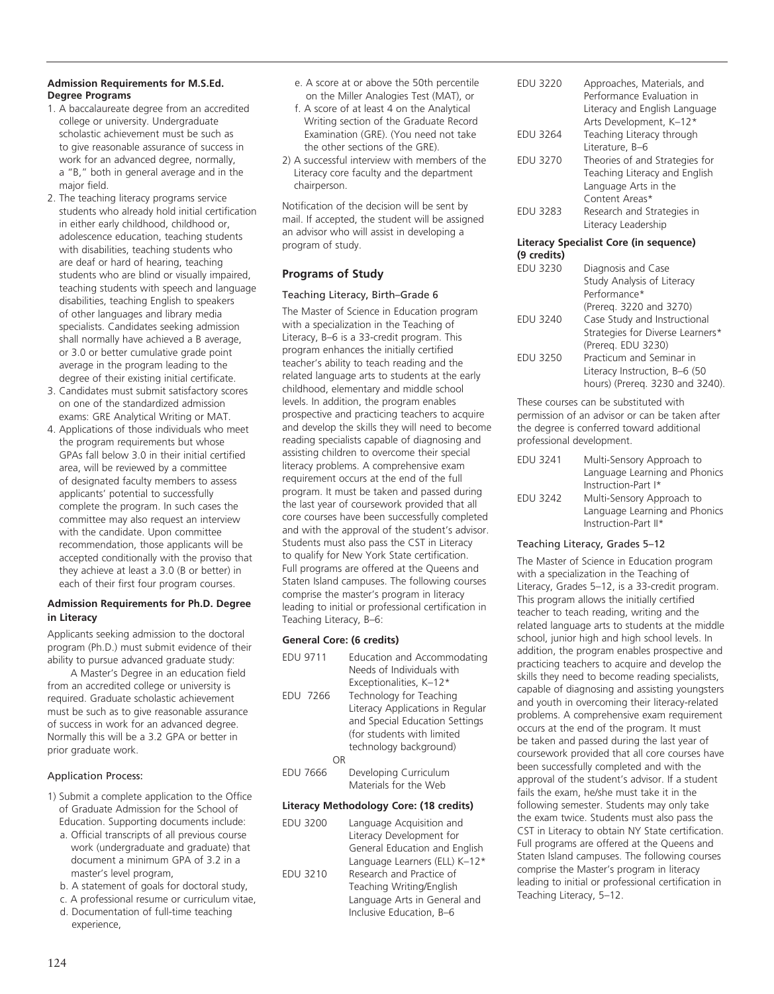#### **Admission Requirements for M.S.Ed. Degree Programs**

- 1. A baccalaureate degree from an accredited college or university. Undergraduate scholastic achievement must be such as to give reasonable assurance of success in work for an advanced degree, normally, a "B," both in general average and in the major field.
- 2. The teaching literacy programs service students who already hold initial certification in either early childhood, childhood or, adolescence education, teaching students with disabilities, teaching students who are deaf or hard of hearing, teaching students who are blind or visually impaired, teaching students with speech and language disabilities, teaching English to speakers of other languages and library media specialists. Candidates seeking admission shall normally have achieved a B average, or 3.0 or better cumulative grade point average in the program leading to the degree of their existing initial certificate.
- 3. Candidates must submit satisfactory scores on one of the standardized admission exams: GRE Analytical Writing or MAT.
- 4. Applications of those individuals who meet the program requirements but whose GPAs fall below 3.0 in their initial certified area, will be reviewed by a committee of designated faculty members to assess applicants' potential to successfully complete the program. In such cases the committee may also request an interview with the candidate. Upon committee recommendation, those applicants will be accepted conditionally with the proviso that they achieve at least a 3.0 (B or better) in each of their first four program courses.

#### **Admission Requirements for Ph.D. Degree in Literacy**

Applicants seeking admission to the doctoral program (Ph.D.) must submit evidence of their ability to pursue advanced graduate study:

A Master's Degree in an education field from an accredited college or university is required. Graduate scholastic achievement must be such as to give reasonable assurance of success in work for an advanced degree. Normally this will be a 3.2 GPA or better in prior graduate work.

#### Application Process:

- 1) Submit a complete application to the Office of Graduate Admission for the School of Education. Supporting documents include:
	- a. Official transcripts of all previous course work (undergraduate and graduate) that document a minimum GPA of 3.2 in a master's level program,
	- b. A statement of goals for doctoral study,
	- c. A professional resume or curriculum vitae,
	- d. Documentation of full-time teaching experience,
- e. A score at or above the 50th percentile on the Miller Analogies Test (MAT), or
- f. A score of at least 4 on the Analytical Writing section of the Graduate Record Examination (GRE). (You need not take the other sections of the GRE).
- 2) A successful interview with members of the Literacy core faculty and the department chairperson.

Notification of the decision will be sent by mail. If accepted, the student will be assigned an advisor who will assist in developing a program of study.

## **Programs of Study**

#### Teaching Literacy, Birth–Grade 6

The Master of Science in Education program with a specialization in the Teaching of Literacy, B–6 is a 33-credit program. This program enhances the initially certified teacher's ability to teach reading and the related language arts to students at the early childhood, elementary and middle school levels. In addition, the program enables prospective and practicing teachers to acquire and develop the skills they will need to become reading specialists capable of diagnosing and assisting children to overcome their special literacy problems. A comprehensive exam requirement occurs at the end of the full program. It must be taken and passed during the last year of coursework provided that all core courses have been successfully completed and with the approval of the student's advisor. Students must also pass the CST in Literacy to qualify for New York State certification. Full programs are offered at the Queens and Staten Island campuses. The following courses comprise the master's program in literacy leading to initial or professional certification in Teaching Literacy, B–6:

## **General Core: (6 credits)**

EDU 9711 Education and Accommodating Needs of Individuals with Exceptionalities, K–12\* EDU 7266 Technology for Teaching Literacy Applications in Regular and Special Education Settings (for students with limited technology background) OR EDU 7666 Developing Curriculum Materials for the Web

#### **Literacy Methodology Core: (18 credits)**

| <b>EDU 3200</b> | Language Acquisition and      |
|-----------------|-------------------------------|
|                 | Literacy Development for      |
|                 | General Education and English |
|                 | Language Learners (ELL) K-12* |
| <b>EDU 3210</b> | Research and Practice of      |
|                 | Teaching Writing/English      |
|                 | Language Arts in General and  |
|                 | Inclusive Education, B-6      |
|                 |                               |

| <b>FDU 3220</b> | Approaches, Materials, and<br>Performance Evaluation in<br>Literacy and English Language<br>Arts Development, K-12* |
|-----------------|---------------------------------------------------------------------------------------------------------------------|
| <b>EDU 3264</b> | Teaching Literacy through                                                                                           |
|                 | Literature, B-6                                                                                                     |
| <b>EDU 3270</b> | Theories of and Strategies for                                                                                      |
|                 | Teaching Literacy and English                                                                                       |
|                 | Language Arts in the                                                                                                |
|                 | Content Areas*                                                                                                      |
| <b>EDU 3283</b> | Research and Strategies in<br>Literacy Leadership                                                                   |

## **Literacy Specialist Core (in sequence)**

| (9 credits)     |                                  |
|-----------------|----------------------------------|
| <b>EDU 3230</b> | Diagnosis and Case               |
|                 | Study Analysis of Literacy       |
|                 | Performance*                     |
|                 | (Prereg. 3220 and 3270)          |
| <b>EDU 3240</b> | Case Study and Instructional     |
|                 | Strategies for Diverse Learners* |
|                 | (Prereg. EDU 3230)               |
| <b>EDU 3250</b> | Practicum and Seminar in         |
|                 | Literacy Instruction, B-6 (50    |
|                 | hours) (Prereq. 3230 and 3240).  |

These courses can be substituted with permission of an advisor or can be taken after the degree is conferred toward additional professional development.

| EDU 3241 | Multi-Sensory Approach to     |
|----------|-------------------------------|
|          | Language Learning and Phonics |
|          | Instruction-Part I*           |
| EDU 3242 | Multi-Sensory Approach to     |
|          | Language Learning and Phonics |
|          | Instruction-Part II*          |

#### Teaching Literacy, Grades 5–12

The Master of Science in Education program with a specialization in the Teaching of Literacy, Grades 5–12, is a 33-credit program. This program allows the initially certified teacher to teach reading, writing and the related language arts to students at the middle school, junior high and high school levels. In addition, the program enables prospective and practicing teachers to acquire and develop the skills they need to become reading specialists, capable of diagnosing and assisting youngsters and youth in overcoming their literacy-related problems. A comprehensive exam requirement occurs at the end of the program. It must be taken and passed during the last year of coursework provided that all core courses have been successfully completed and with the approval of the student's advisor. If a student fails the exam, he/she must take it in the following semester. Students may only take the exam twice. Students must also pass the CST in Literacy to obtain NY State certification. Full programs are offered at the Queens and Staten Island campuses. The following courses comprise the Master's program in literacy leading to initial or professional certification in Teaching Literacy, 5–12.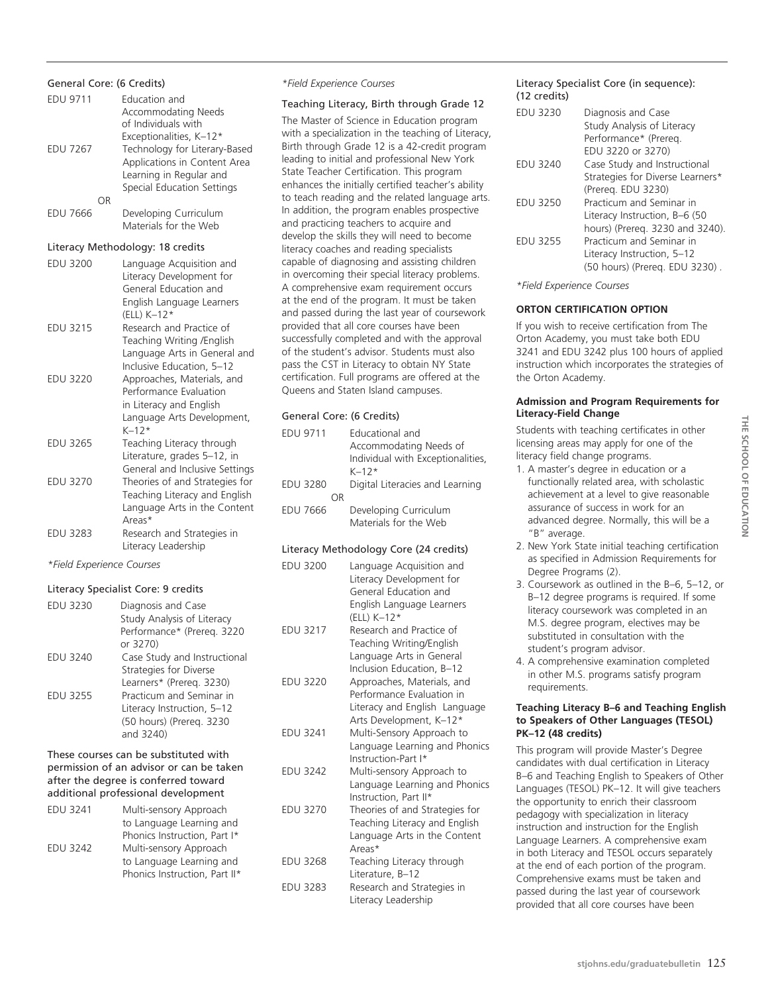#### General Core: (6 Credits)

| <b>EDU 9711</b> | Education and<br><b>Accommodating Needs</b><br>of Individuals with<br>Exceptionalities, K-12*                              |
|-----------------|----------------------------------------------------------------------------------------------------------------------------|
| <b>EDU 7267</b> | Technology for Literary-Based<br>Applications in Content Area<br>Learning in Regular and<br>Special Education Settings     |
| OR              |                                                                                                                            |
| <b>EDU 7666</b> | Developing Curriculum<br>Materials for the Web                                                                             |
|                 | Literacy Methodology: 18 credits                                                                                           |
| <b>EDU 3200</b> | Language Acquisition and<br>Literacy Development for<br>General Education and<br>English Language Learners<br>(ELL) K-12*  |
| <b>EDU 3215</b> | Research and Practice of<br>Teaching Writing /English<br>Language Arts in General and<br>Inclusive Education, 5-12         |
| <b>EDU 3220</b> | Approaches, Materials, and<br>Performance Evaluation<br>in Literacy and English<br>Language Arts Development,<br>$K - 12*$ |
| <b>EDU 3265</b> | Teaching Literacy through<br>Literature, grades 5-12, in<br>General and Inclusive Settings                                 |
| <b>EDU 3270</b> | Theories of and Strategies for<br>Teaching Literacy and English<br>Language Arts in the Content<br>Areas*                  |
| <b>EDU 3283</b> | Research and Strategies in<br>Literacy Leadership                                                                          |
|                 |                                                                                                                            |

#### *\*Field Experience Courses*

#### Literacy Specialist Core: 9 credits

| EDU 3230        | Diagnosis and Case<br>Study Analysis of Literacy<br>Performance* (Prereg. 3220<br>or 3270)      |
|-----------------|-------------------------------------------------------------------------------------------------|
| EDU 3240        | Case Study and Instructional<br><b>Strategies for Diverse</b><br>Learners* (Prereg. 3230)       |
| <b>EDU 3255</b> | Practicum and Seminar in<br>Literacy Instruction, 5-12<br>(50 hours) (Prereg. 3230<br>and 3240) |

#### These courses can be substituted with permission of an advisor or can be taken after the degree is conferred toward additional professional development

| <b>EDU 3241</b> | Multi-sensory Approach        |
|-----------------|-------------------------------|
|                 | to Language Learning and      |
|                 | Phonics Instruction, Part I*  |
| <b>EDU 3242</b> | Multi-sensory Approach        |
|                 | to Language Learning and      |
|                 | Phonics Instruction, Part II* |
|                 |                               |

#### *\*Field Experience Courses*

#### Teaching Literacy, Birth through Grade 12

The Master of Science in Education program with a specialization in the teaching of Literacy, Birth through Grade 12 is a 42-credit program leading to initial and professional New York State Teacher Certification. This program enhances the initially certified teacher's ability to teach reading and the related language arts. In addition, the program enables prospective and practicing teachers to acquire and develop the skills they will need to become literacy coaches and reading specialists capable of diagnosing and assisting children in overcoming their special literacy problems. A comprehensive exam requirement occurs at the end of the program. It must be taken and passed during the last year of coursework provided that all core courses have been successfully completed and with the approval of the student's advisor. Students must also pass the CST in Literacy to obtain NY State certification. Full programs are offered at the Queens and Staten Island campuses.

#### General Core: (6 Credits)

| <b>EDU 9711</b>                        | Educational and<br>Accommodating Needs of<br>Individual with Exceptionalities,<br>$K-12*$                                 |  |
|----------------------------------------|---------------------------------------------------------------------------------------------------------------------------|--|
| EDU 3280<br>OR                         | Digital Literacies and Learning                                                                                           |  |
| <b>EDU 7666</b>                        | Developing Curriculum<br>Materials for the Web                                                                            |  |
| Literacy Methodology Core (24 credits) |                                                                                                                           |  |
| EDU 3200                               | Language Acquisition and<br>Literacy Development for<br>General Education and<br>English Language Learners<br>(ELL) K-12* |  |
| EDU 3217                               | Research and Practice of<br>Teaching Writing/English<br>Language Arts in General<br>Inclusion Education, B-12             |  |
| EDU 3220                               | Approaches, Materials, and                                                                                                |  |

Performance Evaluation in Literacy and English Language Arts Development, K–12\* EDU 3241 Multi-Sensory Approach to Language Learning and Phonics

Instruction-Part I\* EDU 3242 Multi-sensory Approach to Language Learning and Phonics Instruction, Part II\*

EDU 3270 Theories of and Strategies for Teaching Literacy and English Language Arts in the Content Areas\* EDU 3268 Teaching Literacy through

Literature, B–12 EDU 3283 Research and Strategies in Literacy Leadership

#### Literacy Specialist Core (in sequence): (12 credits)

| EDU 3230        | Diagnosis and Case<br>Study Analysis of Literacy |
|-----------------|--------------------------------------------------|
|                 | Performance* (Prereg.                            |
|                 | EDU 3220 or 3270)                                |
| EDU 3240        | Case Study and Instructional                     |
|                 | Strategies for Diverse Learners*                 |
|                 | (Prereg. EDU 3230)                               |
| <b>EDU 3250</b> | Practicum and Seminar in                         |
|                 | Literacy Instruction, B-6 (50                    |
|                 | hours) (Prereq. 3230 and 3240).                  |
| <b>EDU 3255</b> | Practicum and Seminar in                         |
|                 | Literacy Instruction, 5-12                       |
|                 | (50 hours) (Prereg. EDU 3230).                   |

*\*Field Experience Courses*

#### **ORTON CERTIFICATION OPTION**

If you wish to receive certification from The Orton Academy, you must take both EDU 3241 and EDU 3242 plus 100 hours of applied instruction which incorporates the strategies of the Orton Academy.

#### **Admission and Program Requirements for Literacy-Field Change**

Students with teaching certificates in other licensing areas may apply for one of the literacy field change programs.

- 1. A master's degree in education or a functionally related area, with scholastic achievement at a level to give reasonable assurance of success in work for an advanced degree. Normally, this will be a "B" average.
- 2. New York State initial teaching certification as specified in Admission Requirements for Degree Programs (2).
- 3. Coursework as outlined in the B–6, 5–12, or B–12 degree programs is required. If some literacy coursework was completed in an M.S. degree program, electives may be substituted in consultation with the student's program advisor.
- 4. A comprehensive examination completed in other M.S. programs satisfy program requirements.

#### **Teaching Literacy B–6 and Teaching English to Speakers of Other Languages (TESOL) PK–12 (48 credits)**

This program will provide Master's Degree candidates with dual certification in Literacy B–6 and Teaching English to Speakers of Other Languages (TESOL) PK–12. It will give teachers the opportunity to enrich their classroom pedagogy with specialization in literacy instruction and instruction for the English Language Learners. A comprehensive exam in both Literacy and TESOL occurs separately at the end of each portion of the program. Comprehensive exams must be taken and passed during the last year of coursework provided that all core courses have been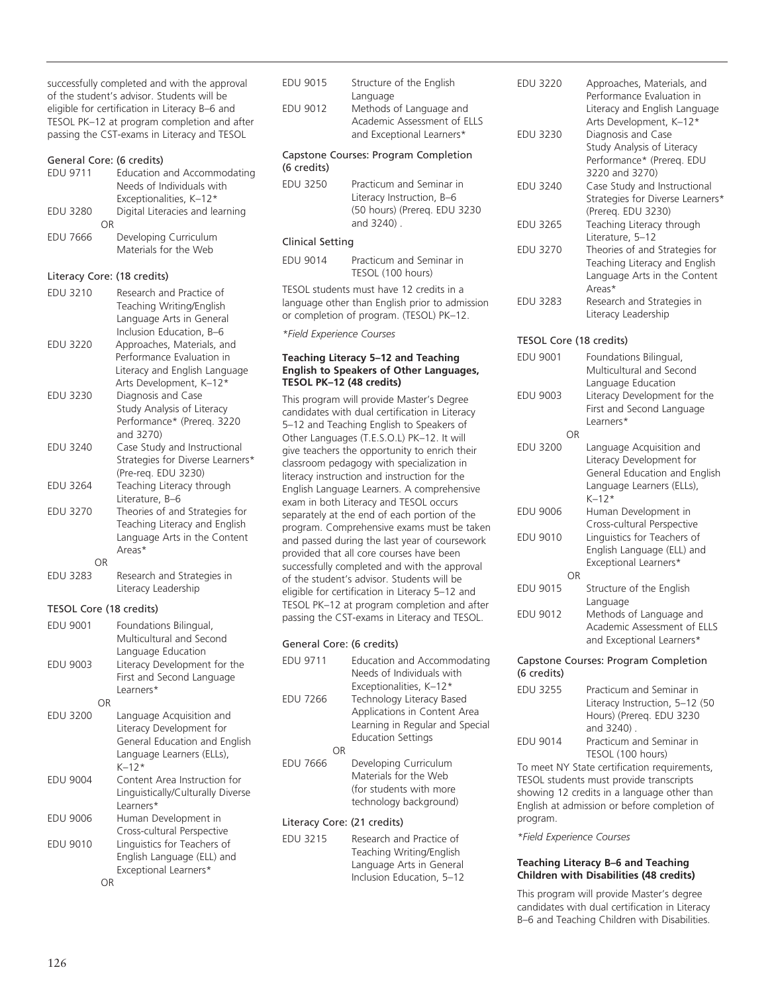successfully completed and with the approval of the student's advisor. Students will be eligible for certification in Literacy B–6 and TESOL PK–12 at program completion and after passing the CST-exams in Literacy and TESOL

## General Core: (6 credits)

#### Literacy Core: (18 credits)

| EDU 3210        | Research and Practice of<br>Teaching Writing/English<br>Language Arts in General<br>Inclusion Education, B-6        |
|-----------------|---------------------------------------------------------------------------------------------------------------------|
| <b>EDU 3220</b> | Approaches, Materials, and<br>Performance Evaluation in<br>Literacy and English Language<br>Arts Development, K-12* |
| <b>EDU 3230</b> | Diagnosis and Case<br>Study Analysis of Literacy<br>Performance* (Prereq. 3220<br>and 3270)                         |
| <b>EDU 3240</b> | Case Study and Instructional<br>Strategies for Diverse Learners*<br>(Pre-req. EDU 3230)                             |
| <b>EDU 3264</b> | Teaching Literacy through<br>Literature, B-6                                                                        |
| <b>EDU 3270</b> | Theories of and Strategies for<br>Teaching Literacy and English<br>Language Arts in the Content<br>Areas*           |
| OR              |                                                                                                                     |
| <b>EDU 3283</b> | Research and Strategies in                                                                                          |

Literacy Leadership

#### TESOL Core (18 credits)

| <b>EDU 9001</b> |    | Foundations Bilingual,            |
|-----------------|----|-----------------------------------|
|                 |    | Multicultural and Second          |
|                 |    | Language Education                |
| <b>EDU 9003</b> |    | Literacy Development for the      |
|                 |    | First and Second Language         |
|                 |    | Learners*                         |
|                 | ΟR |                                   |
| <b>EDU 3200</b> |    | Language Acquisition and          |
|                 |    | Literacy Development for          |
|                 |    | General Education and English     |
|                 |    | Language Learners (ELLs),         |
|                 |    | $K - 12*$                         |
| <b>EDU 9004</b> |    | Content Area Instruction for      |
|                 |    | Linguistically/Culturally Diverse |
|                 |    | Learners*                         |
| <b>EDU 9006</b> |    | Human Development in              |
|                 |    | Cross-cultural Perspective        |
| <b>EDU 9010</b> |    | Linguistics for Teachers of       |
|                 |    | English Language (ELL) and        |
|                 |    | Exceptional Learners*             |
|                 | ΟR |                                   |

| <b>EDU 9015</b>           | Structure of the English                                                                                                               |
|---------------------------|----------------------------------------------------------------------------------------------------------------------------------------|
| <b>EDU 9012</b>           | Language<br>Methods of Language and<br>Academic Assessment of ELLS<br>and Exceptional Learners*                                        |
| (6 credits)               | Capstone Courses: Program Completion                                                                                                   |
| <b>EDU 3250</b>           | Practicum and Seminar in<br>Literacy Instruction, B-6<br>(50 hours) (Prereg. EDU 3230<br>and 3240).                                    |
| Clinical Setting          |                                                                                                                                        |
| EDU 9014                  | Practicum and Seminar in<br>TESOL (100 hours)                                                                                          |
|                           | TESOL students must have 12 credits in a<br>language other than English prior to admission<br>or completion of program. (TESOL) PK-12. |
| *Field Experience Courses |                                                                                                                                        |
|                           | Teaching Literacy 5-12 and Teaching                                                                                                    |

**TESOL PK–12 (48 credits)** This program will provide Master's Degree candidates with dual certification in Literacy 5–12 and Teaching English to Speakers of Other Languages (T.E.S.O.L) PK–12. It will give teachers the opportunity to enrich their classroom pedagogy with specialization in literacy instruction and instruction for the English Language Learners. A comprehensive exam in both Literacy and TESOL occurs separately at the end of each portion of the program. Comprehensive exams must be taken and passed during the last year of coursework provided that all core courses have been successfully completed and with the approval of the student's advisor. Students will be eligible for certification in Literacy 5–12 and TESOL PK–12 at program completion and after passing the CST-exams in Literacy and TESOL.

**English to Speakers of Other Languages,** 

#### General Core: (6 credits)

| <b>EDU 9711</b>             | Education and Accommodating<br>Needs of Individuals with                                                                |  |
|-----------------------------|-------------------------------------------------------------------------------------------------------------------------|--|
| <b>EDU 7266</b>             | Exceptionalities, K-12*<br>Technology Literacy Based<br>Applications in Content Area<br>Learning in Regular and Special |  |
|                             | <b>Education Settings</b>                                                                                               |  |
| ΩR                          |                                                                                                                         |  |
| <b>EDU 7666</b>             | Developing Curriculum<br>Materials for the Web<br>(for students with more<br>technology background)                     |  |
| Literacy Core: (21 credits) |                                                                                                                         |  |
| $     -$                    |                                                                                                                         |  |

| EDU 3215 | Research and Practice of  |
|----------|---------------------------|
|          | Teaching Writing/English  |
|          | Language Arts in General  |
|          | Inclusion Education, 5-12 |

| <b>EDU 3220</b>         |    | Approaches, Materials, and<br>Performance Evaluation in<br>Literacy and English Language<br>Arts Development, K-12* |  |
|-------------------------|----|---------------------------------------------------------------------------------------------------------------------|--|
| <b>EDU 3230</b>         |    | Diagnosis and Case<br>Study Analysis of Literacy<br>Performance* (Prereq. EDU<br>3220 and 3270)                     |  |
| <b>EDU 3240</b>         |    | Case Study and Instructional<br>Strategies for Diverse Learners*<br>(Prereq. EDU 3230)                              |  |
| <b>EDU 3265</b>         |    | Teaching Literacy through<br>Literature, 5-12                                                                       |  |
| <b>EDU 3270</b>         |    | Theories of and Strategies for<br>Teaching Literacy and English<br>Language Arts in the Content<br>Areas*           |  |
| <b>EDU 3283</b>         |    | Research and Strategies in<br>Literacy Leadership                                                                   |  |
| TESOL Core (18 credits) |    |                                                                                                                     |  |
| <b>EDU 9001</b>         |    | Foundations Bilingual,<br>Multicultural and Second<br>Language Education                                            |  |
| <b>EDU 9003</b>         |    | Literacy Development for the<br>First and Second Language<br>Learners*                                              |  |
|                         | OR |                                                                                                                     |  |
| <b>EDU 3200</b>         |    | Language Acquisition and<br>Literacy Douglopment for                                                                |  |

#### Literacy Development for General Education and English Language Learners (ELLs), K–12\* EDU 9006 Human Development in Cross-cultural Perspective EDU 9010 Linguistics for Teachers of English Language (ELL) and Exceptional Learners\* OR<br>EDU 9015 Structure of the English Language EDU 9012 Methods of Language and Academic Assessment of ELLS and Exceptional Learners\*

#### Capstone Courses: Program Completion (6 credits)

| EDU 3255        | Practicum and Seminar in<br>Literacy Instruction, 5-12 (50 |
|-----------------|------------------------------------------------------------|
|                 |                                                            |
|                 | Hours) (Prereq. EDU 3230                                   |
|                 | and 3240).                                                 |
| <b>EDU 9014</b> | Practicum and Seminar in                                   |
|                 | TESOL (100 hours)                                          |

To meet NY State certification requirements, TESOL students must provide transcripts showing 12 credits in a language other than English at admission or before completion of program.

*\*Field Experience Courses*

#### **Teaching Literacy B–6 and Teaching Children with Disabilities (48 credits)**

This program will provide Master's degree candidates with dual certification in Literacy B–6 and Teaching Children with Disabilities.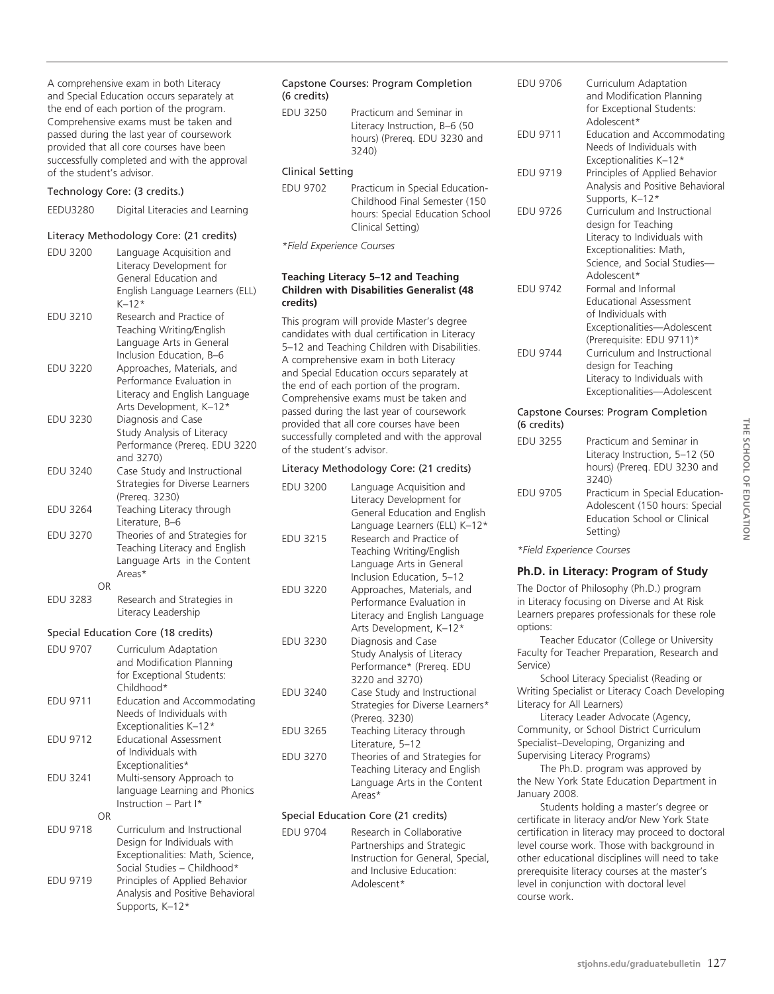A comprehensive exam in both Literacy and Special Education occurs separately at the end of each portion of the program. Comprehensive exams must be taken and passed during the last year of coursework provided that all core courses have been successfully completed and with the approval of the student's advisor.

#### Technology Core: (3 credits.)

EEDU3280 Digital Literacies and Learning

#### Literacy Methodology Core: (21 credits)

| <b>EDU 3200</b> |    | Language Acquisition and<br>Literacy Development for<br>General Education and<br>English Language Learners (ELL)<br>$K-12*$ |
|-----------------|----|-----------------------------------------------------------------------------------------------------------------------------|
| EDU 3210        |    | Research and Practice of<br>Teaching Writing/English<br>Language Arts in General<br>Inclusion Education, B-6                |
| <b>EDU 3220</b> |    | Approaches, Materials, and<br>Performance Evaluation in<br>Literacy and English Language<br>Arts Development, K-12*         |
| <b>EDU 3230</b> |    | Diagnosis and Case<br>Study Analysis of Literacy<br>Performance (Prereg. EDU 3220<br>and 3270)                              |
| <b>EDU 3240</b> |    | Case Study and Instructional<br>Strategies for Diverse Learners<br>(Prereg. 3230)                                           |
| <b>EDU 3264</b> |    | Teaching Literacy through<br>Literature, B-6                                                                                |
| <b>EDU 3270</b> |    | Theories of and Strategies for<br>Teaching Literacy and English<br>Language Arts in the Content<br>Areas*                   |
| <b>EDU 3283</b> | OR | Research and Strategies in<br>Literacy Leadership                                                                           |

#### Special Education Core (18 credits)

| <b>EDU 9707</b> |    | Curriculum Adaptation<br>and Modification Planning<br>for Exceptional Students:<br>Childhood*              |
|-----------------|----|------------------------------------------------------------------------------------------------------------|
| <b>EDU 9711</b> |    | Education and Accommodating<br>Needs of Individuals with                                                   |
| <b>EDU 9712</b> |    | Exceptionalities K-12*<br><b>Educational Assessment</b><br>of Individuals with                             |
| <b>EDU 3241</b> |    | Exceptionalities*<br>Multi-sensory Approach to<br>language Learning and Phonics<br>Instruction $-$ Part I* |
| <b>EDU 9718</b> | ΟR | Curriculum and Instructional<br>Design for Individuals with<br>Exceptionalities: Math Science              |

|          | Exceptionalities: Math, Science, |
|----------|----------------------------------|
|          | Social Studies - Childhood*      |
| EDU 9719 | Principles of Applied Behavior   |
|          | Analysis and Positive Behavioral |
|          | Supports, K-12*                  |

| (6 credits)      | Capstone Courses: Program Completion                                                                                     |
|------------------|--------------------------------------------------------------------------------------------------------------------------|
| EDU 3250         | Practicum and Seminar in<br>Literacy Instruction, B-6 (50<br>hours) (Prereg. EDU 3230 and<br>3240)                       |
| Clinical Setting |                                                                                                                          |
| EDU 9702         | Practicum in Special Education-<br>Childhood Final Semester (150<br>hours: Special Education School<br>Clinical Setting) |

*\*Field Experience Courses*

#### **Teaching Literacy 5–12 and Teaching Children with Disabilities Generalist (48 credits)**

This program will provide Master's degree candidates with dual certification in Literacy 5–12 and Teaching Children with Disabilities. A comprehensive exam in both Literacy and Special Education occurs separately at the end of each portion of the program. Comprehensive exams must be taken and passed during the last year of coursework provided that all core courses have been successfully completed and with the approval of the student's advisor.

#### Literacy Methodology Core: (21 credits)

| <b>EDU 3200</b> | Language Acquisition and<br>Literacy Development for<br>General Education and English<br>Language Learners (ELL) K-12* |
|-----------------|------------------------------------------------------------------------------------------------------------------------|
| <b>EDU 3215</b> | Research and Practice of<br>Teaching Writing/English<br>Language Arts in General<br>Inclusion Education, 5-12          |
| <b>EDU 3220</b> | Approaches, Materials, and<br>Performance Evaluation in<br>Literacy and English Language<br>Arts Development, K-12*    |
| EDU 3230        | Diagnosis and Case<br>Study Analysis of Literacy<br>Performance* (Prereq. EDU<br>3220 and 3270)                        |
| EDU 3240        | Case Study and Instructional<br>Strategies for Diverse Learners*<br>(Prereg. 3230)                                     |
| <b>EDU 3265</b> | Teaching Literacy through<br>Literature, 5-12                                                                          |
| <b>EDU 3270</b> | Theories of and Strategies for<br>Teaching Literacy and English<br>Language Arts in the Content<br>Areas*              |

#### Special Education Core (21 credits)

| EDU 9704 | Research in Collaborative         |
|----------|-----------------------------------|
|          | Partnerships and Strategic        |
|          | Instruction for General, Special, |
|          | and Inclusive Education:          |
|          | Adolescent*                       |
|          |                                   |

| <b>EDU 9706</b> | Curriculum Adaptation<br>and Modification Planning<br>for Exceptional Students:<br>Adolescent*                                                                |
|-----------------|---------------------------------------------------------------------------------------------------------------------------------------------------------------|
| <b>EDU 9711</b> | Education and Accommodating<br>Needs of Individuals with<br>Exceptionalities K-12*                                                                            |
| <b>EDU 9719</b> | Principles of Applied Behavior<br>Analysis and Positive Behavioral<br>Supports, K-12*                                                                         |
| <b>EDU 9726</b> | Curriculum and Instructional<br>design for Teaching<br>Literacy to Individuals with<br>Exceptionalities: Math,<br>Science, and Social Studies-<br>Adolescent* |
| <b>FDU 9742</b> | Formal and Informal<br><b>Educational Assessment</b><br>of Individuals with<br>Exceptionalities-Adolescent<br>(Prerequisite: EDU 9711)*                       |
| <b>FDU 9744</b> | Curriculum and Instructional<br>design for Teaching<br>Literacy to Individuals with<br>Exceptionalities-Adolescent                                            |

#### Capstone Courses: Program Completion (6 credits)

| <b>EDU 3255</b> | Practicum and Seminar in<br>Literacy Instruction, 5-12 (50<br>hours) (Prereg. EDU 3230 and<br>3240)           |
|-----------------|---------------------------------------------------------------------------------------------------------------|
| <b>EDU 9705</b> | Practicum in Special Education-<br>Adolescent (150 hours: Special<br>Education School or Clinical<br>Setting) |

**THE SCHOOL OF EDUCATION school of Education**

*\*Field Experience Courses*

#### **Ph.D. in Literacy: Program of Study**

The Doctor of Philosophy (Ph.D.) program in Literacy focusing on Diverse and At Risk Learners prepares professionals for these role options:

Teacher Educator (College or University Faculty for Teacher Preparation, Research and Service)

School Literacy Specialist (Reading or Writing Specialist or Literacy Coach Developing Literacy for All Learners)

Literacy Leader Advocate (Agency, Community, or School District Curriculum Specialist–Developing, Organizing and Supervising Literacy Programs)

The Ph.D. program was approved by the New York State Education Department in January 2008.

Students holding a master's degree or certificate in literacy and/or New York State certification in literacy may proceed to doctoral level course work. Those with background in other educational disciplines will need to take prerequisite literacy courses at the master's level in conjunction with doctoral level course work.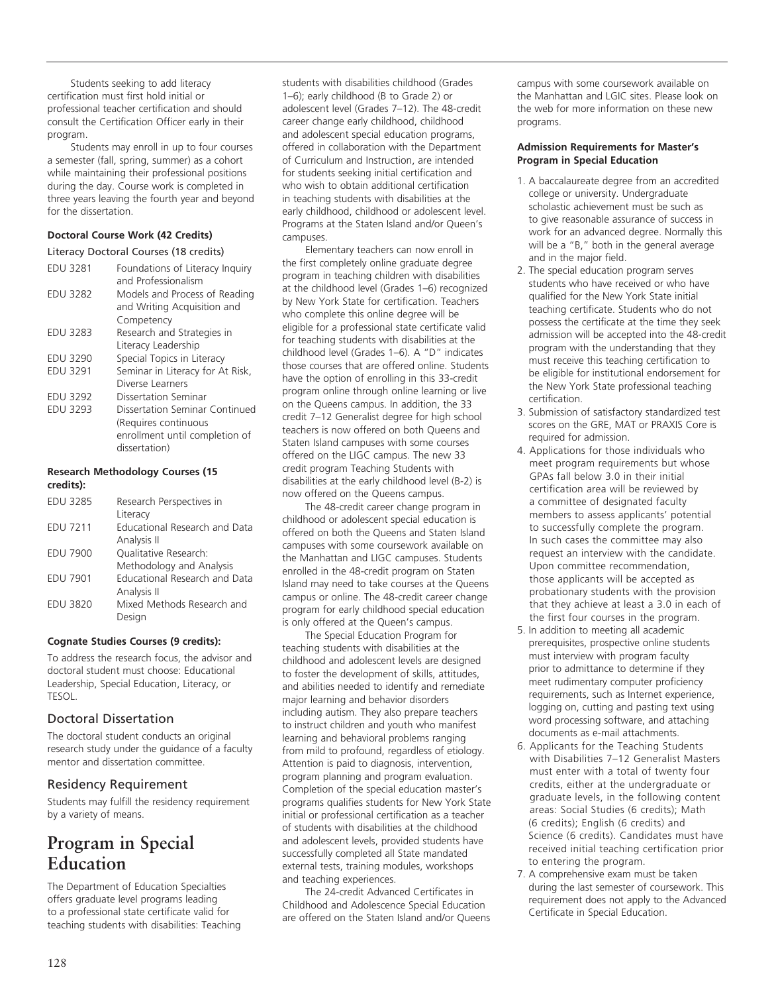Students seeking to add literacy certification must first hold initial or professional teacher certification and should consult the Certification Officer early in their program.

Students may enroll in up to four courses a semester (fall, spring, summer) as a cohort while maintaining their professional positions during the day. Course work is completed in three years leaving the fourth year and beyond for the dissertation.

#### **Doctoral Course Work (42 Credits)**

#### Literacy Doctoral Courses (18 credits)

| <b>EDU 3281</b> | Foundations of Literacy Inquiry<br>and Professionalism |
|-----------------|--------------------------------------------------------|
| <b>EDU 3282</b> | Models and Process of Reading                          |
|                 | and Writing Acquisition and                            |
|                 | Competency                                             |
| <b>EDU 3283</b> | Research and Strategies in                             |
|                 | Literacy Leadership                                    |
| <b>EDU 3290</b> | Special Topics in Literacy                             |
| <b>EDU 3291</b> | Seminar in Literacy for At Risk,                       |
|                 | Diverse Learners                                       |
| <b>EDU 3292</b> | Dissertation Seminar                                   |
| <b>EDU 3293</b> | Dissertation Seminar Continued                         |
|                 | (Requires continuous                                   |
|                 | enrollment until completion of                         |
|                 | dissertation)                                          |

#### **Research Methodology Courses (15 credits):**

| <b>EDU 3285</b> | Research Perspectives in             |
|-----------------|--------------------------------------|
|                 | Literacy                             |
| <b>EDU 7211</b> | Educational Research and Data        |
|                 | Analysis II                          |
| <b>EDU 7900</b> | Qualitative Research:                |
|                 | Methodology and Analysis             |
| <b>EDU 7901</b> | <b>Educational Research and Data</b> |
|                 | Analysis II                          |
| <b>EDU 3820</b> | Mixed Methods Research and           |
|                 | Design                               |

#### **Cognate Studies Courses (9 credits):**

To address the research focus, the advisor and doctoral student must choose: Educational Leadership, Special Education, Literacy, or TESOL.

## Doctoral Dissertation

The doctoral student conducts an original research study under the guidance of a faculty mentor and dissertation committee.

#### Residency Requirement

Students may fulfill the residency requirement by a variety of means.

# **Program in Special Education**

The Department of Education Specialties offers graduate level programs leading to a professional state certificate valid for teaching students with disabilities: Teaching students with disabilities childhood (Grades 1–6); early childhood (B to Grade 2) or adolescent level (Grades 7–12). The 48-credit career change early childhood, childhood and adolescent special education programs, offered in collaboration with the Department of Curriculum and Instruction, are intended for students seeking initial certification and who wish to obtain additional certification in teaching students with disabilities at the early childhood, childhood or adolescent level. Programs at the Staten Island and/or Queen's campuses.

Elementary teachers can now enroll in the first completely online graduate degree program in teaching children with disabilities at the childhood level (Grades 1–6) recognized by New York State for certification. Teachers who complete this online degree will be eligible for a professional state certificate valid for teaching students with disabilities at the childhood level (Grades 1–6). A "D" indicates those courses that are offered online. Students have the option of enrolling in this 33-credit program online through online learning or live on the Queens campus. In addition, the 33 credit 7–12 Generalist degree for high school teachers is now offered on both Queens and Staten Island campuses with some courses offered on the LIGC campus. The new 33 credit program Teaching Students with disabilities at the early childhood level (B-2) is now offered on the Queens campus.

The 48-credit career change program in childhood or adolescent special education is offered on both the Queens and Staten Island campuses with some coursework available on the Manhattan and LIGC campuses. Students enrolled in the 48-credit program on Staten Island may need to take courses at the Queens campus or online. The 48-credit career change program for early childhood special education is only offered at the Queen's campus.

The Special Education Program for teaching students with disabilities at the childhood and adolescent levels are designed to foster the development of skills, attitudes, and abilities needed to identify and remediate major learning and behavior disorders including autism. They also prepare teachers to instruct children and youth who manifest learning and behavioral problems ranging from mild to profound, regardless of etiology. Attention is paid to diagnosis, intervention, program planning and program evaluation. Completion of the special education master's programs qualifies students for New York State initial or professional certification as a teacher of students with disabilities at the childhood and adolescent levels, provided students have successfully completed all State mandated external tests, training modules, workshops and teaching experiences.

The 24-credit Advanced Certificates in Childhood and Adolescence Special Education are offered on the Staten Island and/or Queens campus with some coursework available on the Manhattan and LGIC sites. Please look on the web for more information on these new programs.

#### **Admission Requirements for Master's Program in Special Education**

- 1. A baccalaureate degree from an accredited college or university. Undergraduate scholastic achievement must be such as to give reasonable assurance of success in work for an advanced degree. Normally this will be a "B," both in the general average and in the major field.
- 2. The special education program serves students who have received or who have qualified for the New York State initial teaching certificate. Students who do not possess the certificate at the time they seek admission will be accepted into the 48-credit program with the understanding that they must receive this teaching certification to be eligible for institutional endorsement for the New York State professional teaching certification.
- 3. Submission of satisfactory standardized test scores on the GRE, MAT or PRAXIS Core is required for admission.
- 4. Applications for those individuals who meet program requirements but whose GPAs fall below 3.0 in their initial certification area will be reviewed by a committee of designated faculty members to assess applicants' potential to successfully complete the program. In such cases the committee may also request an interview with the candidate. Upon committee recommendation, those applicants will be accepted as probationary students with the provision that they achieve at least a 3.0 in each of the first four courses in the program.
- 5. In addition to meeting all academic prerequisites, prospective online students must interview with program faculty prior to admittance to determine if they meet rudimentary computer proficiency requirements, such as Internet experience, logging on, cutting and pasting text using word processing software, and attaching documents as e-mail attachments.
- 6. Applicants for the Teaching Students with Disabilities 7–12 Generalist Masters must enter with a total of twenty four credits, either at the undergraduate or graduate levels, in the following content areas: Social Studies (6 credits); Math (6 credits); English (6 credits) and Science (6 credits). Candidates must have received initial teaching certification prior to entering the program.
- 7. A comprehensive exam must be taken during the last semester of coursework. This requirement does not apply to the Advanced Certificate in Special Education.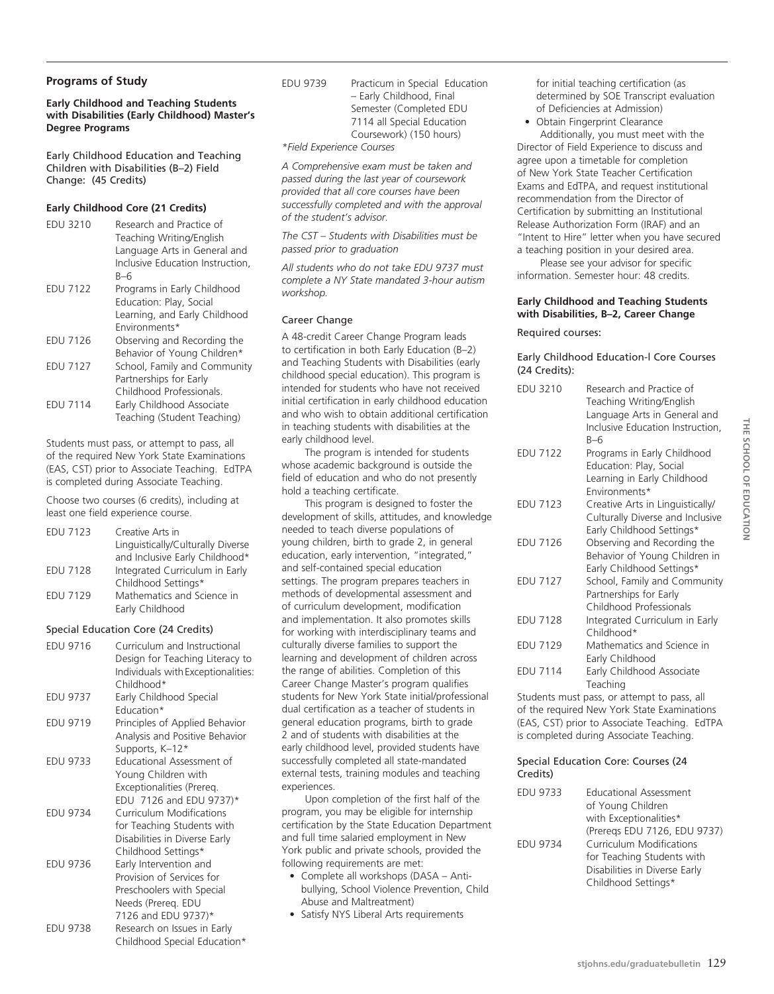#### **Programs of Study**

**Early Childhood and Teaching Students with Disabilities (Early Childhood) Master's Degree Programs**

Early Childhood Education and Teaching Children with Disabilities (B–2) Field Change: (45 Credits)

#### **Early Childhood Core (21 Credits)**

| <b>EDU 3210</b> | Research and Practice of<br>Teaching Writing/English<br>Language Arts in General and<br>Inclusive Education Instruction,<br>B-6 |
|-----------------|---------------------------------------------------------------------------------------------------------------------------------|
| <b>EDU 7122</b> | Programs in Early Childhood<br>Education: Play, Social<br>Learning, and Early Childhood<br>Fnvironments*                        |
| <b>EDU 7126</b> | Observing and Recording the<br>Behavior of Young Children*                                                                      |
| <b>EDU 7127</b> | School, Family and Community<br>Partnerships for Early<br>Childhood Professionals.                                              |
| <b>EDU 7114</b> | Early Childhood Associate<br>Teaching (Student Teaching)                                                                        |

Students must pass, or attempt to pass, all of the required New York State Examinations (EAS, CST) prior to Associate Teaching. EdTPA is completed during Associate Teaching.

Choose two courses (6 credits), including at least one field experience course.

| <b>EDU 7123</b> | Creative Arts in                  |
|-----------------|-----------------------------------|
|                 | Linguistically/Culturally Diverse |
|                 | and Inclusive Early Childhood*    |
| <b>EDU 7128</b> | Integrated Curriculum in Early    |
|                 | Childhood Settings*               |
| <b>EDU 7129</b> | Mathematics and Science in        |
|                 | Early Childhood                   |

#### Special Education Core (24 Credits)

| <b>EDU 9716</b> | Curriculum and Instructional<br>Design for Teaching Literacy to<br>Individuals with Exceptionalities:<br>Childhood* |
|-----------------|---------------------------------------------------------------------------------------------------------------------|
| <b>EDU 9737</b> | Early Childhood Special                                                                                             |
|                 | Education*                                                                                                          |
| <b>EDU 9719</b> | Principles of Applied Behavior                                                                                      |
|                 | Analysis and Positive Behavior                                                                                      |
|                 | Supports, K-12*                                                                                                     |
| EDU 9733        | Educational Assessment of                                                                                           |
|                 | Young Children with                                                                                                 |
|                 | Exceptionalities (Prereg.                                                                                           |
|                 | EDU 7126 and EDU 9737)*                                                                                             |
| <b>EDU 9734</b> | <b>Curriculum Modifications</b>                                                                                     |
|                 | for Teaching Students with                                                                                          |
|                 | Disabilities in Diverse Early                                                                                       |
|                 | Childhood Settings*                                                                                                 |
| <b>EDU 9736</b> | Early Intervention and                                                                                              |
|                 | Provision of Services for                                                                                           |
|                 | Preschoolers with Special                                                                                           |
|                 | Needs (Prereg. EDU                                                                                                  |
|                 | 7126 and EDU 9737)*                                                                                                 |
| <b>EDU 9738</b> | Research on Issues in Early                                                                                         |
|                 | Childhood Special Education*                                                                                        |

EDU 9739 Practicum in Special Education – Early Childhood, Final Semester (Completed EDU 7114 all Special Education Coursework) (150 hours)

*\*Field Experience Courses*

*A Comprehensive exam must be taken and passed during the last year of coursework provided that all core courses have been successfully completed and with the approval of the student's advisor.* 

*The CST – Students with Disabilities must be passed prior to graduation*

*All students who do not take EDU 9737 must complete a NY State mandated 3-hour autism workshop.*

#### Career Change

A 48-credit Career Change Program leads to certification in both Early Education (B–2) and Teaching Students with Disabilities (early childhood special education). This program is intended for students who have not received initial certification in early childhood education and who wish to obtain additional certification in teaching students with disabilities at the early childhood level.

The program is intended for students whose academic background is outside the field of education and who do not presently hold a teaching certificate.

This program is designed to foster the development of skills, attitudes, and knowledge needed to teach diverse populations of young children, birth to grade 2, in general education, early intervention, "integrated," and self-contained special education settings. The program prepares teachers in methods of developmental assessment and of curriculum development, modification and implementation. It also promotes skills for working with interdisciplinary teams and culturally diverse families to support the learning and development of children across the range of abilities. Completion of this Career Change Master's program qualifies students for New York State initial/professional dual certification as a teacher of students in general education programs, birth to grade 2 and of students with disabilities at the early childhood level, provided students have successfully completed all state-mandated external tests, training modules and teaching experiences.

Upon completion of the first half of the program, you may be eligible for internship certification by the State Education Department and full time salaried employment in New York public and private schools, provided the following requirements are met:

- Complete all workshops (DASA Antibullying, School Violence Prevention, Child Abuse and Maltreatment)
- Satisfy NYS Liberal Arts requirements

for initial teaching certification (as determined by SOE Transcript evaluation of Deficiencies at Admission)

• Obtain Fingerprint Clearance Additionally, you must meet with the Director of Field Experience to discuss and

agree upon a timetable for completion of New York State Teacher Certification Exams and EdTPA, and request institutional recommendation from the Director of Certification by submitting an Institutional Release Authorization Form (IRAF) and an "Intent to Hire" letter when you have secured a teaching position in your desired area.

Please see your advisor for specific information. Semester hour: 48 credits.

#### **Early Childhood and Teaching Students with Disabilities, B–2, Career Change**

#### Required courses:

#### Early Childhood Education-l Core Courses (24 Credits):

| <b>EDU 3210</b> | Research and Practice of<br>Teaching Writing/English<br>Language Arts in General and<br>Inclusive Education Instruction,<br>$B-6$ |
|-----------------|-----------------------------------------------------------------------------------------------------------------------------------|
| <b>EDU 7122</b> | Programs in Early Childhood<br>Education: Play, Social<br>Learning in Early Childhood<br>Environments*                            |
| <b>EDU 7123</b> | Creative Arts in Linguistically/<br>Culturally Diverse and Inclusive<br>Early Childhood Settings*                                 |
| <b>EDU 7126</b> | Observing and Recording the<br>Behavior of Young Children in<br>Early Childhood Settings*                                         |
| <b>EDU 7127</b> | School, Family and Community<br>Partnerships for Early<br>Childhood Professionals                                                 |
| <b>EDU 7128</b> | Integrated Curriculum in Early<br>Childhood*                                                                                      |
| <b>EDU 7129</b> | Mathematics and Science in<br>Early Childhood                                                                                     |
| <b>FDU 7114</b> | Early Childhood Associate<br>Teaching                                                                                             |

Students must pass, or attempt to pass, all of the required New York State Examinations (EAS, CST) prior to Associate Teaching. EdTPA is completed during Associate Teaching.

#### Special Education Core: Courses (24 Credits)

| <b>EDU 9733</b> | <b>Educational Assessment</b><br>of Young Children<br>with Exceptionalities* |
|-----------------|------------------------------------------------------------------------------|
|                 | (Preregs EDU 7126, EDU 9737)                                                 |
| <b>EDU 9734</b> | Curriculum Modifications                                                     |
|                 | for Teaching Students with                                                   |
|                 | Disabilities in Diverse Early                                                |
|                 | Childhood Settings*                                                          |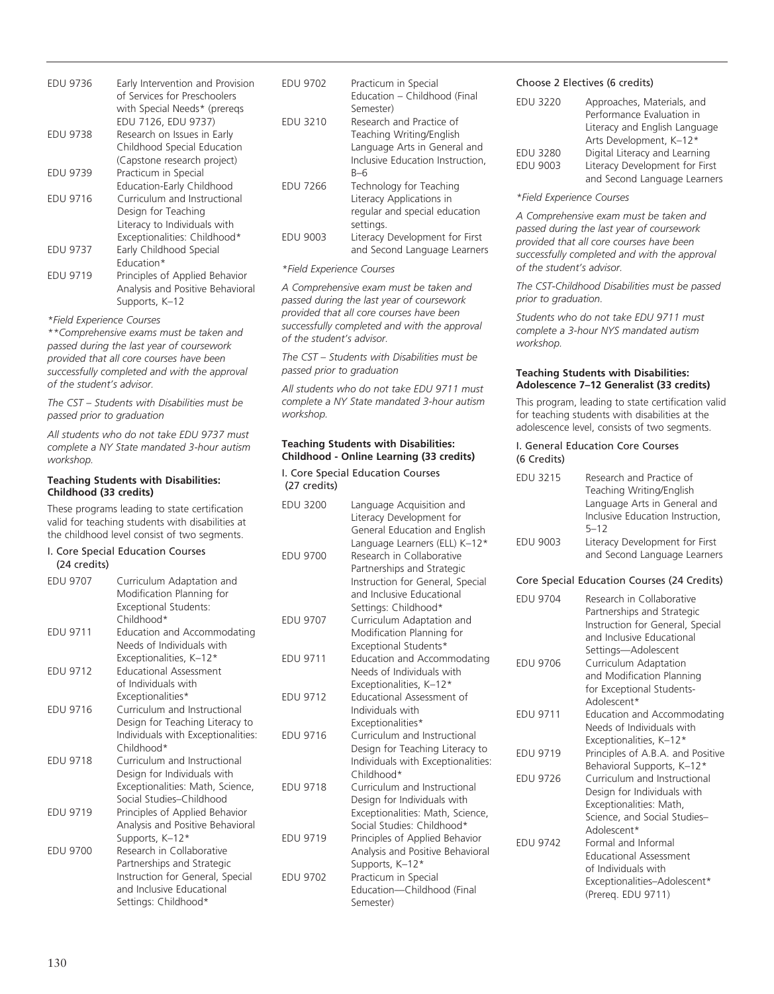| <b>EDU 9736</b> | Early Intervention and Provision<br>of Services for Preschoolers<br>with Special Needs* (preregs |
|-----------------|--------------------------------------------------------------------------------------------------|
|                 | EDU 7126, EDU 9737)                                                                              |
| <b>EDU 9738</b> | Research on Issues in Early                                                                      |
|                 | Childhood Special Education                                                                      |
|                 | (Capstone research project)                                                                      |
| <b>EDU 9739</b> | Practicum in Special                                                                             |
|                 | Education-Early Childhood                                                                        |
| <b>EDU 9716</b> | Curriculum and Instructional                                                                     |
|                 | Design for Teaching                                                                              |
|                 | Literacy to Individuals with                                                                     |
|                 | Exceptionalities: Childhood*                                                                     |
| <b>EDU 9737</b> | Early Childhood Special                                                                          |
|                 | Education*                                                                                       |
| <b>FDU 9719</b> | Principles of Applied Behavior                                                                   |
|                 | Analysis and Positive Behavioral                                                                 |
|                 | Supports, K-12                                                                                   |

*\*Field Experience Courses*

*\*\*Comprehensive exams must be taken and passed during the last year of coursework provided that all core courses have been successfully completed and with the approval of the student's advisor.*

*The CST – Students with Disabilities must be passed prior to graduation*

*All students who do not take EDU 9737 must complete a NY State mandated 3-hour autism workshop.*

#### **Teaching Students with Disabilities: Childhood (33 credits)**

These programs leading to state certification valid for teaching students with disabilities at the childhood level consist of two segments.

#### I. Core Special Education Courses (24 credits)

| <b>EDU 9707</b> | Curriculum Adaptation and<br>Modification Planning for<br><b>Exceptional Students:</b> |
|-----------------|----------------------------------------------------------------------------------------|
|                 | Childhood*                                                                             |
| <b>EDU 9711</b> | Education and Accommodating<br>Needs of Individuals with                               |
|                 | Exceptionalities, K-12*                                                                |
| <b>EDU 9712</b> | <b>Educational Assessment</b>                                                          |
|                 | of Individuals with                                                                    |
|                 | Exceptionalities*                                                                      |
| <b>EDU 9716</b> | Curriculum and Instructional                                                           |
|                 | Design for Teaching Literacy to<br>Individuals with Exceptionalities:<br>Childhood*    |
| <b>EDU 9718</b> | Curriculum and Instructional<br>Design for Individuals with                            |
|                 | Exceptionalities: Math, Science,                                                       |
|                 | Social Studies-Childhood                                                               |
| <b>EDU 9719</b> | Principles of Applied Behavior                                                         |
|                 | Analysis and Positive Behavioral                                                       |
|                 | Supports, K-12*                                                                        |
| <b>EDU 9700</b> | Research in Collaborative                                                              |
|                 | Partnerships and Strategic                                                             |
|                 | Instruction for General, Special                                                       |
|                 | and Inclusive Educational                                                              |
|                 | Settings: Childhood*                                                                   |

| <b>EDU 9702</b> | Practicum in Special             |
|-----------------|----------------------------------|
|                 | Education - Childhood (Final     |
|                 | Semester)                        |
| <b>EDU 3210</b> | Research and Practice of         |
|                 | Teaching Writing/English         |
|                 | Language Arts in General and     |
|                 | Inclusive Education Instruction. |
|                 | $B-6$                            |
| <b>EDU 7266</b> | Technology for Teaching          |
|                 | Literacy Applications in         |
|                 | regular and special education    |
|                 | settings.                        |
| <b>EDU 9003</b> | Literacy Development for First   |
|                 | and Second Language Learners     |

#### *\*Field Experience Courses*

*A Comprehensive exam must be taken and passed during the last year of coursework provided that all core courses have been successfully completed and with the approval of the student's advisor.* 

*The CST – Students with Disabilities must be passed prior to graduation*

*All students who do not take EDU 9711 must complete a NY State mandated 3-hour autism workshop.*

#### **Teaching Students with Disabilities: Childhood - Online Learning (33 credits)**

I. Core Special Education Courses (27 credits)

| <b>EDU 3200</b> | Language Acquisition and<br>Literacy Development for<br>General Education and English<br>Language Learners (ELL) K-12*                           |
|-----------------|--------------------------------------------------------------------------------------------------------------------------------------------------|
| <b>FDU 9700</b> | Research in Collaborative<br>Partnerships and Strategic<br>Instruction for General, Special<br>and Inclusive Educational<br>Settings: Childhood* |
| <b>EDU 9707</b> | Curriculum Adaptation and<br>Modification Planning for<br>Exceptional Students*                                                                  |
| <b>EDU 9711</b> | Education and Accommodating<br>Needs of Individuals with<br>Exceptionalities, K-12*                                                              |
| <b>EDU 9712</b> | Educational Assessment of<br>Individuals with<br>Exceptionalities*                                                                               |
| <b>EDU 9716</b> | Curriculum and Instructional<br>Design for Teaching Literacy to<br>Individuals with Exceptionalities:<br>Childhood*                              |
| <b>EDU 9718</b> | Curriculum and Instructional<br>Design for Individuals with<br>Exceptionalities: Math, Science,<br>Social Studies: Childhood*                    |
| <b>EDU 9719</b> | Principles of Applied Behavior<br>Analysis and Positive Behavioral<br>Supports, K-12*                                                            |
| <b>EDU 9702</b> | Practicum in Special<br>Education-Childhood (Final<br>Semester)                                                                                  |

#### Choose 2 Electives (6 credits)

| <b>EDU 3220</b> | Approaches, Materials, and     |
|-----------------|--------------------------------|
|                 | Performance Evaluation in      |
|                 | Literacy and English Language  |
|                 | Arts Development, K-12*        |
| <b>EDU 3280</b> | Digital Literacy and Learning  |
| <b>EDU 9003</b> | Literacy Development for First |
|                 | and Second Language Learners   |

#### *\*Field Experience Courses*

*A Comprehensive exam must be taken and passed during the last year of coursework provided that all core courses have been successfully completed and with the approval of the student's advisor.*

*The CST-Childhood Disabilities must be passed prior to graduation.* 

*Students who do not take EDU 9711 must complete a 3-hour NYS mandated autism workshop.*

#### **Teaching Students with Disabilities: Adolescence 7–12 Generalist (33 credits)**

This program, leading to state certification valid for teaching students with disabilities at the adolescence level, consists of two segments.

#### I. General Education Core Courses (6 Credits)

| <b>EDU 3215</b> | Research and Practice of<br>Teaching Writing/English<br>Language Arts in General and<br>Inclusive Education Instruction, |
|-----------------|--------------------------------------------------------------------------------------------------------------------------|
| <b>EDU 9003</b> | $5 - 12$<br>Literacy Development for First<br>and Second Language Learners                                               |

#### Core Special Education Courses (24 Credits)

| <b>FDU 9704</b> | Research in Collaborative<br>Partnerships and Strategic<br>Instruction for General, Special<br>and Inclusive Educational<br>Settings-Adolescent |
|-----------------|-------------------------------------------------------------------------------------------------------------------------------------------------|
| <b>EDU 9706</b> | Curriculum Adaptation<br>and Modification Planning<br>for Exceptional Students-<br>Adolescent*                                                  |
| <b>EDU 9711</b> | Education and Accommodating<br>Needs of Individuals with<br>Exceptionalities, K-12*                                                             |
| <b>FDU 9719</b> | Principles of A.B.A. and Positive<br>Behavioral Supports, K-12*                                                                                 |
| <b>FDU 9726</b> | Curriculum and Instructional<br>Design for Individuals with<br>Exceptionalities: Math,<br>Science, and Social Studies-<br>Adolescent*           |
| <b>FDU 9742</b> | Formal and Informal<br>Educational Assessment<br>of Individuals with<br>Exceptionalities-Adolescent*<br>(Prereq. EDU 9711)                      |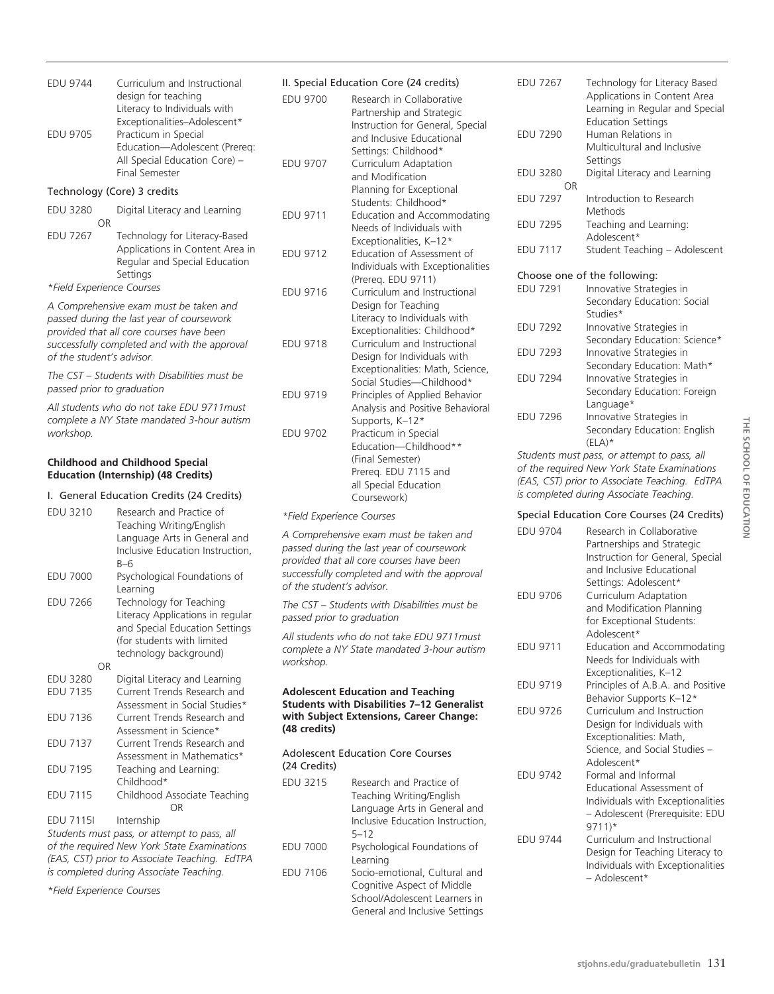| design for teaching<br>Literacy to Individuals with<br>Exceptionalities-Adolescent*<br>Practicum in Special<br>Education-Adolescent (Prereq:<br>All Special Education Core) -<br><b>Final Semester</b> | ED<br>ED                                                                                                                                                                                                                                |
|--------------------------------------------------------------------------------------------------------------------------------------------------------------------------------------------------------|-----------------------------------------------------------------------------------------------------------------------------------------------------------------------------------------------------------------------------------------|
| Technology (Core) 3 credits                                                                                                                                                                            |                                                                                                                                                                                                                                         |
| Digital Literacy and Learning                                                                                                                                                                          | ED                                                                                                                                                                                                                                      |
| Technology for Literacy-Based<br>Applications in Content Area in<br>Regular and Special Education<br>Settings                                                                                          | ED                                                                                                                                                                                                                                      |
|                                                                                                                                                                                                        | ED                                                                                                                                                                                                                                      |
| passed during the last year of coursework<br>provided that all core courses have been<br>successfully completed and with the approval<br>of the student's advisor.                                     | ED                                                                                                                                                                                                                                      |
| The CST – Students with Disabilities must be                                                                                                                                                           |                                                                                                                                                                                                                                         |
|                                                                                                                                                                                                        | ED                                                                                                                                                                                                                                      |
|                                                                                                                                                                                                        |                                                                                                                                                                                                                                         |
|                                                                                                                                                                                                        | ED                                                                                                                                                                                                                                      |
|                                                                                                                                                                                                        |                                                                                                                                                                                                                                         |
| <b>Education (Internship) (48 Credits)</b>                                                                                                                                                             |                                                                                                                                                                                                                                         |
| I. General Education Credits (24 Credits)                                                                                                                                                              |                                                                                                                                                                                                                                         |
| Research and Practice of                                                                                                                                                                               | *F                                                                                                                                                                                                                                      |
| Teaching Writing/English<br>Language Arts in General and<br>Inclusive Education Instruction,                                                                                                           | $\mathcal{A}$<br>pa.                                                                                                                                                                                                                    |
| $B-6$<br>Psychological Foundations of                                                                                                                                                                  | pro<br><b>SU</b>                                                                                                                                                                                                                        |
| Learning                                                                                                                                                                                               | оf                                                                                                                                                                                                                                      |
| Technology for Teaching                                                                                                                                                                                | Th                                                                                                                                                                                                                                      |
| Literacy Applications in regular<br>and Special Education Settings                                                                                                                                     | pa.                                                                                                                                                                                                                                     |
| (for students with limited                                                                                                                                                                             | All                                                                                                                                                                                                                                     |
| technology background)                                                                                                                                                                                 | CO<br>WC                                                                                                                                                                                                                                |
| Digital Literacy and Learning                                                                                                                                                                          |                                                                                                                                                                                                                                         |
| Current Trends Research and                                                                                                                                                                            | Αc                                                                                                                                                                                                                                      |
| Assessment in Social Studies*                                                                                                                                                                          | Stı<br>wi                                                                                                                                                                                                                               |
| Current Trends Research and<br>Assessment in Science*                                                                                                                                                  | (48                                                                                                                                                                                                                                     |
| Current Trends Research and                                                                                                                                                                            |                                                                                                                                                                                                                                         |
| Assessment in Mathematics*                                                                                                                                                                             | Ac<br>(24)                                                                                                                                                                                                                              |
| Teaching and Learning:<br>Childhood*                                                                                                                                                                   | ED                                                                                                                                                                                                                                      |
| Childhood Associate Teaching                                                                                                                                                                           |                                                                                                                                                                                                                                         |
| <b>OR</b><br>Internship                                                                                                                                                                                |                                                                                                                                                                                                                                         |
| Students must pass, or attempt to pass, all                                                                                                                                                            |                                                                                                                                                                                                                                         |
| of the required New York State Examinations<br>(EAS, CST) prior to Associate Teaching. EdTPA                                                                                                           | ED                                                                                                                                                                                                                                      |
|                                                                                                                                                                                                        | *Field Experience Courses<br>A Comprehensive exam must be taken and<br>passed prior to graduation<br>All students who do not take EDU 9711 must<br>complete a NY State mandated 3-hour autism<br><b>Childhood and Childhood Special</b> |

*\*Field Experience Courses*

### II. Special Education Core (24 credits)

| <b>EDU 9744</b>                                                                                                                                                                                              | Curriculum and Instructional                                                                                                                                                  | II. Special Education Core (24 credits) |                                                                                                                                                                          |  |
|--------------------------------------------------------------------------------------------------------------------------------------------------------------------------------------------------------------|-------------------------------------------------------------------------------------------------------------------------------------------------------------------------------|-----------------------------------------|--------------------------------------------------------------------------------------------------------------------------------------------------------------------------|--|
| <b>EDU 9705</b>                                                                                                                                                                                              | design for teaching<br>Literacy to Individuals with<br>Exceptionalities-Adolescent*<br>Practicum in Special<br>Education-Adolescent (Prereq:<br>All Special Education Core) - | <b>EDU 9700</b><br><b>EDU 9707</b>      | Research in Collaborative<br>Partnership and Strategic<br>Instruction for General, Special<br>and Inclusive Educational<br>Settings: Childhood*<br>Curriculum Adaptation |  |
|                                                                                                                                                                                                              | <b>Final Semester</b>                                                                                                                                                         |                                         | and Modification                                                                                                                                                         |  |
| Technology (Core) 3 credits                                                                                                                                                                                  |                                                                                                                                                                               |                                         | Planning for Exceptional                                                                                                                                                 |  |
| <b>EDU 3280</b><br><b>OR</b>                                                                                                                                                                                 | Digital Literacy and Learning                                                                                                                                                 | <b>EDU 9711</b>                         | Students: Childhood*<br>Education and Accommodating<br>Needs of Individuals with                                                                                         |  |
| <b>EDU 7267</b>                                                                                                                                                                                              | Technology for Literacy-Based<br>Applications in Content Area in<br>Regular and Special Education<br>Settings                                                                 | <b>EDU 9712</b>                         | Exceptionalities, K-12*<br>Education of Assessment of<br>Individuals with Exceptionalities                                                                               |  |
| *Field Experience Courses                                                                                                                                                                                    |                                                                                                                                                                               | <b>EDU 9716</b>                         | (Prereg. EDU 9711)<br>Curriculum and Instructional                                                                                                                       |  |
| A Comprehensive exam must be taken and<br>passed during the last year of coursework<br>provided that all core courses have been<br>successfully completed and with the approval<br>of the student's advisor. |                                                                                                                                                                               | <b>EDU 9718</b>                         | Design for Teaching<br>Literacy to Individuals with<br>Exceptionalities: Childhood*<br>Curriculum and Instructional<br>Design for Individuals with                       |  |
| The CST – Students with Disabilities must be<br>passed prior to graduation                                                                                                                                   |                                                                                                                                                                               | EDU 9719                                | Exceptionalities: Math, Science,<br>Social Studies-Childhood*<br>Principles of Applied Behavior                                                                          |  |
| All students who do not take EDU 9711 must<br>complete a NY State mandated 3-hour autism<br>workshop.                                                                                                        |                                                                                                                                                                               | <b>EDU 9702</b>                         | Analysis and Positive Behavioral<br>Supports, K-12*<br>Practicum in Special<br>Education-Childhood**                                                                     |  |
| <b>Childhood and Childhood Special</b><br><b>Education (Internship) (48 Credits)</b>                                                                                                                         |                                                                                                                                                                               |                                         | (Final Semester)<br>Prereg. EDU 7115 and<br>all Special Education                                                                                                        |  |
|                                                                                                                                                                                                              | I. General Education Credits (24 Credits)                                                                                                                                     |                                         | Coursework)                                                                                                                                                              |  |
|                                                                                                                                                                                                              |                                                                                                                                                                               |                                         |                                                                                                                                                                          |  |

#### $i$ eld Experience Courses

Comprehensive exam must be taken and *passed during the last year of coursework provided that all core courses have been successfully completed and with the approval*  the student's advisor.

*The CST – Students with Disabilities must be passed prior to graduation*

*All students who do not take EDU 9711must complete a NY State mandated 3-hour autism workshop.*

#### **Adolescent Education and Teaching Students with Disabilities 7–12 Generalist with Subject Extensions, Career Change: (48 credits)**

dolescent Education Core Courses 4 Credits)

| <b>EDU 3215</b> | Research and Practice of         |
|-----------------|----------------------------------|
|                 | Teaching Writing/English         |
|                 | Language Arts in General and     |
|                 | Inclusive Education Instruction, |
|                 | $5 - 12$                         |
| EDU 7000        | Psychological Foundations of     |
|                 | Learning                         |
| <b>EDU 7106</b> | Socio-emotional, Cultural and    |
|                 | Cognitive Aspect of Middle       |
|                 | School/Adolescent Learners in    |
|                 | General and Inclusive Settings   |

| <b>EDU 7267</b>              | Technology for Literacy Based<br>Applications in Content Area<br>Learning in Regular and Special                   |  |  |
|------------------------------|--------------------------------------------------------------------------------------------------------------------|--|--|
| <b>EDU 7290</b>              | <b>Education Settings</b><br>Human Relations in                                                                    |  |  |
|                              | Multicultural and Inclusive                                                                                        |  |  |
|                              | Settings                                                                                                           |  |  |
| <b>EDU 3280</b>              | Digital Literacy and Learning                                                                                      |  |  |
| OR                           |                                                                                                                    |  |  |
| <b>EDU 7297</b>              | Introduction to Research                                                                                           |  |  |
|                              | Methods                                                                                                            |  |  |
| <b>EDU 7295</b>              | Teaching and Learning:                                                                                             |  |  |
|                              | Adolescent*                                                                                                        |  |  |
| <b>EDU 7117</b>              | Student Teaching - Adolescent                                                                                      |  |  |
| Choose one of the following: |                                                                                                                    |  |  |
| <b>EDU 7291</b>              | Innovative Strategies in                                                                                           |  |  |
|                              | Secondary Education: Social                                                                                        |  |  |
|                              | studies*                                                                                                           |  |  |
| <b>EDU 7292</b>              | Innovative Strategies in                                                                                           |  |  |
|                              | Secondary Education: Science*                                                                                      |  |  |
| <b>EDU 7293</b>              | Innovative Strategies in                                                                                           |  |  |
|                              |                                                                                                                    |  |  |
| <b>EDU 7294</b>              |                                                                                                                    |  |  |
|                              | Secondary Education: Foreign                                                                                       |  |  |
|                              | Language*                                                                                                          |  |  |
| <b>EDU 7296</b>              |                                                                                                                    |  |  |
|                              |                                                                                                                    |  |  |
|                              | $(ELA)*$                                                                                                           |  |  |
|                              |                                                                                                                    |  |  |
|                              | Secondary Education: Math*<br>Innovative Strategies in<br>Innovative Strategies in<br>Secondary Education: English |  |  |

*Students must pass, or attempt to pass, all of the required New York State Examinations (EAS, CST) prior to Associate Teaching. EdTPA is completed during Associate Teaching.*

#### Special Education Core Courses (24 Credits)

| <b>EDU 9704</b> | Research in Collaborative<br>Partnerships and Strategic<br>Instruction for General, Special<br>and Inclusive Educational<br>Settings: Adolescent* |
|-----------------|---------------------------------------------------------------------------------------------------------------------------------------------------|
| <b>EDU 9706</b> | Curriculum Adaptation<br>and Modification Planning<br>for Exceptional Students:<br>Adolescent*                                                    |
| <b>EDU 9711</b> | Education and Accommodating<br>Needs for Individuals with<br>Exceptionalities, K-12                                                               |
| <b>EDU 9719</b> | Principles of A.B.A. and Positive<br>Behavior Supports K-12*                                                                                      |
| <b>EDU 9726</b> | Curriculum and Instruction<br>Design for Individuals with<br>Exceptionalities: Math,<br>Science, and Social Studies -<br>Adolescent*              |
| <b>EDU 9742</b> | Formal and Informal<br>Educational Assessment of<br>Individuals with Exceptionalities<br>- Adolescent (Prerequisite: EDU<br>$9711$ <sup>*</sup>   |
| <b>FDU 9744</b> | Curriculum and Instructional<br>Design for Teaching Literacy to<br>Individuals with Exceptionalities<br>- Adolescent*                             |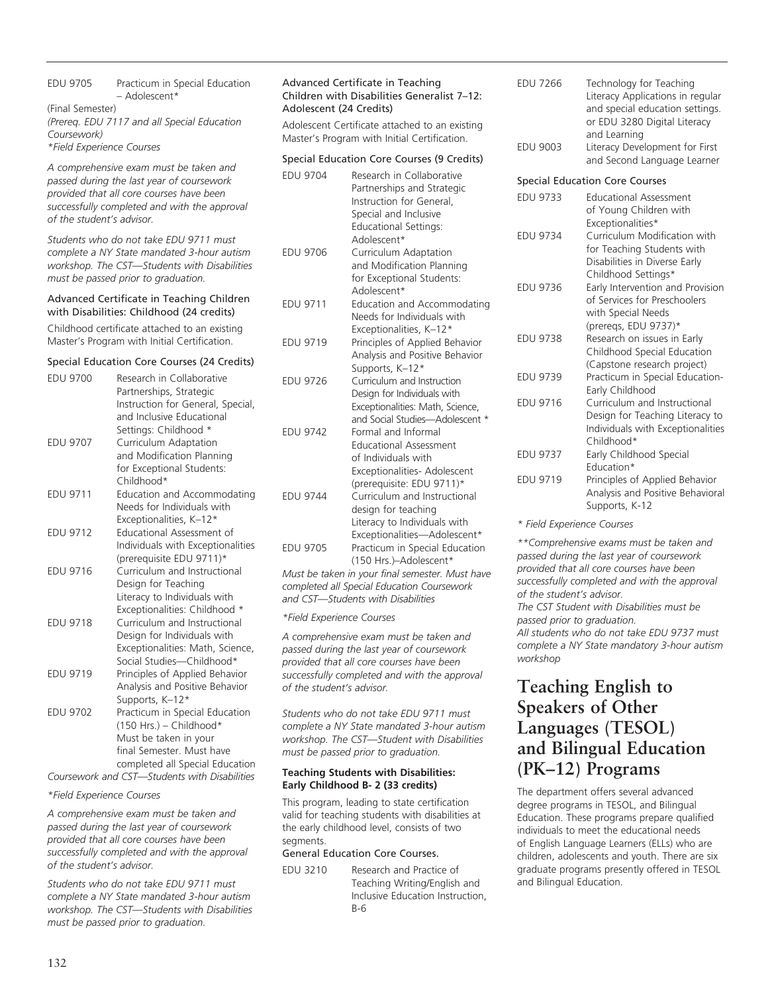#### EDU 9705 Practicum in Special Education – Adolescent\* (Final Semester) *(Prereq. EDU 7117 and all Special Education Coursework) \*Field Experience Courses*

*A comprehensive exam must be taken and passed during the last year of coursework provided that all core courses have been successfully completed and with the approval of the student's advisor.*

*Students who do not take EDU 9711 must complete a NY State mandated 3-hour autism workshop. The CST—Students with Disabilities must be passed prior to graduation.*

#### Advanced Certificate in Teaching Children with Disabilities: Childhood (24 credits)

Childhood certificate attached to an existing Master's Program with Initial Certification.

#### Special Education Core Courses (24 Credits)

| <b>EDU 9700</b> | Research in Collaborative                     |
|-----------------|-----------------------------------------------|
|                 | Partnerships, Strategic                       |
|                 | Instruction for General, Special,             |
|                 | and Inclusive Educational                     |
|                 | Settings: Childhood *                         |
| <b>EDU 9707</b> | Curriculum Adaptation                         |
|                 | and Modification Planning                     |
|                 | for Exceptional Students:                     |
|                 | Childhood*                                    |
| <b>EDU 9711</b> | Education and Accommodating                   |
|                 | Needs for Individuals with                    |
|                 | Exceptionalities, K-12*                       |
| <b>EDU 9712</b> | Educational Assessment of                     |
|                 | Individuals with Exceptionalities             |
|                 | (prerequisite EDU 9711)*                      |
| <b>EDU 9716</b> | Curriculum and Instructional                  |
|                 | Design for Teaching                           |
|                 | Literacy to Individuals with                  |
|                 | Exceptionalities: Childhood *                 |
| <b>EDU 9718</b> | Curriculum and Instructional                  |
|                 | Design for Individuals with                   |
|                 | Exceptionalities: Math, Science,              |
|                 | Social Studies-Childhood*                     |
| <b>EDU 9719</b> | Principles of Applied Behavior                |
|                 | Analysis and Positive Behavior                |
|                 | Supports, K-12*                               |
| <b>EDU 9702</b> | Practicum in Special Education                |
|                 | $(150$ Hrs.) - Childhood*                     |
|                 | Must be taken in your                         |
|                 | final Semester. Must have                     |
|                 | completed all Special Education               |
|                 | Coursework and CST-Students with Disabilities |

*\*Field Experience Courses*

*A comprehensive exam must be taken and passed during the last year of coursework provided that all core courses have been successfully completed and with the approval of the student's advisor.*

*Students who do not take EDU 9711 must complete a NY State mandated 3-hour autism workshop. The CST—Students with Disabilities must be passed prior to graduation.* 

#### Advanced Certificate in Teaching Children with Disabilities Generalist 7–12: Adolescent (24 Credits)

Adolescent Certificate attached to an existing Master's Program with Initial Certification.

#### Special Education Core Courses (9 Credits)

| <b>EDU 9704</b> | Research in Collaborative<br>Partnerships and Strategic<br>Instruction for General,<br>Special and Inclusive<br><b>Educational Settings:</b><br>Adolescent* |
|-----------------|-------------------------------------------------------------------------------------------------------------------------------------------------------------|
| <b>EDU 9706</b> | Curriculum Adaptation<br>and Modification Planning<br>for Exceptional Students:<br>Adolescent*                                                              |
| <b>EDU 9711</b> | Education and Accommodating<br>Needs for Individuals with<br>Exceptionalities, K-12*                                                                        |
| <b>EDU 9719</b> | Principles of Applied Behavior<br>Analysis and Positive Behavior<br>Supports, K-12*                                                                         |
| <b>EDU 9726</b> | Curriculum and Instruction<br>Design for Individuals with<br>Exceptionalities: Math, Science,<br>and Social Studies-Adolescent *                            |
| <b>EDU 9742</b> | Formal and Informal<br><b>Educational Assessment</b><br>of Individuals with<br>Exceptionalities- Adolescent<br>(prerequisite: EDU 9711)*                    |
| <b>EDU 9744</b> | Curriculum and Instructional<br>design for teaching<br>Literacy to Individuals with<br>Exceptionalities-Adolescent*                                         |
| <b>EDU 9705</b> | Practicum in Special Education<br>(150 Hrs.)-Adolescent*                                                                                                    |

*Must be taken in your final semester. Must have completed all Special Education Coursework and CST—Students with Disabilities*

#### *\*Field Experience Courses*

*A comprehensive exam must be taken and passed during the last year of coursework provided that all core courses have been successfully completed and with the approval of the student's advisor.*

*Students who do not take EDU 9711 must complete a NY State mandated 3-hour autism workshop. The CST—Student with Disabilities must be passed prior to graduation.*

#### **Teaching Students with Disabilities: Early Childhood B- 2 (33 credits)**

This program, leading to state certification valid for teaching students with disabilities at the early childhood level, consists of two segments.

#### General Education Core Courses.

EDU 3210 Research and Practice of Teaching Writing/English and Inclusive Education Instruction, B-6

| <b>EDU 7266</b><br><b>EDU 9003</b> | Technology for Teaching<br>Literacy Applications in regular<br>and special education settings.<br>or EDU 3280 Digital Literacy<br>and Learning<br>Literacy Development for First |
|------------------------------------|----------------------------------------------------------------------------------------------------------------------------------------------------------------------------------|
|                                    | and Second Language Learner                                                                                                                                                      |
|                                    | <b>Special Education Core Courses</b>                                                                                                                                            |
| <b>EDU 9733</b>                    | <b>Educational Assessment</b>                                                                                                                                                    |
|                                    | of Young Children with<br>Exceptionalities*                                                                                                                                      |
| <b>EDU 9734</b>                    | Curriculum Modification with                                                                                                                                                     |
|                                    | for Teaching Students with                                                                                                                                                       |
|                                    | Disabilities in Diverse Early<br>Childhood Settings*                                                                                                                             |
| <b>EDU 9736</b>                    | Early Intervention and Provision                                                                                                                                                 |
|                                    | of Services for Preschoolers                                                                                                                                                     |
|                                    | with Special Needs<br>(prereqs, EDU 9737)*                                                                                                                                       |
| <b>EDU 9738</b>                    | Research on issues in Early                                                                                                                                                      |
|                                    | Childhood Special Education                                                                                                                                                      |
|                                    | (Capstone research project)                                                                                                                                                      |
| <b>EDU 9739</b>                    | Practicum in Special Education-<br>Early Childhood                                                                                                                               |
| <b>EDU 9716</b>                    | Curriculum and Instructional                                                                                                                                                     |
|                                    | Design for Teaching Literacy to                                                                                                                                                  |
|                                    | Individuals with Exceptionalities<br>Childhood*                                                                                                                                  |
| <b>FRU 0737</b>                    |                                                                                                                                                                                  |

EDU 9737 Early Childhood Special Education\* EDU 9719 Principles of Applied Behavior Analysis and Positive Behavioral Supports, K-12

*\* Field Experience Courses*

*\*\*Comprehensive exams must be taken and passed during the last year of coursework provided that all core courses have been successfully completed and with the approval of the student's advisor.*

*The CST Student with Disabilities must be passed prior to graduation. All students who do not take EDU 9737 must complete a NY State mandatory 3-hour autism workshop*

# **Teaching English to Speakers of Other Languages (TESOL) and Bilingual Education (PK–12) Programs**

The department offers several advanced degree programs in TESOL, and Bilingual Education. These programs prepare qualified individuals to meet the educational needs of English Language Learners (ELLs) who are children, adolescents and youth. There are six graduate programs presently offered in TESOL and Bilingual Education.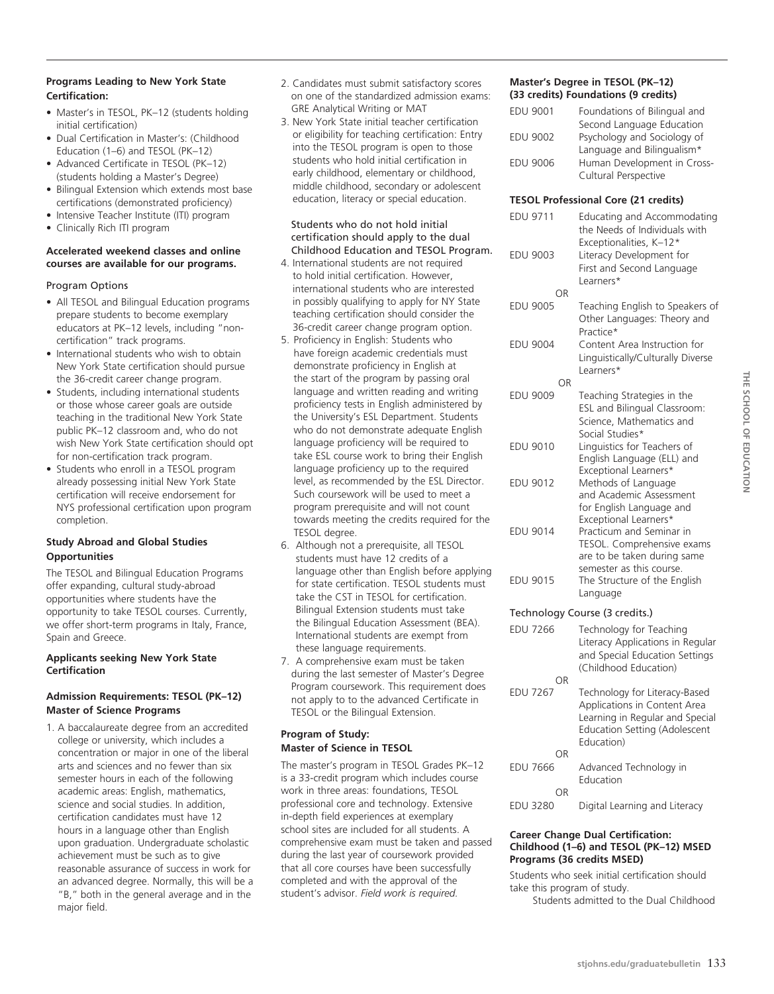## **Programs Leading to New York State Certification:**

- Master's in TESOL, PK–12 (students holding initial certification)
- Dual Certification in Master's: (Childhood Education (1–6) and TESOL (PK–12)
- Advanced Certificate in TESOL (PK–12) (students holding a Master's Degree)
- Bilingual Extension which extends most base certifications (demonstrated proficiency)
- Intensive Teacher Institute (ITI) program
- Clinically Rich ITI program

#### **Accelerated weekend classes and online courses are available for our programs.**

#### Program Options

- All TESOL and Bilingual Education programs prepare students to become exemplary educators at PK–12 levels, including "noncertification" track programs.
- International students who wish to obtain New York State certification should pursue the 36-credit career change program.
- Students, including international students or those whose career goals are outside teaching in the traditional New York State public PK–12 classroom and, who do not wish New York State certification should opt for non-certification track program.
- Students who enroll in a TESOL program already possessing initial New York State certification will receive endorsement for NYS professional certification upon program completion.

#### **Study Abroad and Global Studies Opportunities**

The TESOL and Bilingual Education Programs offer expanding, cultural study-abroad opportunities where students have the opportunity to take TESOL courses. Currently, we offer short-term programs in Italy, France, Spain and Greece.

#### **Applicants seeking New York State Certification**

#### **Admission Requirements: TESOL (PK–12) Master of Science Programs**

1. A baccalaureate degree from an accredited college or university, which includes a concentration or major in one of the liberal arts and sciences and no fewer than six semester hours in each of the following academic areas: English, mathematics, science and social studies. In addition, certification candidates must have 12 hours in a language other than English upon graduation. Undergraduate scholastic achievement must be such as to give reasonable assurance of success in work for an advanced degree. Normally, this will be a "B," both in the general average and in the major field.

- 2. Candidates must submit satisfactory scores on one of the standardized admission exams: GRE Analytical Writing or MAT
- 3. New York State initial teacher certification or eligibility for teaching certification: Entry into the TESOL program is open to those students who hold initial certification in early childhood, elementary or childhood, middle childhood, secondary or adolescent education, literacy or special education.

#### Students who do not hold initial certification should apply to the dual Childhood Education and TESOL Program.

- 4. International students are not required to hold initial certification. However, international students who are interested in possibly qualifying to apply for NY State teaching certification should consider the 36-credit career change program option.
- 5. Proficiency in English: Students who have foreign academic credentials must demonstrate proficiency in English at the start of the program by passing oral language and written reading and writing proficiency tests in English administered by the University's ESL Department. Students who do not demonstrate adequate English language proficiency will be required to take ESL course work to bring their English language proficiency up to the required level, as recommended by the ESL Director. Such coursework will be used to meet a program prerequisite and will not count towards meeting the credits required for the TESOL degree.
- 6. Although not a prerequisite, all TESOL students must have 12 credits of a language other than English before applying for state certification. TESOL students must take the CST in TESOL for certification. Bilingual Extension students must take the Bilingual Education Assessment (BEA). International students are exempt from these language requirements.
- 7. A comprehensive exam must be taken during the last semester of Master's Degree Program coursework. This requirement does not apply to to the advanced Certificate in TESOL or the Bilingual Extension.

## **Program of Study: Master of Science in TESOL**

The master's program in TESOL Grades PK–12 is a 33-credit program which includes course work in three areas: foundations, TESOL professional core and technology. Extensive in-depth field experiences at exemplary school sites are included for all students. A comprehensive exam must be taken and passed during the last year of coursework provided that all core courses have been successfully completed and with the approval of the student's advisor. *Field work is required.*

#### **Master's Degree in TESOL (PK–12) (33 credits) Foundations (9 credits)**

| <b>EDU 9001</b> | Foundations of Bilingual and |
|-----------------|------------------------------|
|                 | Second Language Education    |
| <b>EDU 9002</b> | Psychology and Sociology of  |
|                 | Language and Bilingualism*   |
| <b>EDU 9006</b> | Human Development in Cross-  |
|                 | Cultural Perspective         |

#### **TESOL Professional Core (21 credits)**

| EDU 9711              | Educating and Accommodating<br>the Needs of Individuals with<br>Exceptionalities, K-12*                                                                |
|-----------------------|--------------------------------------------------------------------------------------------------------------------------------------------------------|
| <b>EDU 9003</b>       | Literacy Development for<br>First and Second Language<br>Learners*                                                                                     |
| ΟR                    |                                                                                                                                                        |
| <b>EDU 9005</b>       | Teaching English to Speakers of<br>Other Languages: Theory and<br>Practice*                                                                            |
| <b>EDU 9004</b>       | Content Area Instruction for<br>Linguistically/Culturally Diverse<br>Learners*                                                                         |
| OR                    |                                                                                                                                                        |
| <b>EDU 9009</b>       | Teaching Strategies in the<br>ESL and Bilingual Classroom:<br>Science, Mathematics and                                                                 |
| <b>EDU 9010</b>       | Social Studies*<br>Linguistics for Teachers of<br>English Language (ELL) and<br>Exceptional Learners*                                                  |
| EDU 9012              | Methods of Language<br>and Academic Assessment<br>for English Language and                                                                             |
| <b>EDU 9014</b>       | Exceptional Learners*<br>Practicum and Seminar in<br>TESOL. Comprehensive exams<br>are to be taken during same<br>semester as this course.             |
| EDU 9015              | The Structure of the English<br>Language                                                                                                               |
|                       | Technology Course (3 credits.)                                                                                                                         |
| <b>EDU 7266</b>       | Technology for Teaching<br>Literacy Applications in Regular<br>and Special Education Settings                                                          |
|                       | (Childhood Education)                                                                                                                                  |
| OR<br><b>EDU 7267</b> | Technology for Literacy-Based<br>Applications in Content Area<br>Learning in Regular and Special<br><b>Education Setting (Adolescent</b><br>Education) |
| OR<br><b>EDU 7666</b> | Advanced Technology in<br>Education                                                                                                                    |
| ΟR<br><b>EDU 3280</b> | Digital Learning and Literacy                                                                                                                          |

#### **Career Change Dual Certification: Childhood (1–6) and TESOL (PK–12) MSED Programs (36 credits MSED)**

Students who seek initial certification should take this program of study. Students admitted to the Dual Childhood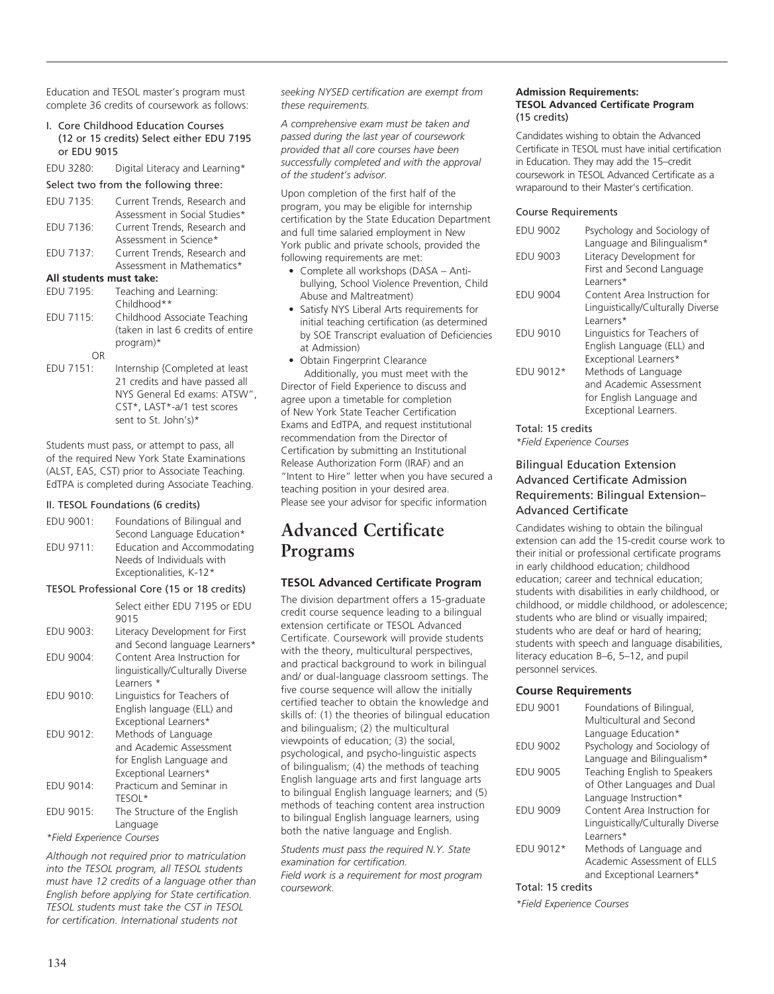Education and TESOL master's program must complete 36 credits of coursework as follows:

I. Core Childhood Education Courses (12 or 15 credits) Select either EDU 7195 or EDU 9015

EDU 3280: Digital Literacy and Learning\*

#### Select two from the following three:

| EDU 7135:               | Current Trends, Research and       |  |
|-------------------------|------------------------------------|--|
|                         | Assessment in Social Studies*      |  |
| EDU 7136:               | Current Trends, Research and       |  |
|                         | Assessment in Science*             |  |
| EDU 7137:               | Current Trends, Research and       |  |
|                         | Assessment in Mathematics*         |  |
| All students must take: |                                    |  |
| EDU 7195:               | Teaching and Learning:             |  |
|                         | Childhood**                        |  |
| EDU 7115:               | Childhood Associate Teaching       |  |
|                         | (taken in last 6 credits of entire |  |
|                         | program)*                          |  |
|                         |                                    |  |

OR<br>:EDU 7151 Internship {Completed at least 21 credits and have passed all NYS General Ed exams: ATSW", CST\*, LAST\*-a/1 test scores sent to St. John's)\*

Students must pass, or attempt to pass, all of the required New York State Examinations (ALST, EAS, CST) prior to Associate Teaching. EdTPA is completed during Associate Teaching.

#### II. TESOL Foundations (6 credits)

| EDU 9001: | Foundations of Bilingual and |
|-----------|------------------------------|
|           | Second Language Education*   |
| EDU 9711: | Education and Accommodating  |
|           | Needs of Individuals with    |
|           | Exceptionalities, K-12*      |

#### TESOL Professional Core (15 or 18 credits)

|                           | Select either EDU 7195 or EDU<br>9015                                                               |  |
|---------------------------|-----------------------------------------------------------------------------------------------------|--|
| EDU 9003:                 | Literacy Development for First<br>and Second language Learners*                                     |  |
| EDU 9004:                 | Content Area Instruction for<br>linguistically/Culturally Diverse<br>Learners *                     |  |
| EDU 9010:                 | Linguistics for Teachers of<br>English language (ELL) and<br>Exceptional Learners*                  |  |
| EDU 9012:                 | Methods of Language<br>and Academic Assessment<br>for English Language and<br>Exceptional Learners* |  |
| EDU 9014:                 | Practicum and Seminar in<br>TESOL*                                                                  |  |
| EDU 9015:                 | The Structure of the English<br>Language                                                            |  |
| *Field Experience Courses |                                                                                                     |  |

*Although not required prior to matriculation into the TESOL program, all TESOL students must have 12 credits of a language other than English before applying for State certification. TESOL students must take the CST in TESOL for certification. International students not* 

*seeking NYSED certification are exempt from these requirements.*

*A comprehensive exam must be taken and passed during the last year of coursework provided that all core courses have been successfully completed and with the approval of the student's advisor.*

Upon completion of the first half of the program, you may be eligible for internship certification by the State Education Department and full time salaried employment in New York public and private schools, provided the following requirements are met:

- Complete all workshops (DASA Antibullying, School Violence Prevention, Child Abuse and Maltreatment)
- Satisfy NYS Liberal Arts requirements for initial teaching certification (as determined by SOE Transcript evaluation of Deficiencies at Admission)
- Obtain Fingerprint Clearance

Additionally, you must meet with the Director of Field Experience to discuss and agree upon a timetable for completion of New York State Teacher Certification Exams and EdTPA, and request institutional recommendation from the Director of Certification by submitting an Institutional Release Authorization Form (IRAF) and an "Intent to Hire" letter when you have secured a teaching position in your desired area. Please see your advisor for specific information

# **Advanced Certificate Programs**

## **TESOL Advanced Certificate Program**

The division department offers a 15-graduate credit course sequence leading to a bilingual extension certificate or TESOL Advanced Certificate. Coursework will provide students with the theory, multicultural perspectives, and practical background to work in bilingual and/ or dual-language classroom settings. The five course sequence will allow the initially certified teacher to obtain the knowledge and skills of: (1) the theories of bilingual education and bilingualism; (2) the multicultural viewpoints of education; (3) the social, psychological, and psycho-linguistic aspects of bilingualism; (4) the methods of teaching English language arts and first language arts to bilingual English language learners; and (5) methods of teaching content area instruction to bilingual English language learners, using both the native language and English.

*Students must pass the required N.Y. State examination for certification. Field work is a requirement for most program coursework.*

#### **Admission Requirements: TESOL Advanced Certificate Program**  (15 credits)

Candidates wishing to obtain the Advanced Certificate in TESOL must have initial certification in Education. They may add the 15–credit coursework in TESOL Advanced Certificate as a wraparound to their Master's certification.

#### Course Requirements

| <b>EDU 9002</b> | Psychology and Sociology of<br>Language and Bilingualism* |
|-----------------|-----------------------------------------------------------|
| <b>EDU 9003</b> | Literacy Development for                                  |
|                 | First and Second Language                                 |
|                 | l earners*                                                |
| <b>EDU 9004</b> | Content Area Instruction for                              |
|                 | Linguistically/Culturally Diverse                         |
|                 | Learners*                                                 |
| <b>EDU 9010</b> | Linguistics for Teachers of                               |
|                 | English Language (ELL) and                                |
|                 | Exceptional Learners*                                     |
| FDU 9012*       | Methods of Language                                       |
|                 | and Academic Assessment                                   |
|                 | for English Language and                                  |
|                 | Exceptional Learners.                                     |
|                 |                                                           |

#### Total: 15 credits

*\*Field Experience Courses*

## Bilingual Education Extension Advanced Certificate Admission Requirements: Bilingual Extension– Advanced Certificate

Candidates wishing to obtain the bilingual extension can add the 15-credit course work to their initial or professional certificate programs in early childhood education; childhood education; career and technical education; students with disabilities in early childhood, or childhood, or middle childhood, or adolescence; students who are blind or visually impaired; students who are deaf or hard of hearing; students with speech and language disabilities, literacy education B–6, 5–12, and pupil personnel services.

## **Course Requirements**

| <b>EDU 9001</b> | Foundations of Bilingual,         |
|-----------------|-----------------------------------|
|                 | Multicultural and Second          |
|                 | Language Education*               |
| <b>EDU 9002</b> | Psychology and Sociology of       |
|                 | Language and Bilingualism*        |
| <b>EDU 9005</b> | Teaching English to Speakers      |
|                 | of Other Languages and Dual       |
|                 | Language Instruction*             |
| <b>EDU 9009</b> | Content Area Instruction for      |
|                 | Linguistically/Culturally Diverse |
|                 | Learners*                         |
| EDU 9012*       | Methods of Language and           |
|                 | Academic Assessment of ELLS       |
|                 | and Exceptional Learners*         |
|                 |                                   |

Total: 15 credits

*\*Field Experience Courses*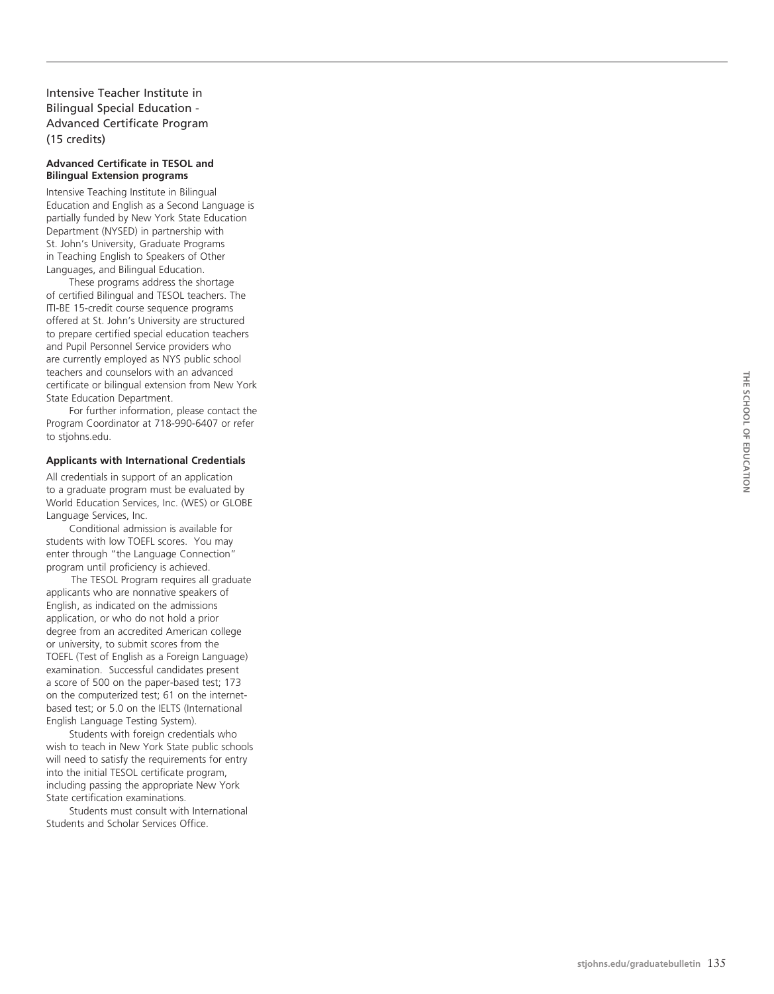Intensive Teacher Institute in Bilingual Special Education - Advanced Certificate Program (15 credits)

#### **Advanced Certificate in TES OL and Bilingual Extension programs**

Intensive Teaching Institute in Bilingual Education and English as a Second Language is partially funded by New York State Education Department (NYSED) in partnership with St. John's University, Graduate Programs in Teaching English to Speakers of Other Languages, and Bilingual Education.

These programs address the shortage of certified Bilingual and TESOL teachers. The ITI-BE 15-credit course sequence programs offered at St. John's University are structured to prepare certified special education teachers and Pupil Personnel Service providers who are currently employed as NYS public school teachers and counselors with an advanced certificate or bilingual extension from New York State Education Department.

For further information, please contact the Program Coordinator at 718-990-6407 or refer to stjohns.edu.

#### **Applicants with International Credentials**

All credentials in support of an application to a graduate program must be evaluated by World Education Services, Inc. (WES) or GLOBE Language Services, Inc.

Conditional admission is available for students with low TOEFL scores. You may enter through "the Language Connection" program until proficiency is achieved.

 The TESOL Program requires all graduate applicants who are nonnative speakers of English, as indicated on the admissions application, or who do not hold a prior degree from an accredited American college or university, to submit scores from the TOEFL (Test of English as a Foreign Language) examination. Successful candidates present a score of 500 on the paper-based test; 173 on the computerized test; 61 on the internetbased test; or 5.0 on the IELTS (International English Language Testing System).

Students with foreign credentials who wish to teach in New York State public schools will need to satisfy the requirements for entry into the initial TESOL certificate program, including passing the appropriate New York State certification examinations.

Students must consult with International Students and Scholar Services Office.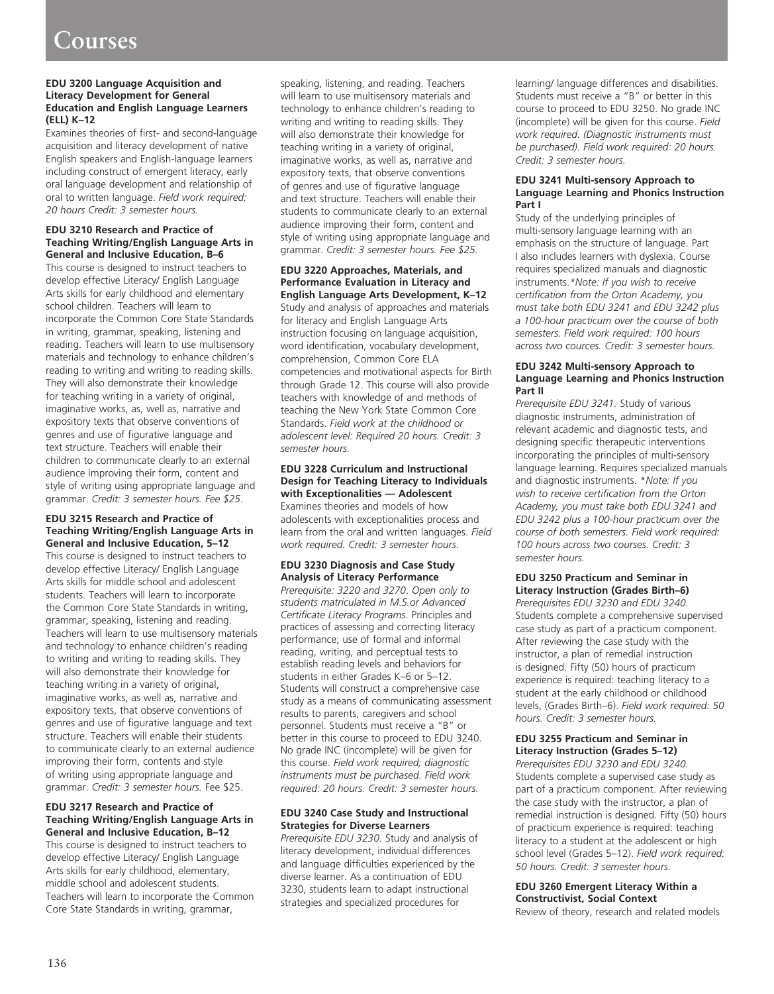#### **EDU 3200 Language Acquisition and Literacy Development for General Education and English Language Learners (ELL) K–12**

Examines theories of first- and second-language acquisition and literacy development of native English speakers and English-language learners including construct of emergent literacy, early oral language development and relationship of oral to written language. *Field work required: 20 hours Credit: 3 semester hours.*

#### **EDU 3210 Research and Practice of Teaching Writing/English Language Arts in General and Inclusive Education, B–6**

This course is designed to instruct teachers to develop effective Literacy/ English Language Arts skills for early childhood and elementary school children. Teachers will learn to incorporate the Common Core State Standards in writing, grammar, speaking, listening and reading. Teachers will learn to use multisensory materials and technology to enhance children's reading to writing and writing to reading skills. They will also demonstrate their knowledge for teaching writing in a variety of original, imaginative works, as, well as, narrative and expository texts that observe conventions of genres and use of figurative language and text structure. Teachers will enable their children to communicate clearly to an external audience improving their form, content and style of writing using appropriate language and grammar. *Credit: 3 semester hours. Fee \$25*.

#### **EDU 3215 Research and Practice of Teaching Writing/English Language Arts in General and Inclusive Education, 5–12**

This course is designed to instruct teachers to develop effective Literacy/ English Language Arts skills for middle school and adolescent students. Teachers will learn to incorporate the Common Core State Standards in writing, grammar, speaking, listening and reading. Teachers will learn to use multisensory materials and technology to enhance children's reading to writing and writing to reading skills. They will also demonstrate their knowledge for teaching writing in a variety of original, imaginative works, as well as, narrative and expository texts, that observe conventions of genres and use of figurative language and text structure. Teachers will enable their students to communicate clearly to an external audience improving their form, contents and style of writing using appropriate language and grammar. *Credit: 3 semester hours.* Fee \$25.

#### **EDU 3217 Research and Practice of Teaching Writing/English Language Arts in General and Inclusive Education, B–12**

This course is designed to instruct teachers to develop effective Literacy/ English Language Arts skills for early childhood, elementary, middle school and adolescent students. Teachers will learn to incorporate the Common Core State Standards in writing, grammar,

speaking, listening, and reading. Teachers will learn to use multisensory materials and technology to enhance children's reading to writing and writing to reading skills. They will also demonstrate their knowledge for teaching writing in a variety of original, imaginative works, as well as, narrative and expository texts, that observe conventions of genres and use of figurative language and text structure. Teachers will enable their students to communicate clearly to an external audience improving their form, content and style of writing using appropriate language and grammar. *Credit: 3 semester hours. Fee \$25.*

## **EDU 3220 Approaches, Materials, and Performance Evaluation in Literacy and English Language Arts Development, K–12**

Study and analysis of approaches and materials for literacy and English Language Arts instruction focusing on language acquisition, word identification, vocabulary development, comprehension, Common Core ELA competencies and motivational aspects for Birth through Grade 12. This course will also provide teachers with knowledge of and methods of teaching the New York State Common Core Standards. *Field work at the childhood or adolescent level: Required 20 hours. Credit: 3 semester hours.*

#### **EDU 3228 Curriculum and Instructional Design for Teaching Literacy to Individuals with Exceptionalities — Adolescent**

Examines theories and models of how adolescents with exceptionalities process and learn from the oral and written languages. *Field work required. Credit: 3 semester hours*.

#### **EDU 3230 Diagnosis and Case Study Analysis of Literacy Performance**

*Prerequisite: 3220 and 3270*. *Open only to students matriculated in M.S.or Advanced Certificate Literacy Programs.* Principles and practices of assessing and correcting literacy performance; use of formal and informal reading, writing, and perceptual tests to establish reading levels and behaviors for students in either Grades K–6 or 5–12. Students will construct a comprehensive case study as a means of communicating assessment results to parents, caregivers and school personnel. Students must receive a "B" or better in this course to proceed to EDU 3240. No grade INC (incomplete) will be given for this course. *Field work required; diagnostic instruments must be purchased. Field work required: 20 hours. Credit: 3 semester hours.*

#### **EDU 3240 Case Study and Instructional Strategies for Diverse Learners**

*Prerequisite EDU 3230.* Study and analysis of literacy development, individual differences and language difficulties experienced by the diverse learner. As a continuation of EDU 3230, students learn to adapt instructional strategies and specialized procedures for

learning/ language differences and disabilities. Students must receive a "B" or better in this course to proceed to EDU 3250. No grade INC (incomplete) will be given for this course. *Field work required. (Diagnostic instruments must be purchased). Field work required: 20 hours. Credit: 3 semester hours.* 

#### **EDU 3241 Multi-sensory Approach to Language Learning and Phonics Instruction Part I**

Study of the underlying principles of multi-sensory language learning with an emphasis on the structure of language. Part I also includes learners with dyslexia. Course requires specialized manuals and diagnostic instruments.*\*Note: If you wish to receive certification from the Orton Academy, you must take both EDU 3241 and EDU 3242 plus a 100-hour practicum over the course of both semesters. Field work required: 100 hours across two cources. Credit: 3 semester hours.*

#### **EDU 3242 Multi-sensory Approach to Language Learning and Phonics Instruction Part II**

*Prerequisite EDU 3241.* Study of various diagnostic instruments, administration of relevant academic and diagnostic tests, and designing specific therapeutic interventions incorporating the principles of multi-sensory language learning. Requires specialized manuals and diagnostic instruments. \**Note: If you wish to receive certification from the Orton Academy, you must take both EDU 3241 and EDU 3242 plus a 100-hour practicum over the course of both semesters. Field work required: 100 hours across two courses. Credit: 3 semester hours.* 

#### **EDU 3250 Practicum and Seminar in Literacy Instruction (Grades Birth–6)**

*Prerequisites EDU 3230 and EDU 3240.* Students complete a comprehensive supervised case study as part of a practicum component. After reviewing the case study with the instructor, a plan of remedial instruction is designed. Fifty (50) hours of practicum experience is required: teaching literacy to a student at the early childhood or childhood levels, (Grades Birth–6). *Field work required: 50 hours. Credit: 3 semester hours.* 

#### **EDU 3255 Practicum and Seminar in Literacy Instruction (Grades 5–12)**

*Prerequisites EDU 3230 and EDU 3240.*  Students complete a supervised case study as part of a practicum component. After reviewing the case study with the instructor, a plan of remedial instruction is designed. Fifty (50) hours of practicum experience is required: teaching literacy to a student at the adolescent or high school level (Grades 5–12). *Field work required: 50 hours. Credit: 3 semester hours.* 

#### **EDU 3260 Emergent Literacy Within a Constructivist, Social Context**

Review of theory, research and related models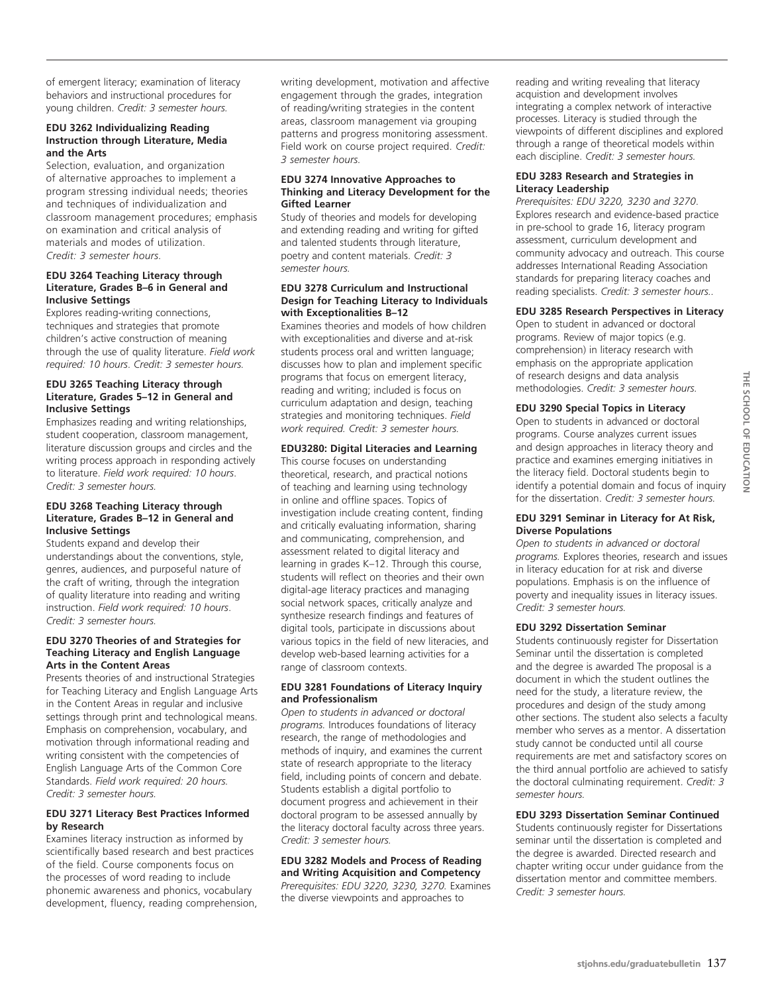of emergent literacy; examination of literacy behaviors and instructional procedures for young children. *Credit: 3 semester hours.* 

#### **EDU 3262 Individualizing Reading Instruction through Literature, Media and the Arts**

Selection, evaluation, and organization of alternative approaches to implement a program stressing individual needs; theories and techniques of individualization and classroom management procedures; emphasis on examination and critical analysis of materials and modes of utilization. *Credit: 3 semester hours.* 

#### **EDU 3264 Teaching Literacy through Literature, Grades B–6 in General and Inclusive Settings**

Explores reading-writing connections, techniques and strategies that promote children's active construction of meaning through the use of quality literature. *Field work required: 10 hours*. *Credit: 3 semester hours.* 

#### **EDU 3265 Teaching Literacy through Literature, Grades 5–12 in General and Inclusive Settings**

Emphasizes reading and writing relationships, student cooperation, classroom management, literature discussion groups and circles and the writing process approach in responding actively to literature. *Field work required: 10 hours*. *Credit: 3 semester hours.*

#### **EDU 3268 Teaching Literacy through Literature, Grades B–12 in General and Inclusive Settings**

Students expand and develop their understandings about the conventions, style, genres, audiences, and purposeful nature of the craft of writing, through the integration of quality literature into reading and writing instruction. *Field work required: 10 hours*. *Credit: 3 semester hours.* 

#### **EDU 3270 Theories of and Strategies for Teaching Literacy and English Language Arts in the Content Areas**

Presents theories of and instructional Strategies for Teaching Literacy and English Language Arts in the Content Areas in regular and inclusive settings through print and technological means. Emphasis on comprehension, vocabulary, and motivation through informational reading and writing consistent with the competencies of English Language Arts of the Common Core Standards. *Field work required: 20 hours. Credit: 3 semester hours.*

#### **EDU 3271 Literacy Best Practices Informed by Research**

Examines literacy instruction as informed by scientifically based research and best practices of the field. Course components focus on the processes of word reading to include phonemic awareness and phonics, vocabulary development, fluency, reading comprehension, writing development, motivation and affective engagement through the grades, integration of reading/writing strategies in the content areas, classroom management via grouping patterns and progress monitoring assessment. Field work on course project required. *Credit: 3 semester hours.* 

#### **EDU 3274 Innovative Approaches to Thinking and Literacy Development for the Gifted Learner**

Study of theories and models for developing and extending reading and writing for gifted and talented students through literature, poetry and content materials. *Credit: 3 semester hours.*

#### **EDU 3278 Curriculum and Instructional Design for Teaching Literacy to Individuals with Exceptionalities B–12**

Examines theories and models of how children with exceptionalities and diverse and at-risk students process oral and written language; discusses how to plan and implement specific programs that focus on emergent literacy, reading and writing; included is focus on curriculum adaptation and design, teaching strategies and monitoring techniques. *Field work required. Credit: 3 semester hours.*

#### **EDU3280: Digital Literacies and Learning**

This course focuses on understanding theoretical, research, and practical notions of teaching and learning using technology in online and offline spaces. Topics of investigation include creating content, finding and critically evaluating information, sharing and communicating, comprehension, and assessment related to digital literacy and learning in grades K–12. Through this course, students will reflect on theories and their own digital-age literacy practices and managing social network spaces, critically analyze and synthesize research findings and features of digital tools, participate in discussions about various topics in the field of new literacies, and develop web-based learning activities for a range of classroom contexts.

#### **EDU 3281 Foundations of Literacy Inquiry and Professionalism**

*Open to students in advanced or doctoral programs.* Introduces foundations of literacy research, the range of methodologies and methods of inquiry, and examines the current state of research appropriate to the literacy field, including points of concern and debate. Students establish a digital portfolio to document progress and achievement in their doctoral program to be assessed annually by the literacy doctoral faculty across three years. *Credit: 3 semester hours.*

## **EDU 3282 Models and Process of Reading and Writing Acquisition and Competency**

*Prerequisites: Edu 3220, 3230, 3270.* Examines the diverse viewpoints and approaches to

reading and writing revealing that literacy acquistion and development involves integrating a complex network of interactive processes. Literacy is studied through the viewpoints of different disciplines and explored through a range of theoretical models within each discipline. *Credit: 3 semester hours.*

#### **EDU 3283 Research and Strategies in Literacy Leadership**

*Prerequisites: EDU 3220, 3230 and 3270*. Explores research and evidence-based practice in pre-school to grade 16, literacy program assessment, curriculum development and community advocacy and outreach. This course addresses International Reading Association standards for preparing literacy coaches and reading specialists. *Credit: 3 semester hours..*

#### **EDU 3285 Research Perspectives in Literacy**

Open to student in advanced or doctoral programs. Review of major topics (e.g. comprehension) in literacy research with emphasis on the appropriate application of research designs and data analysis methodologies. *Credit: 3 semester hours.* 

#### **EDU 3290 Special Topics in Literacy**

Open to students in advanced or doctoral programs. Course analyzes current issues and design approaches in literacy theory and practice and examines emerging initiatives in the literacy field. Doctoral students begin to identify a potential domain and focus of inquiry for the dissertation. *Credit: 3 semester hours.* 

#### **EDU 3291 Seminar in Literacy for At Risk, Diverse Populations**

*Open to students in advanced or doctoral programs.* Explores theories, research and issues in literacy education for at risk and diverse populations. Emphasis is on the influence of poverty and inequality issues in literacy issues. *Credit: 3 semester hours.*

#### **EDU 3292 Dissertation Seminar**

Students continuously register for Dissertation Seminar until the dissertation is completed and the degree is awarded The proposal is a document in which the student outlines the need for the study, a literature review, the procedures and design of the study among other sections. The student also selects a faculty member who serves as a mentor. A dissertation study cannot be conducted until all course requirements are met and satisfactory scores on the third annual portfolio are achieved to satisfy the doctoral culminating requirement. *Credit: 3 semester hours.*

#### **EDU 3293 Dissertation Seminar Continued**

Students continuously register for Dissertations seminar until the dissertation is completed and the degree is awarded. Directed research and chapter writing occur under guidance from the dissertation mentor and committee members. *Credit: 3 semester hours.*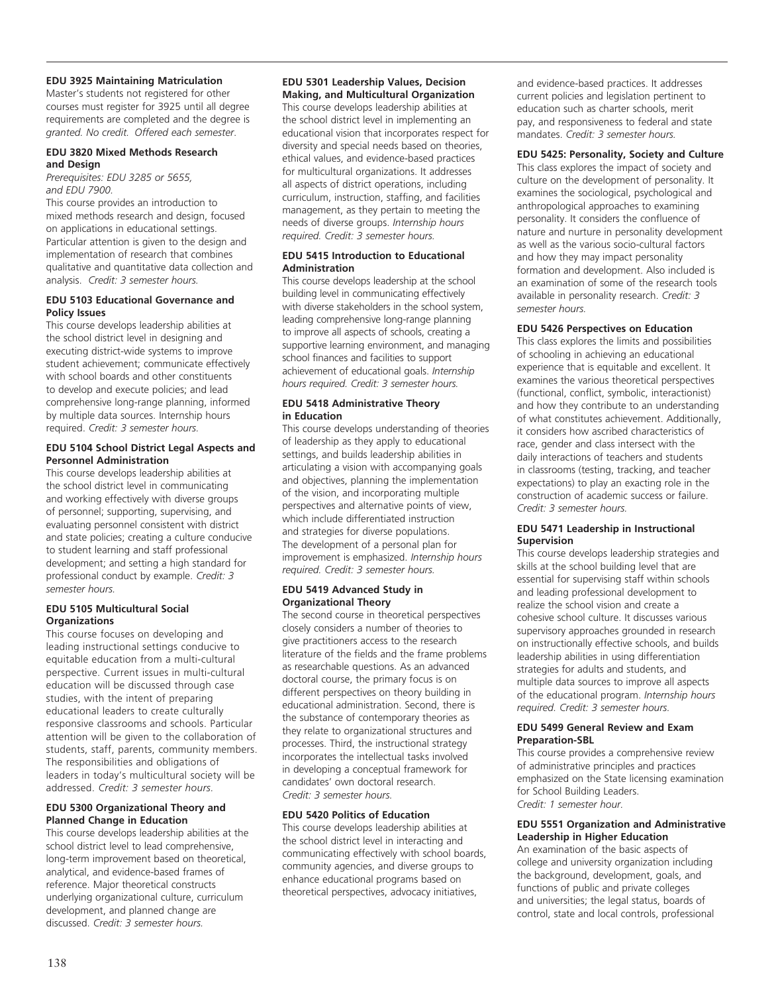#### **EDU 3925 Maintaining Matriculation**

Master's students not registered for other courses must register for 3925 until all degree requirements are completed and the degree is *granted. No credit. Offered each semester*.

#### **EDU 3820 Mixed Methods Research and Design**

*Prerequisites: EDU 3285 or 5655, and EDU 7900.*

This course provides an introduction to mixed methods research and design, focused on applications in educational settings. Particular attention is given to the design and implementation of research that combines qualitative and quantitative data collection and analysis. *Credit: 3 semester hours.*

#### **EDU 5103 Educational Governance and Policy Issues**

This course develops leadership abilities at the school district level in designing and executing district-wide systems to improve student achievement; communicate effectively with school boards and other constituents to develop and execute policies; and lead comprehensive long-range planning, informed by multiple data sources. Internship hours required. *Credit: 3 semester hours.*

#### **EDU 5104 School District Legal Aspects and Personnel Administration**

This course develops leadership abilities at the school district level in communicating and working effectively with diverse groups of personnel; supporting, supervising, and evaluating personnel consistent with district and state policies; creating a culture conducive to student learning and staff professional development; and setting a high standard for professional conduct by example. *Credit: 3 semester hours.*

#### **EDU 5105 Multicultural Social Organizations**

This course focuses on developing and leading instructional settings conducive to equitable education from a multi-cultural perspective. Current issues in multi-cultural education will be discussed through case studies, with the intent of preparing educational leaders to create culturally responsive classrooms and schools. Particular attention will be given to the collaboration of students, staff, parents, community members. The responsibilities and obligations of leaders in today's multicultural society will be addressed. *Credit: 3 semester hours.*

#### **EDU 5300 Organizational Theory and Planned Change in Education**

This course develops leadership abilities at the school district level to lead comprehensive, long-term improvement based on theoretical, analytical, and evidence-based frames of reference. Major theoretical constructs underlying organizational culture, curriculum development, and planned change are discussed. *Credit: 3 semester hours.*

#### **EDU 5301 Leadership Values, Decision Making, and Multicultural Organization**

This course develops leadership abilities at the school district level in implementing an educational vision that incorporates respect for diversity and special needs based on theories, ethical values, and evidence-based practices for multicultural organizations. It addresses all aspects of district operations, including curriculum, instruction, staffing, and facilities management, as they pertain to meeting the needs of diverse groups. *Internship hours required. Credit: 3 semester hours.*

#### **EDU 5415 Introduction to Educational Administration**

This course develops leadership at the school building level in communicating effectively with diverse stakeholders in the school system, leading comprehensive long-range planning to improve all aspects of schools, creating a supportive learning environment, and managing school finances and facilities to support achievement of educational goals. *Internship hours required. Credit: 3 semester hours.*

#### **EDU 5418 Administrative Theory in Education**

This course develops understanding of theories of leadership as they apply to educational settings, and builds leadership abilities in articulating a vision with accompanying goals and objectives, planning the implementation of the vision, and incorporating multiple perspectives and alternative points of view, which include differentiated instruction and strategies for diverse populations. The development of a personal plan for improvement is emphasized. *Internship hours required. Credit: 3 semester hours.*

#### **EDU 5419 Advanced Study in Organizational Theory**

The second course in theoretical perspectives closely considers a number of theories to give practitioners access to the research literature of the fields and the frame problems as researchable questions. As an advanced doctoral course, the primary focus is on different perspectives on theory building in educational administration. Second, there is the substance of contemporary theories as they relate to organizational structures and processes. Third, the instructional strategy incorporates the intellectual tasks involved in developing a conceptual framework for candidates' own doctoral research. *Credit: 3 semester hours.*

#### **EDU 5420 Politics of Education**

This course develops leadership abilities at the school district level in interacting and communicating effectively with school boards, community agencies, and diverse groups to enhance educational programs based on theoretical perspectives, advocacy initiatives,

and evidence-based practices. It addresses current policies and legislation pertinent to education such as charter schools, merit pay, and responsiveness to federal and state mandates. *Credit: 3 semester hours.*

### **EDU 5425: Personality, Society and Culture**

This class explores the impact of society and culture on the development of personality. It examines the sociological, psychological and anthropological approaches to examining personality. It considers the confluence of nature and nurture in personality development as well as the various socio-cultural factors and how they may impact personality formation and development. Also included is an examination of some of the research tools available in personality research. *Credit: 3 semester hours.*

#### **EDU 5426 Perspectives on Education**

This class explores the limits and possibilities of schooling in achieving an educational experience that is equitable and excellent. It examines the various theoretical perspectives (functional, conflict, symbolic, interactionist) and how they contribute to an understanding of what constitutes achievement. Additionally, it considers how ascribed characteristics of race, gender and class intersect with the daily interactions of teachers and students in classrooms (testing, tracking, and teacher expectations) to play an exacting role in the construction of academic success or failure. *Credit: 3 semester hours.*

#### **EDU 5471 Leadership in Instructional Supervision**

This course develops leadership strategies and skills at the school building level that are essential for supervising staff within schools and leading professional development to realize the school vision and create a cohesive school culture. It discusses various supervisory approaches grounded in research on instructionally effective schools, and builds leadership abilities in using differentiation strategies for adults and students, and multiple data sources to improve all aspects of the educational program. *Internship hours required. Credit: 3 semester hours.*

#### **EDU 5499 General Review and Exam Preparation-SBL**

This course provides a comprehensive review of administrative principles and practices emphasized on the State licensing examination for School Building Leaders. *Credit: 1 semester hour.*

#### **EDU 5551 Organization and Administrative Leadership in Higher Education**

An examination of the basic aspects of college and university organization including the background, development, goals, and functions of public and private colleges and universities; the legal status, boards of control, state and local controls, professional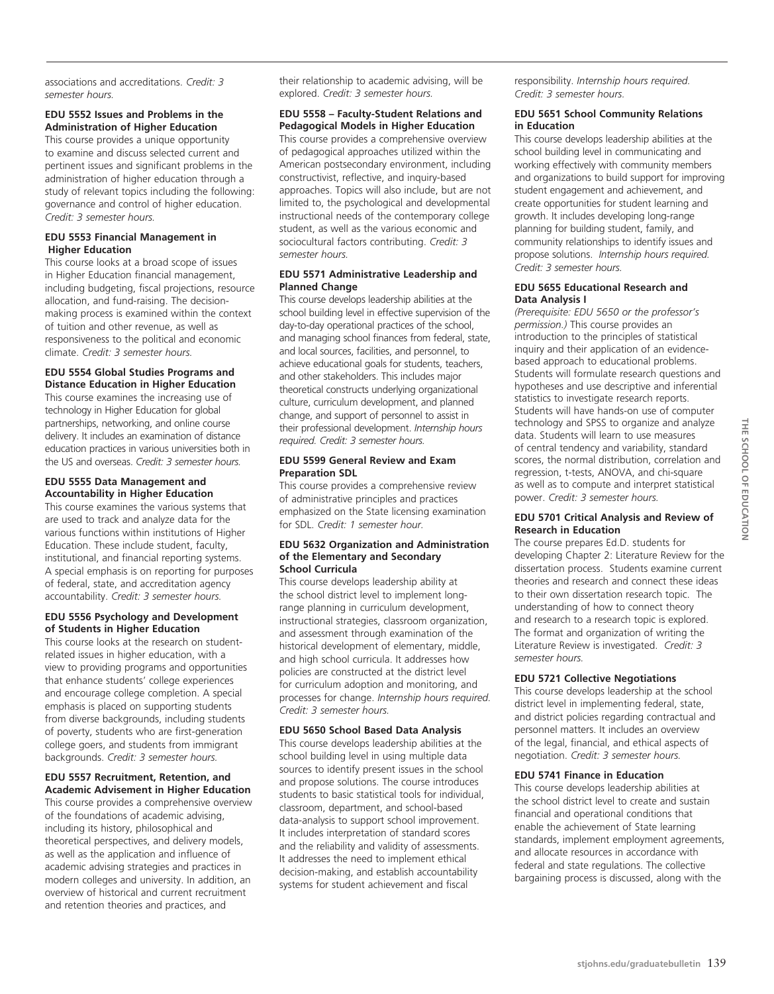associations and accreditations. *Credit: 3 semester hours.*

#### **EDU 5552 Issues and Problems in the Administration of Higher Education**

This course provides a unique opportunity to examine and discuss selected current and pertinent issues and significant problems in the administration of higher education through a study of relevant topics including the following: governance and control of higher education. *Credit: 3 semester hours.*

#### **EDU 5553 Financial Management in Higher Education**

This course looks at a broad scope of issues in Higher Education financial management, including budgeting, fiscal projections, resource allocation, and fund-raising. The decisionmaking process is examined within the context of tuition and other revenue, as well as responsiveness to the political and economic climate. *Credit: 3 semester hours.*

#### **EDU 5554 Global Studies Programs and Distance Education in Higher Education**

This course examines the increasing use of technology in Higher Education for global partnerships, networking, and online course delivery. It includes an examination of distance education practices in various universities both in the US and overseas. *Credit: 3 semester hours.*

#### **EDU 5555 Data Management and Accountability in Higher Education**

This course examines the various systems that are used to track and analyze data for the various functions within institutions of Higher Education. These include student, faculty, institutional, and financial reporting systems. A special emphasis is on reporting for purposes of federal, state, and accreditation agency accountability. *Credit: 3 semester hours.*

#### **EDU 5556 Psychology and Development of Students in Higher Education**

This course looks at the research on studentrelated issues in higher education, with a view to providing programs and opportunities that enhance students' college experiences and encourage college completion. A special emphasis is placed on supporting students from diverse backgrounds, including students of poverty, students who are first-generation college goers, and students from immigrant backgrounds. *Credit: 3 semester hours.*

#### **EDU 5557 Recruitment, Retention, and Academic Advisement in Higher Education**

This course provides a comprehensive overview of the foundations of academic advising, including its history, philosophical and theoretical perspectives, and delivery models, as well as the application and influence of academic advising strategies and practices in modern colleges and university. In addition, an overview of historical and current recruitment and retention theories and practices, and

their relationship to academic advising, will be explored. *Credit: 3 semester hours.*

#### **EDU 5558 – Faculty-Student Relations and Pedagogical Models in Higher Education**

This course provides a comprehensive overview of pedagogical approaches utilized within the American postsecondary environment, including constructivist, reflective, and inquiry-based approaches. Topics will also include, but are not limited to, the psychological and developmental instructional needs of the contemporary college student, as well as the various economic and sociocultural factors contributing. *Credit: 3 semester hours.*

#### **EDU 5571 Administrative Leadership and Planned Change**

This course develops leadership abilities at the school building level in effective supervision of the day-to-day operational practices of the school, and managing school finances from federal, state, and local sources, facilities, and personnel, to achieve educational goals for students, teachers, and other stakeholders. This includes major theoretical constructs underlying organizational culture, curriculum development, and planned change, and support of personnel to assist in their professional development. *Internship hours required. Credit: 3 semester hours.*

#### **EDU 5599 General Review and Exam Preparation SDL**

This course provides a comprehensive review of administrative principles and practices emphasized on the State licensing examination for SDL. *Credit: 1 semester hour.*

#### **EDU 5632 Organization and Administration of the Elementary and Secondary School Curricula**

This course develops leadership ability at the school district level to implement longrange planning in curriculum development, instructional strategies, classroom organization, and assessment through examination of the historical development of elementary, middle, and high school curricula. It addresses how policies are constructed at the district level for curriculum adoption and monitoring, and processes for change. *Internship hours required. Credit: 3 semester hours.*

#### **EDU 5650 School Based Data Analysis**

This course develops leadership abilities at the school building level in using multiple data sources to identify present issues in the school and propose solutions. The course introduces students to basic statistical tools for individual, classroom, department, and school-based data-analysis to support school improvement. It includes interpretation of standard scores and the reliability and validity of assessments. It addresses the need to implement ethical decision-making, and establish accountability systems for student achievement and fiscal

responsibility. *Internship hours required. Credit: 3 semester hours.*

#### **EDU 5651 School Community Relations in Education**

This course develops leadership abilities at the school building level in communicating and working effectively with community members and organizations to build support for improving student engagement and achievement, and create opportunities for student learning and growth. It includes developing long-range planning for building student, family, and community relationships to identify issues and propose solutions. *Internship hours required. Credit: 3 semester hours.*

#### **EDU 5655 Educational Research and Data Analysis I**

*(Prerequisite: EDU 5650 or the professor's permission.)* This course provides an introduction to the principles of statistical inquiry and their application of an evidencebased approach to educational problems. Students will formulate research questions and hypotheses and use descriptive and inferential statistics to investigate research reports. Students will have hands-on use of computer technology and SPSS to organize and analyze data. Students will learn to use measures of central tendency and variability, standard scores, the normal distribution, correlation and regression, t-tests, ANOVA, and chi-square as well as to compute and interpret statistical power. *Credit: 3 semester hours.*

#### **EDU 5701 Critical Analysis and Review of Research in Education**

The course prepares Ed.D. students for developing Chapter 2: Literature Review for the dissertation process. Students examine current theories and research and connect these ideas to their own dissertation research topic. The understanding of how to connect theory and research to a research topic is explored. The format and organization of writing the Literature Review is investigated. *Credit: 3 semester hours.*

## **EDU 5721 Collective Negotiations**

This course develops leadership at the school district level in implementing federal, state, and district policies regarding contractual and personnel matters. It includes an overview of the legal, financial, and ethical aspects of negotiation. *Credit: 3 semester hours.*

#### **EDU 5741 Finance in Education**

This course develops leadership abilities at the school district level to create and sustain financial and operational conditions that enable the achievement of State learning standards, implement employment agreements, and allocate resources in accordance with federal and state regulations. The collective bargaining process is discussed, along with the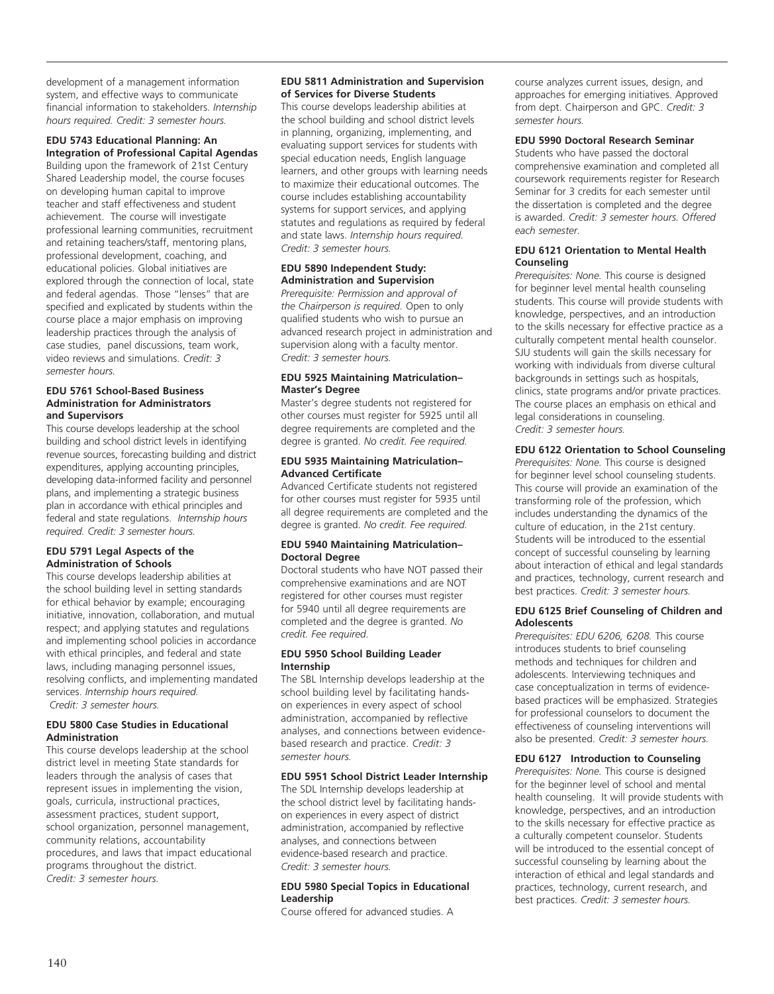development of a management information system, and effective ways to communicate financial information to stakeholders. *Internship hours required. Credit: 3 semester hours.*

#### **EDU 5743 Educational Planning: An Integration of Professional Capital Agendas**

Building upon the framework of 21st Century Shared Leadership model, the course focuses on developing human capital to improve teacher and staff effectiveness and student achievement. The course will investigate professional learning communities, recruitment and retaining teachers/staff, mentoring plans, professional development, coaching, and educational policies. Global initiatives are explored through the connection of local, state and federal agendas. Those "lenses" that are specified and explicated by students within the course place a major emphasis on improving leadership practices through the analysis of case studies, panel discussions, team work, video reviews and simulations. *Credit: 3 semester hours.*

#### **EDU 5761 School-Based Business Administration for Administrators and Supervisors**

This course develops leadership at the school building and school district levels in identifying revenue sources, forecasting building and district expenditures, applying accounting principles, developing data-informed facility and personnel plans, and implementing a strategic business plan in accordance with ethical principles and federal and state regulations. *Internship hours required. Credit: 3 semester hours.*

#### **EDU 5791 Legal Aspects of the Administration of Schools**

This course develops leadership abilities at the school building level in setting standards for ethical behavior by example; encouraging initiative, innovation, collaboration, and mutual respect; and applying statutes and regulations and implementing school policies in accordance with ethical principles, and federal and state laws, including managing personnel issues, resolving conflicts, and implementing mandated services. *Internship hours required. Credit: 3 semester hours.*

#### **EDU 5800 Case Studies in Educational Administration**

This course develops leadership at the school district level in meeting State standards for leaders through the analysis of cases that represent issues in implementing the vision, goals, curricula, instructional practices, assessment practices, student support, school organization, personnel management, community relations, accountability procedures, and laws that impact educational programs throughout the district. *Credit: 3 semester hours.*

#### **EDU 5811 Administration and Supervision of Services for Diverse Students**

This course develops leadership abilities at the school building and school district levels in planning, organizing, implementing, and evaluating support services for students with special education needs, English language learners, and other groups with learning needs to maximize their educational outcomes. The course includes establishing accountability systems for support services, and applying statutes and regulations as required by federal and state laws. *Internship hours required. Credit: 3 semester hours.*

#### **EDU 5890 Independent Study: Administration and Supervision**

*Prerequisite: Permission and approval of the Chairperson is required.* Open to only qualified students who wish to pursue an advanced research project in administration and supervision along with a faculty mentor. *Credit: 3 semester hours.*

#### **EDU 5925 Maintaining Matriculation– Master's Degree**

Master's degree students not registered for other courses must register for 5925 until all degree requirements are completed and the degree is granted. *No credit. Fee required.* 

#### **EDU 5935 Maintaining Matriculation– Advanced Certificate**

Advanced Certificate students not registered for other courses must register for 5935 until all degree requirements are completed and the degree is granted. *No credit. Fee required.*

#### **EDU 5940 Maintaining Matriculation– Doctoral Degree**

Doctoral students who have NOT passed their comprehensive examinations and are NOT registered for other courses must register for 5940 until all degree requirements are completed and the degree is granted. *No credit. Fee required.*

#### **EDU 5950 School Building Leader Internship**

The SBL Internship develops leadership at the school building level by facilitating handson experiences in every aspect of school administration, accompanied by reflective analyses, and connections between evidencebased research and practice. *Credit: 3 semester hours.*

### **EDU 5951 School District Leader Internship**

The SDL Internship develops leadership at the school district level by facilitating handson experiences in every aspect of district administration, accompanied by reflective analyses, and connections between evidence-based research and practice. *Credit: 3 semester hours.*

#### **EDU 5980 Special Topics in Educational Leadership**

Course offered for advanced studies. A

course analyzes current issues, design, and approaches for emerging initiatives. Approved from dept. Chairperson and GPC. *Credit: 3 semester hours.*

#### **EDU 5990 Doctoral Research Seminar**

Students who have passed the doctoral comprehensive examination and completed all coursework requirements register for Research Seminar for 3 credits for each semester until the dissertation is completed and the degree is awarded. *Credit: 3 semester hours. Offered each semester.*

#### **EDU 6121 Orientation to Mental Health Counseling**

*Prerequisites: None.* This course is designed for beginner level mental health counseling students. This course will provide students with knowledge, perspectives, and an introduction to the skills necessary for effective practice as a culturally competent mental health counselor. SJU students will gain the skills necessary for working with individuals from diverse cultural backgrounds in settings such as hospitals, clinics, state programs and/or private practices. The course places an emphasis on ethical and legal considerations in counseling. *Credit: 3 semester hours.*

#### **EDU 6122 Orientation to School Counseling**

*Prerequisites: None.* This course is designed for beginner level school counseling students. This course will provide an examination of the transforming role of the profession, which includes understanding the dynamics of the culture of education, in the 21st century. Students will be introduced to the essential concept of successful counseling by learning about interaction of ethical and legal standards and practices, technology, current research and best practices. *Credit: 3 semester hours.*

#### **EDU 6125 Brief Counseling of Children and Adolescents**

*Prerequisites: EDU 6206, 6208.* This course introduces students to brief counseling methods and techniques for children and adolescents. Interviewing techniques and case conceptualization in terms of evidencebased practices will be emphasized. Strategies for professional counselors to document the effectiveness of counseling interventions will also be presented. *Credit: 3 semester hours.* 

#### **EDU 6127 Introduction to Counseling**

*Prerequisites: None.* This course is designed for the beginner level of school and mental health counseling. It will provide students with knowledge, perspectives, and an introduction to the skills necessary for effective practice as a culturally competent counselor. Students will be introduced to the essential concept of successful counseling by learning about the interaction of ethical and legal standards and practices, technology, current research, and best practices. *Credit: 3 semester hours.*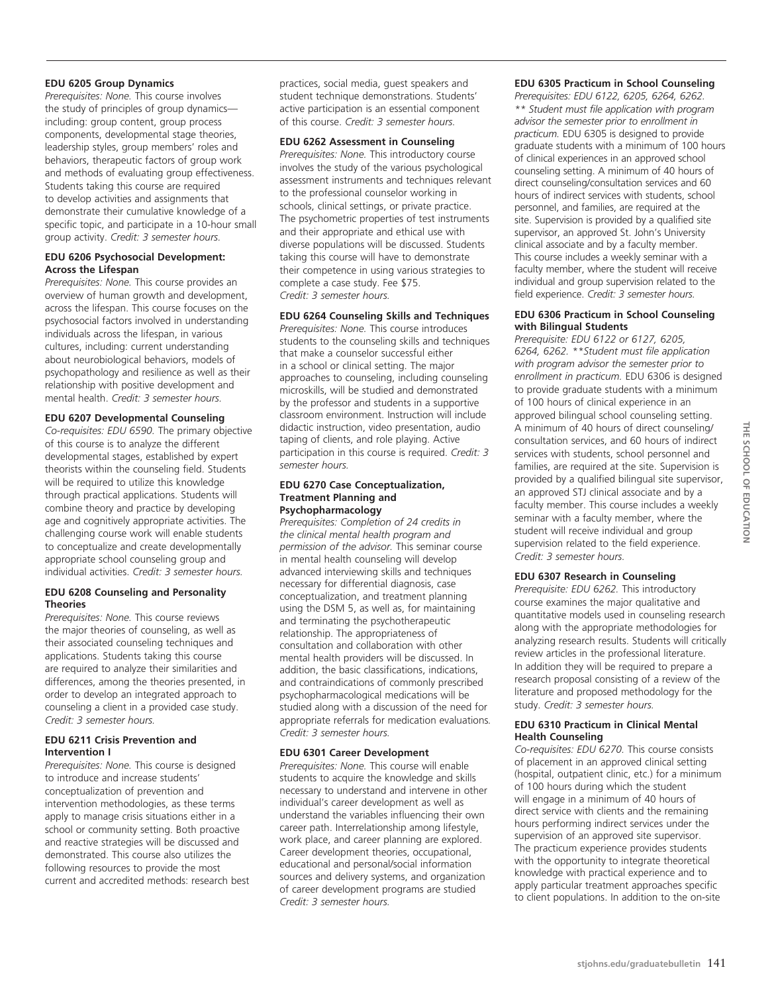#### **EDU 6205 Group Dynamics**

*Prerequisites: None.* This course involves the study of principles of group dynamics including: group content, group process components, developmental stage theories, leadership styles, group members' roles and behaviors, therapeutic factors of group work and methods of evaluating group effectiveness. Students taking this course are required to develop activities and assignments that demonstrate their cumulative knowledge of a specific topic, and participate in a 10-hour small group activity. *Credit: 3 semester hours.*

#### **EDU 6206 Psychosocial Development: Across the Lifespan**

*Prerequisites: None.* This course provides an overview of human growth and development, across the lifespan. This course focuses on the psychosocial factors involved in understanding individuals across the lifespan, in various cultures, including: current understanding about neurobiological behaviors, models of psychopathology and resilience as well as their relationship with positive development and mental health. *Credit: 3 semester hours.*

#### **EDU 6207 Developmental Counseling**

*Co-requisites: EDU 6590.* The primary objective of this course is to analyze the different developmental stages, established by expert theorists within the counseling field. Students will be required to utilize this knowledge through practical applications. Students will combine theory and practice by developing age and cognitively appropriate activities. The challenging course work will enable students to conceptualize and create developmentally appropriate school counseling group and individual activities. *Credit: 3 semester hours.*

#### **EDU 6208 Counseling and Personality Theories**

*Prerequisites: None.* This course reviews the major theories of counseling, as well as their associated counseling techniques and applications. Students taking this course are required to analyze their similarities and differences, among the theories presented, in order to develop an integrated approach to counseling a client in a provided case study. *Credit: 3 semester hours.*

#### **EDU 6211 Crisis Prevention and Intervention I**

*Prerequisites: None.* This course is designed to introduce and increase students' conceptualization of prevention and intervention methodologies, as these terms apply to manage crisis situations either in a school or community setting. Both proactive and reactive strategies will be discussed and demonstrated. This course also utilizes the following resources to provide the most current and accredited methods: research best

practices, social media, guest speakers and student technique demonstrations. Students' active participation is an essential component of this course. *Credit: 3 semester hours.*

#### **EDU 6262 Assessment in Counseling**

*Prerequisites: None.* This introductory course involves the study of the various psychological assessment instruments and techniques relevant to the professional counselor working in schools, clinical settings, or private practice. The psychometric properties of test instruments and their appropriate and ethical use with diverse populations will be discussed. Students taking this course will have to demonstrate their competence in using various strategies to complete a case study. Fee \$75. *Credit: 3 semester hours.*

#### **EDU 6264 Counseling Skills and Techniques**

*Prerequisites: None.* This course introduces students to the counseling skills and techniques that make a counselor successful either in a school or clinical setting. The major approaches to counseling, including counseling microskills, will be studied and demonstrated by the professor and students in a supportive classroom environment. Instruction will include didactic instruction, video presentation, audio taping of clients, and role playing. Active participation in this course is required. *Credit: 3 semester hours.*

#### **EDU 6270 Case Conceptualization, Treatment Planning and Psychopharmacology**

*Prerequisites: Completion of 24 credits in the clinical mental health program and permission of the advisor.* This seminar course in mental health counseling will develop advanced interviewing skills and techniques necessary for differential diagnosis, case conceptualization, and treatment planning using the DSM 5, as well as, for maintaining and terminating the psychotherapeutic relationship. The appropriateness of consultation and collaboration with other mental health providers will be discussed. In addition, the basic classifications, indications, and contraindications of commonly prescribed psychopharmacological medications will be studied along with a discussion of the need for appropriate referrals for medication evaluations*. Credit: 3 semester hours.*

#### **EDU 6301 Career Development**

*Prerequisites: None.* This course will enable students to acquire the knowledge and skills necessary to understand and intervene in other individual's career development as well as understand the variables influencing their own career path. Interrelationship among lifestyle, work place, and career planning are explored. Career development theories, occupational, educational and personal/social information sources and delivery systems, and organization of career development programs are studied *Credit: 3 semester hours.*

#### **EDU 6305 Practicum in School Counseling**

*Prerequisites: EDU 6122, 6205, 6264, 6262. \*\* Student must file application with program advisor the semester prior to enrollment in practicum.* EDU 6305 is designed to provide graduate students with a minimum of 100 hours of clinical experiences in an approved school counseling setting. A minimum of 40 hours of direct counseling/consultation services and 60 hours of indirect services with students, school personnel, and families, are required at the site. Supervision is provided by a qualified site supervisor, an approved St. John's University clinical associate and by a faculty member. This course includes a weekly seminar with a faculty member, where the student will receive individual and group supervision related to the field experience. *Credit: 3 semester hours.* 

#### **EDU 6306 Practicum in School Counseling with Bilingual Students**

*Prerequisite: EDU 6122 or 6127, 6205, 6264, 6262. \*\*Student must file application with program advisor the semester prior to enrollment in practicum.* EDU 6306 is designed to provide graduate students with a minimum of 100 hours of clinical experience in an approved bilingual school counseling setting. A minimum of 40 hours of direct counseling/ consultation services, and 60 hours of indirect services with students, school personnel and families, are required at the site. Supervision is provided by a qualified bilingual site supervisor, an approved STJ clinical associate and by a faculty member. This course includes a weekly seminar with a faculty member, where the student will receive individual and group supervision related to the field experience. *Credit: 3 semester hours.* 

#### **EDU 6307 Research in Counseling**

*Prerequisite: EDU 6262.* This introductory course examines the major qualitative and quantitative models used in counseling research along with the appropriate methodologies for analyzing research results. Students will critically review articles in the professional literature. In addition they will be required to prepare a research proposal consisting of a review of the literature and proposed methodology for the study. *Credit: 3 semester hours.*

#### **EDU 6310 Practicum in Clinical Mental Health Counseling**

*Co-requisites: EDU 6270.* This course consists of placement in an approved clinical setting (hospital, outpatient clinic, etc.) for a minimum of 100 hours during which the student will engage in a minimum of 40 hours of direct service with clients and the remaining hours performing indirect services under the supervision of an approved site supervisor. The practicum experience provides students with the opportunity to integrate theoretical knowledge with practical experience and to apply particular treatment approaches specific to client populations. In addition to the on-site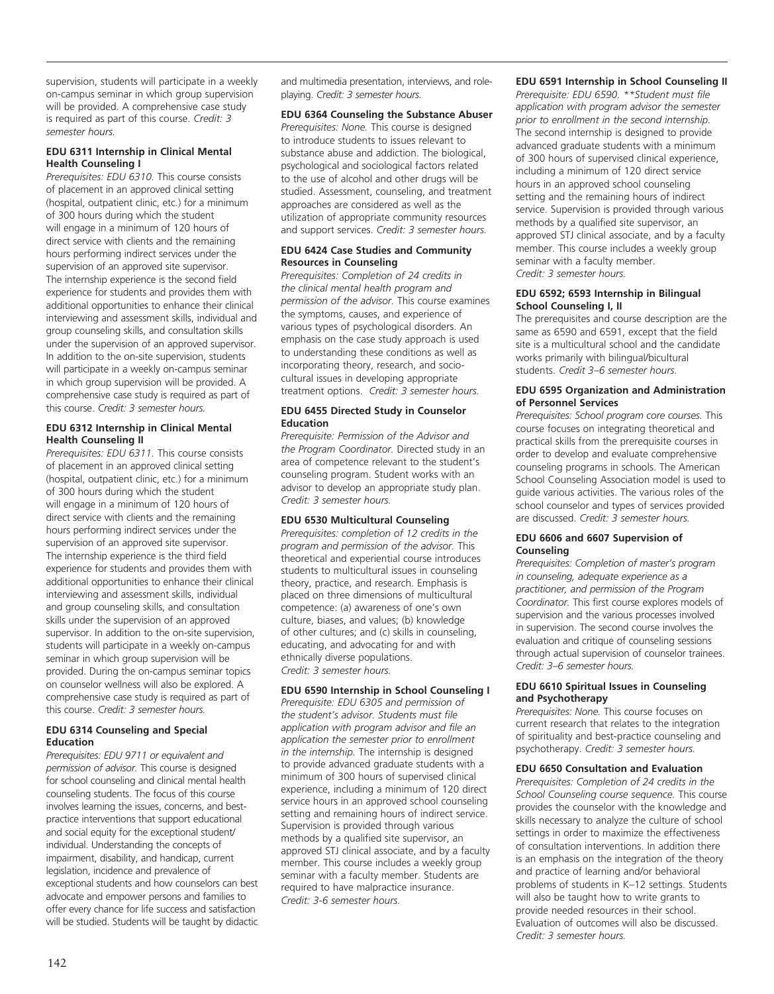supervision, students will participate in a weekly on-campus seminar in which group supervision will be provided. A comprehensive case study is required as part of this course. *Credit: 3 semester hours.* 

#### **EDU 6311 Internship in Clinical Mental Health Counseling I**

*Prerequisites: EDU 6310.* This course consists of placement in an approved clinical setting (hospital, outpatient clinic, etc.) for a minimum of 300 hours during which the student will engage in a minimum of 120 hours of direct service with clients and the remaining hours performing indirect services under the supervision of an approved site supervisor. The internship experience is the second field experience for students and provides them with additional opportunities to enhance their clinical interviewing and assessment skills, individual and group counseling skills, and consultation skills under the supervision of an approved supervisor. In addition to the on-site supervision, students will participate in a weekly on-campus seminar in which group supervision will be provided. A comprehensive case study is required as part of this course. *Credit: 3 semester hours.* 

#### **EDU 6312 Internship in Clinical Mental Health Counseling II**

*Prerequisites: EDU 6311.* This course consists of placement in an approved clinical setting (hospital, outpatient clinic, etc.) for a minimum of 300 hours during which the student will engage in a minimum of 120 hours of direct service with clients and the remaining hours performing indirect services under the supervision of an approved site supervisor. The internship experience is the third field experience for students and provides them with additional opportunities to enhance their clinical interviewing and assessment skills, individual and group counseling skills, and consultation skills under the supervision of an approved supervisor. In addition to the on-site supervision, students will participate in a weekly on-campus seminar in which group supervision will be provided. During the on-campus seminar topics on counselor wellness will also be explored. A comprehensive case study is required as part of this course. *Credit: 3 semester hours.* 

#### **EDU 6314 Counseling and Special Education**

*Prerequisites: EDU 9711 or equivalent and permission of advisor.* This course is designed for school counseling and clinical mental health counseling students. The focus of this course involves learning the issues, concerns, and bestpractice interventions that support educational and social equity for the exceptional student/ individual. Understanding the concepts of impairment, disability, and handicap, current legislation, incidence and prevalence of exceptional students and how counselors can best advocate and empower persons and families to offer every chance for life success and satisfaction will be studied. Students will be taught by didactic

and multimedia presentation, interviews, and roleplaying. *Credit: 3 semester hours.*

## **EDU 6364 Counseling the Substance Abuser**

*Prerequisites: None.* This course is designed to introduce students to issues relevant to substance abuse and addiction. The biological, psychological and sociological factors related to the use of alcohol and other drugs will be studied. Assessment, counseling, and treatment approaches are considered as well as the utilization of appropriate community resources and support services. *Credit: 3 semester hours.* 

#### **EDU 6424 Case Studies and Community Resources in Counseling**

*Prerequisites: Completion of 24 credits in the clinical mental health program and permission of the advisor.* This course examines the symptoms, causes, and experience of various types of psychological disorders. An emphasis on the case study approach is used to understanding these conditions as well as incorporating theory, research, and sociocultural issues in developing appropriate treatment options. *Credit: 3 semester hours.* 

#### **EDU 6455 Directed Study in Counselor Education**

*Prerequisite: Permission of the Advisor and the Program Coordinator.* Directed study in an area of competence relevant to the student's counseling program. Student works with an advisor to develop an appropriate study plan. *Credit: 3 semester hours.*

#### **EDU 6530 Multicultural Counseling**

*Prerequisites: completion of 12 credits in the program and permission of the advisor.* This theoretical and experiential course introduces students to multicultural issues in counseling theory, practice, and research. Emphasis is placed on three dimensions of multicultural competence: (a) awareness of one's own culture, biases, and values; (b) knowledge of other cultures; and (c) skills in counseling, educating, and advocating for and with ethnically diverse populations. *Credit: 3 semester hours.* 

#### **EDU 6590 Internship in School Counseling I**

*Prerequisite: EDU 6305 and permission of the student's advisor. Students must file application with program advisor and file an application the semester prior to enrollment in the internship.* The internship is designed to provide advanced graduate students with a minimum of 300 hours of supervised clinical experience, including a minimum of 120 direct service hours in an approved school counseling setting and remaining hours of indirect service. Supervision is provided through various methods by a qualified site supervisor, an approved STJ clinical associate, and by a faculty member. This course includes a weekly group seminar with a faculty member. Students are required to have malpractice insurance. *Credit: 3-6 semester hours.*

## **EDU 6591 Internship in School Counseling II**

*Prerequisite: EDU 6590. \*\*Student must file application with program advisor the semester prior to enrollment in the second internship.* The second internship is designed to provide advanced graduate students with a minimum of 300 hours of supervised clinical experience, including a minimum of 120 direct service hours in an approved school counseling setting and the remaining hours of indirect service. Supervision is provided through various methods by a qualified site supervisor, an approved STJ clinical associate, and by a faculty member. This course includes a weekly group seminar with a faculty member. *Credit: 3 semester hours.* 

#### **EDU 6592; 6593 Internship in Bilingual School Counseling I, II**

The prerequisites and course description are the same as 6590 and 6591, except that the field site is a multicultural school and the candidate works primarily with bilingual/bicultural students. *Credit 3–6 semester hours.*

#### **EDU 6595 Organization and Administration of Personnel Services**

*Prerequisites: School program core courses.* This course focuses on integrating theoretical and practical skills from the prerequisite courses in order to develop and evaluate comprehensive counseling programs in schools. The American School Counseling Association model is used to guide various activities. The various roles of the school counselor and types of services provided are discussed. *Credit: 3 semester hours.* 

#### **EDU 6606 and 6607 Supervision of Counseling**

*Prerequisites: Completion of master's program in counseling, adequate experience as a practitioner, and permission of the Program Coordinator.* This first course explores models of supervision and the various processes involved in supervision. The second course involves the evaluation and critique of counseling sessions through actual supervision of counselor trainees. *Credit: 3–6 semester hours.*

#### **EDU 6610 Spiritual Issues in Counseling and Psychotherapy**

*Prerequisites: None.* This course focuses on current research that relates to the integration of spirituality and best-practice counseling and psychotherapy. *Credit: 3 semester hours.* 

#### **EDU 6650 Consultation and Evaluation**

*Prerequisites: Completion of 24 credits in the School Counseling course sequence.* This course provides the counselor with the knowledge and skills necessary to analyze the culture of school settings in order to maximize the effectiveness of consultation interventions. In addition there is an emphasis on the integration of the theory and practice of learning and/or behavioral problems of students in K–12 settings. Students will also be taught how to write grants to provide needed resources in their school. Evaluation of outcomes will also be discussed. *Credit: 3 semester hours.*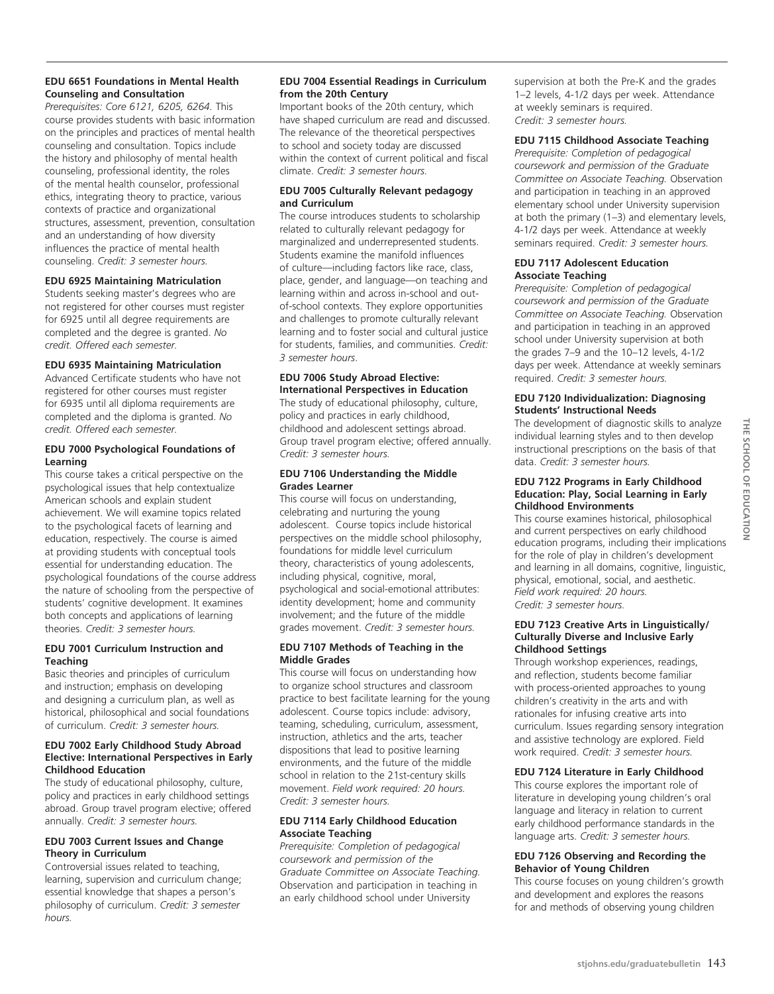#### **EDU 6651 Foundations in Mental Health Counseling and Consultation**

*Prerequisites: Core 6121, 6205, 6264.* This course provides students with basic information on the principles and practices of mental health counseling and consultation. Topics include the history and philosophy of mental health counseling, professional identity, the roles of the mental health counselor, professional ethics, integrating theory to practice, various contexts of practice and organizational structures, assessment, prevention, consultation and an understanding of how diversity influences the practice of mental health counseling. *Credit: 3 semester hours.*

#### **EDU 6925 Maintaining Matriculation**

Students seeking master's degrees who are not registered for other courses must register for 6925 until all degree requirements are completed and the degree is granted. *No credit. Offered each semester.* 

#### **EDU 6935 Maintaining Matriculation**

Advanced Certificate students who have not registered for other courses must register for 6935 until all diploma requirements are completed and the diploma is granted. *No credit. Offered each semester.* 

#### **EDU 7000 Psychological Foundations of Learning**

This course takes a critical perspective on the psychological issues that help contextualize American schools and explain student achievement. We will examine topics related to the psychological facets of learning and education, respectively. The course is aimed at providing students with conceptual tools essential for understanding education. The psychological foundations of the course address the nature of schooling from the perspective of students' cognitive development. It examines both concepts and applications of learning theories. *Credit: 3 semester hours.*

#### **EDU 7001 Curriculum Instruction and Teaching**

Basic theories and principles of curriculum and instruction; emphasis on developing and designing a curriculum plan, as well as historical, philosophical and social foundations of curriculum. *Credit: 3 semester hours.*

#### **EDU 7002 Early Childhood Study Abroad Elective: International Perspectives in Early Childhood Education**

The study of educational philosophy, culture, policy and practices in early childhood settings abroad. Group travel program elective; offered annually. *Credit: 3 semester hours.*

#### **EDU 7003 Current Issues and Change Theory in Curriculum**

Controversial issues related to teaching, learning, supervision and curriculum change; essential knowledge that shapes a person's philosophy of curriculum. *Credit: 3 semester hours.*

#### **EDU 7004 Essential Readings in Curriculum from the 20th Century**

Important books of the 20th century, which have shaped curriculum are read and discussed. The relevance of the theoretical perspectives to school and society today are discussed within the context of current political and fiscal climate. *Credit: 3 semester hours.*

#### **EDU 7005 Culturally Relevant pedagogy and Curriculum**

The course introduces students to scholarship related to culturally relevant pedagogy for marginalized and underrepresented students. Students examine the manifold influences of culture—including factors like race, class, place, gender, and language—on teaching and learning within and across in-school and outof-school contexts. They explore opportunities and challenges to promote culturally relevant learning and to foster social and cultural justice for students, families, and communities. *Credit: 3 semester hours*.

#### **EDU 7006 Study Abroad Elective: International Perspectives in Education**

The study of educational philosophy, culture, policy and practices in early childhood, childhood and adolescent settings abroad. Group travel program elective; offered annually. *Credit: 3 semester hours.* 

#### **EDU 7106 Understanding the Middle Grades Learner**

This course will focus on understanding, celebrating and nurturing the young adolescent. Course topics include historical perspectives on the middle school philosophy, foundations for middle level curriculum theory, characteristics of young adolescents, including physical, cognitive, moral, psychological and social-emotional attributes: identity development; home and community involvement; and the future of the middle grades movement. *Credit: 3 semester hours.*

#### **EDU 7107 Methods of Teaching in the Middle Grades**

This course will focus on understanding how to organize school structures and classroom practice to best facilitate learning for the young adolescent. Course topics include: advisory, teaming, scheduling, curriculum, assessment, instruction, athletics and the arts, teacher dispositions that lead to positive learning environments, and the future of the middle school in relation to the 21st-century skills movement. *Field work required: 20 hours. Credit: 3 semester hours.*

#### **EDU 7114 Early Childhood Education Associate Teaching**

*Prerequisite: Completion of pedagogical coursework and permission of the Graduate Committee on Associate Teaching.*  Observation and participation in teaching in an early childhood school under University

supervision at both the Pre-K and the grades 1–2 levels, 4-1/2 days per week. Attendance at weekly seminars is required. *Credit: 3 semester hours.*

#### **EDU 7115 Childhood Associate Teaching**

*Prerequisite: Completion of pedagogical coursework and permission of the Graduate Committee on Associate Teaching.* Observation and participation in teaching in an approved elementary school under University supervision at both the primary (1–3) and elementary levels, 4-1/2 days per week. Attendance at weekly seminars required. *Credit: 3 semester hours.*

#### **EDU 7117 Adolescent Education Associate Teaching**

*Prerequisite: Completion of pedagogical coursework and permission of the Graduate Committee on Associate Teaching.* Observation and participation in teaching in an approved school under University supervision at both the grades 7–9 and the 10–12 levels, 4-1/2 days per week. Attendance at weekly seminars required. *Credit: 3 semester hours.* 

#### **EDU 7120 Individualization: Diagnosing Students' Instructional Needs**

The development of diagnostic skills to analyze individual learning styles and to then develop instructional prescriptions on the basis of that data. *Credit: 3 semester hours.* 

#### **EDU 7122 Programs in Early Childhood Education: Play, Social Learning in Early Childhood Environments**

This course examines historical, philosophical and current perspectives on early childhood education programs, including their implications for the role of play in children's development and learning in all domains, cognitive, linguistic, physical, emotional, social, and aesthetic. *Field work required: 20 hours. Credit: 3 semester hours.*

#### **EDU 7123 Creative Arts in Linguistically/ Culturally Diverse and Inclusive Early Childhood Settings**

Through workshop experiences, readings, and reflection, students become familiar with process-oriented approaches to young children's creativity in the arts and with rationales for infusing creative arts into curriculum. Issues regarding sensory integration and assistive technology are explored. Field work required. *Credit: 3 semester hours.* 

#### **EDU 7124 Literature in Early Childhood**

This course explores the important role of literature in developing young children's oral language and literacy in relation to current early childhood performance standards in the language arts. *Credit: 3 semester hours.*

#### **EDU 7126 Observing and Recording the Behavior of Young Children**

This course focuses on young children's growth and development and explores the reasons for and methods of observing young children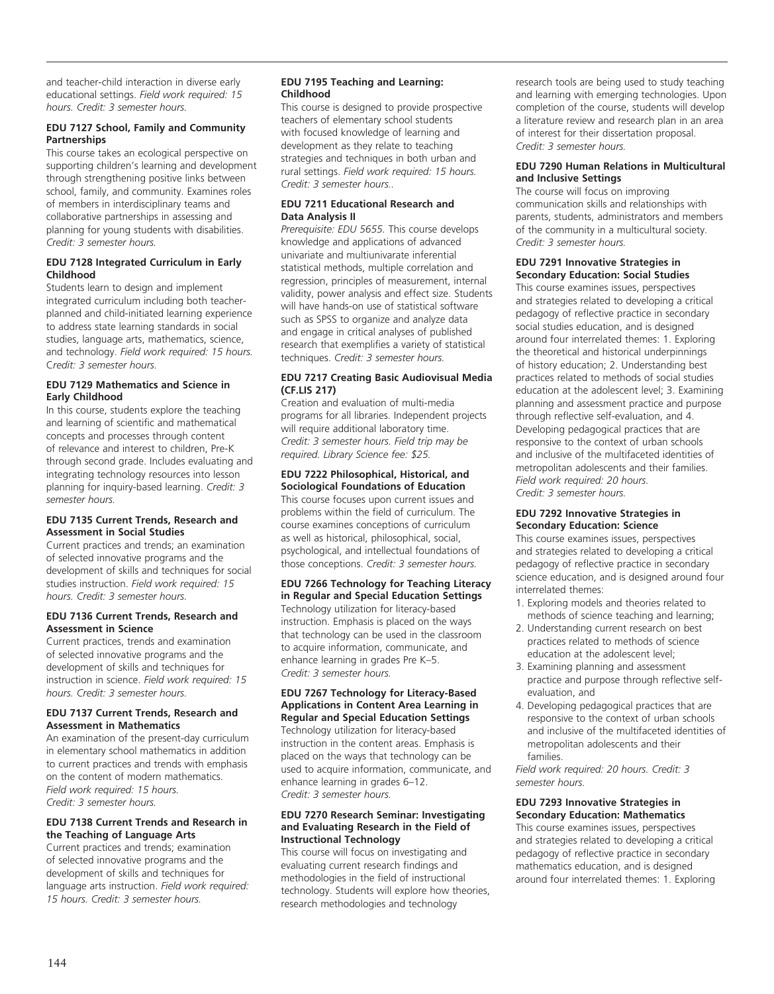and teacher-child interaction in diverse early educational settings. *Field work required: 15 hours. Credit: 3 semester hours.*

#### **EDU 7127 School, Family and Community Partnerships**

This course takes an ecological perspective on supporting children's learning and development through strengthening positive links between school, family, and community. Examines roles of members in interdisciplinary teams and collaborative partnerships in assessing and planning for young students with disabilities. *Credit: 3 semester hours.* 

#### **EDU 7128 Integrated Curriculum in Early Childhood**

Students learn to design and implement integrated curriculum including both teacherplanned and child-initiated learning experience to address state learning standards in social studies, language arts, mathematics, science, and technology. *Field work required: 15 hours.* C*redit: 3 semester hours.* 

#### **EDU 7129 Mathematics and Science in Early Childhood**

In this course, students explore the teaching and learning of scientific and mathematical concepts and processes through content of relevance and interest to children, Pre-K through second grade. Includes evaluating and integrating technology resources into lesson planning for inquiry-based learning. *Credit: 3 semester hours.*

#### **EDU 7135 Current Trends, Research and Assessment in Social Studies**

Current practices and trends; an examination of selected innovative programs and the development of skills and techniques for social studies instruction. *Field work required: 15 hours. Credit: 3 semester hours.*

#### **EDU 7136 Current Trends, Research and Assessment in Science**

Current practices, trends and examination of selected innovative programs and the development of skills and techniques for instruction in science. *Field work required: 15 hours. Credit: 3 semester hours.*

#### **EDU 7137 Current Trends, Research and Assessment in Mathematics**

An examination of the present-day curriculum in elementary school mathematics in addition to current practices and trends with emphasis on the content of modern mathematics. *Field work required: 15 hours. Credit: 3 semester hours.*

#### **EDU 7138 Current Trends and Research in the Teaching of Language Arts**

Current practices and trends; examination of selected innovative programs and the development of skills and techniques for language arts instruction. *Field work required: 15 hours. Credit: 3 semester hours.*

#### **EDU 7195 Teaching and Learning: Childhood**

This course is designed to provide prospective teachers of elementary school students with focused knowledge of learning and development as they relate to teaching strategies and techniques in both urban and rural settings. *Field work required: 15 hours. Credit: 3 semester hours..* 

#### **EDU 7211 Educational Research and Data Analysis II**

*Prerequisite: EDU 5655.* This course develops knowledge and applications of advanced univariate and multiunivarate inferential statistical methods, multiple correlation and regression, principles of measurement, internal validity, power analysis and effect size. Students will have hands-on use of statistical software such as SPSS to organize and analyze data and engage in critical analyses of published research that exemplifies a variety of statistical techniques. *Credit: 3 semester hours.*

#### **EDU 7217 Creating Basic Audiovisual Media (CF.LIS 217)**

Creation and evaluation of multi-media programs for all libraries. Independent projects will require additional laboratory time. *Credit: 3 semester hours. Field trip may be required. Library Science fee: \$25.*

## **EDU 7222 Philosophical, Historical, and**

**Sociological Foundations of Education** This course focuses upon current issues and problems within the field of curriculum. The course examines conceptions of curriculum as well as historical, philosophical, social, psychological, and intellectual foundations of those conceptions. *Credit: 3 semester hours.* 

#### **EDU 7266 Technology for Teaching Literacy in Regular and Special Education Settings** Technology utilization for literacy-based instruction. Emphasis is placed on the ways that technology can be used in the classroom

to acquire information, communicate, and enhance learning in grades Pre K–5. *Credit: 3 semester hours.*

#### **EDU 7267 Technology for Literacy-Based Applications in Content Area Learning in Regular and Special Education Settings**

Technology utilization for literacy-based instruction in the content areas. Emphasis is placed on the ways that technology can be used to acquire information, communicate, and enhance learning in grades 6–12. *Credit: 3 semester hours.*

#### **EDU 7270 Research Seminar: Investigating and Evaluating Research in the Field of Instructional Technology**

This course will focus on investigating and evaluating current research findings and methodologies in the field of instructional technology. Students will explore how theories, research methodologies and technology

research tools are being used to study teaching and learning with emerging technologies. Upon completion of the course, students will develop a literature review and research plan in an area of interest for their dissertation proposal. *Credit: 3 semester hours.*

#### **EDU 7290 Human Relations in Multicultural and Inclusive Settings**

The course will focus on improving communication skills and relationships with parents, students, administrators and members of the community in a multicultural society. *Credit: 3 semester hours.*

#### **EDU 7291 Innovative Strategies in Secondary Education: Social Studies**

This course examines issues, perspectives and strategies related to developing a critical pedagogy of reflective practice in secondary social studies education, and is designed around four interrelated themes: 1. Exploring the theoretical and historical underpinnings of history education; 2. Understanding best practices related to methods of social studies education at the adolescent level; 3. Examining planning and assessment practice and purpose through reflective self-evaluation, and 4. Developing pedagogical practices that are responsive to the context of urban schools and inclusive of the multifaceted identities of metropolitan adolescents and their families. *Field work required: 20 hours. Credit: 3 semester hours.*

#### **EDU 7292 Innovative Strategies in Secondary Education: Science**

This course examines issues, perspectives and strategies related to developing a critical pedagogy of reflective practice in secondary science education, and is designed around four interrelated themes:

- 1. Exploring models and theories related to methods of science teaching and learning;
- 2. Understanding current research on best practices related to methods of science education at the adolescent level;
- 3. Examining planning and assessment practice and purpose through reflective selfevaluation, and
- 4. Developing pedagogical practices that are responsive to the context of urban schools and inclusive of the multifaceted identities of metropolitan adolescents and their families.

*Field work required: 20 hours. Credit: 3 semester hours.*

#### **EDU 7293 Innovative Strategies in Secondary Education: Mathematics**

This course examines issues, perspectives and strategies related to developing a critical pedagogy of reflective practice in secondary mathematics education, and is designed around four interrelated themes: 1. Exploring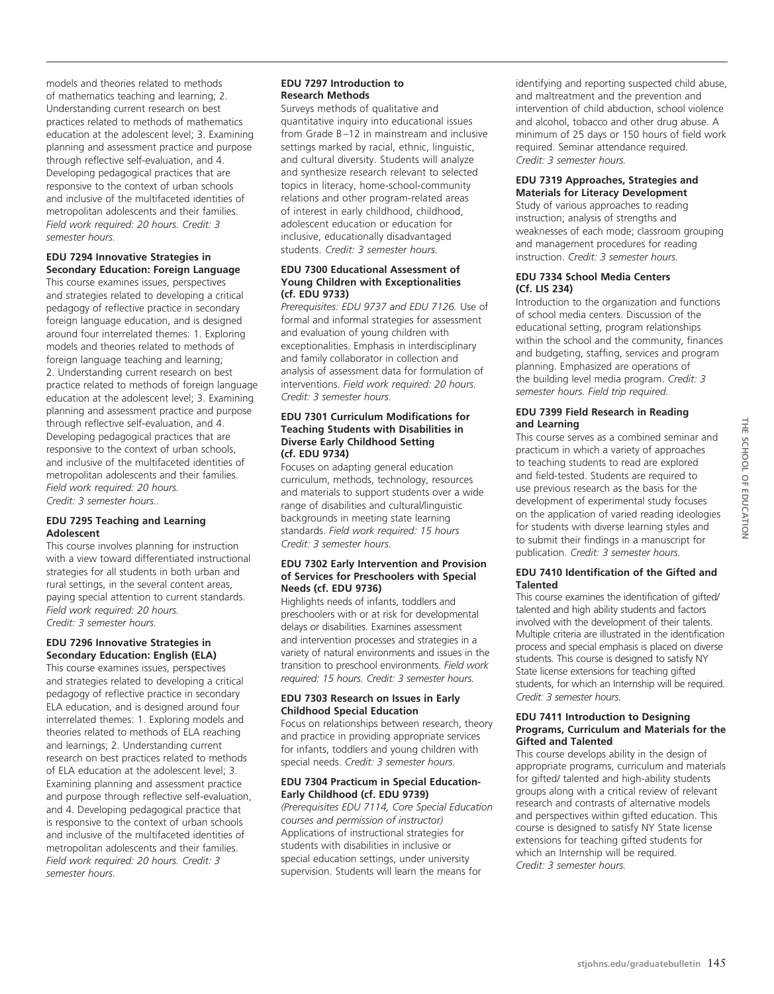models and theories related to methods of mathematics teaching and learning; 2. Understanding current research on best practices related to methods of mathematics education at the adolescent level; 3. Examining planning and assessment practice and purpose through reflective self-evaluation, and 4. Developing pedagogical practices that are responsive to the context of urban schools and inclusive of the multifaceted identities of metropolitan adolescents and their families. *Field work required: 20 hours. Credit: 3 semester hours.*

#### **EDU 7294 Innovative Strategies in Secondary Education: Foreign Language**

This course examines issues, perspectives and strategies related to developing a critical pedagogy of reflective practice in secondary foreign language education, and is designed around four interrelated themes: 1. Exploring models and theories related to methods of foreign language teaching and learning; 2. Understanding current research on best practice related to methods of foreign language education at the adolescent level; 3. Examining planning and assessment practice and purpose through reflective self-evaluation, and 4. Developing pedagogical practices that are responsive to the context of urban schools, and inclusive of the multifaceted identities of metropolitan adolescents and their families. *Field work required: 20 hours.* 

*Credit: 3 semester hours..*

#### **EDU 7295 Teaching and Learning Adolescent**

This course involves planning for instruction with a view toward differentiated instructional strategies for all students in both urban and rural settings, in the several content areas, paying special attention to current standards. *Field work required: 20 hours. Credit: 3 semester hours.*

#### **EDU 7296 Innovative Strategies in Secondary Education: English (ELA)**

This course examines issues, perspectives and strategies related to developing a critical pedagogy of reflective practice in secondary ELA education, and is designed around four interrelated themes: 1. Exploring models and theories related to methods of ELA reaching and learnings; 2. Understanding current research on best practices related to methods of ELA education at the adolescent level; 3. Examining planning and assessment practice and purpose through reflective self-evaluation, and 4. Developing pedagogical practice that is responsive to the context of urban schools and inclusive of the multifaceted identities of metropolitan adolescents and their families. *Field work required: 20 hours. Credit: 3 semester hours.*

## **EDU 7297 Introduction to Research Methods**

Surveys methods of qualitative and quantitative inquiry into educational issues from Grade B–12 in mainstream and inclusive settings marked by racial, ethnic, linguistic, and cultural diversity. Students will analyze and synthesize research relevant to selected topics in literacy, home-school-community relations and other program-related areas of interest in early childhood, childhood, adolescent education or education for inclusive, educationally disadvantaged students. *Credit: 3 semester hours.*

#### **EDU 7300 Educational Assessment of Young Children with Exceptionalities (cf. EDU 9733)**

*Prerequisites: EDU 9737 and EDU 7126.* Use of formal and informal strategies for assessment and evaluation of young children with exceptionalities. Emphasis in interdisciplinary and family collaborator in collection and analysis of assessment data for formulation of interventions. *Field work required: 20 hours. Credit: 3 semester hours.*

#### **EDU 7301 Curriculum Modifications for Teaching Students with Disabilities in Diverse Early Childhood Setting (cf. EDU 9734)**

Focuses on adapting general education curriculum, methods, technology, resources and materials to support students over a wide range of disabilities and cultural/linguistic backgrounds in meeting state learning standards. *Field work required: 15 hours Credit: 3 semester hours.*

#### **EDU 7302 Early Intervention and Provision of Services for Preschoolers with Special Needs (cf. EDU 9736)**

Highlights needs of infants, toddlers and preschoolers with or at risk for developmental delays or disabilities. Examines assessment and intervention processes and strategies in a variety of natural environments and issues in the transition to preschool environments. *Field work required: 15 hours. Credit: 3 semester hours.*

#### **EDU 7303 Research on Issues in Early Childhood Special Education**

Focus on relationships between research, theory and practice in providing appropriate services for infants, toddlers and young children with special needs. *Credit: 3 semester hours.*

#### **EDU 7304 Practicum in Special Education-Early Childhood (cf. EDU 9739)**

*(Prerequisites EDU 7114, Core Special Education courses and permission of instructor)* Applications of instructional strategies for students with disabilities in inclusive or special education settings, under university supervision. Students will learn the means for

identifying and reporting suspected child abuse, and maltreatment and the prevention and intervention of child abduction, school violence and alcohol, tobacco and other drug abuse. A minimum of 25 days or 150 hours of field work required. Seminar attendance required. *Credit: 3 semester hours.*

#### **EDU 7319 Approaches, Strategies and Materials for Literacy Development**

Study of various approaches to reading instruction; analysis of strengths and weaknesses of each mode; classroom grouping and management procedures for reading instruction. *Credit: 3 semester hours.* 

#### **EDU 7334 School Media Centers (Cf. LIS 234)**

Introduction to the organization and functions of school media centers. Discussion of the educational setting, program relationships within the school and the community, finances and budgeting, staffing, services and program planning. Emphasized are operations of the building level media program. *Credit: 3 semester hours. Field trip required.* 

#### **EDU 7399 Field Research in Reading and Learning**

This course serves as a combined seminar and practicum in which a variety of approaches to teaching students to read are explored and field-tested. Students are required to use previous research as the basis for the development of experimental study focuses on the application of varied reading ideologies for students with diverse learning styles and to submit their findings in a manuscript for publication. *Credit: 3 semester hours.*

#### **EDU 7410 Identification of the Gifted and Talented**

This course examines the identification of gifted/ talented and high ability students and factors involved with the development of their talents. Multiple criteria are illustrated in the identification process and special emphasis is placed on diverse students. This course is designed to satisfy NY State license extensions for teaching gifted students, for which an Internship will be required. *Credit: 3 semester hours.*

#### **EDU 7411 Introduction to Designing Programs, Curriculum and Materials for the Gifted and Talented**

This course develops ability in the design of appropriate programs, curriculum and materials for gifted/ talented and high-ability students groups along with a critical review of relevant research and contrasts of alternative models and perspectives within gifted education. This course is designed to satisfy NY State license extensions for teaching gifted students for which an Internship will be required. *Credit: 3 semester hours.*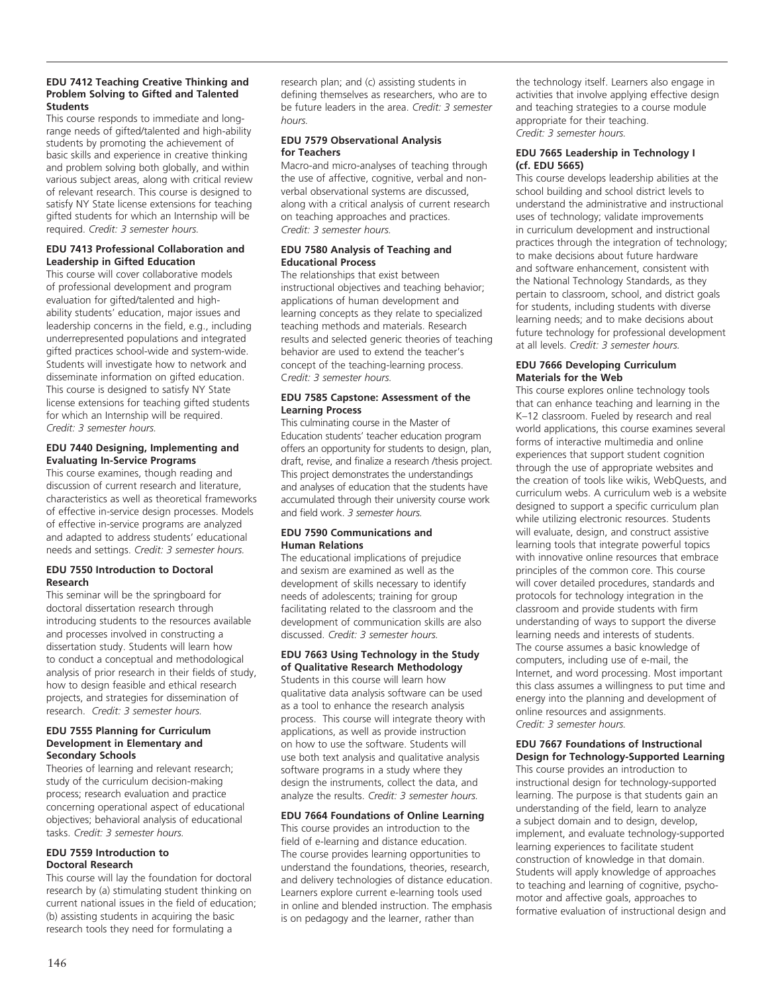#### **EDU 7412 Teaching Creative Thinking and Problem Solving to Gifted and Talented Students**

This course responds to immediate and longrange needs of gifted/talented and high-ability students by promoting the achievement of basic skills and experience in creative thinking and problem solving both globally, and within various subject areas, along with critical review of relevant research. This course is designed to satisfy NY State license extensions for teaching gifted students for which an Internship will be required. *Credit: 3 semester hours.*

#### **EDU 7413 Professional Collaboration and Leadership in Gifted Education**

This course will cover collaborative models of professional development and program evaluation for gifted/talented and highability students' education, major issues and leadership concerns in the field, e.g., including underrepresented populations and integrated gifted practices school-wide and system-wide. Students will investigate how to network and disseminate information on gifted education. This course is designed to satisfy NY State license extensions for teaching gifted students for which an Internship will be required. *Credit: 3 semester hours.* 

#### **EDU 7440 Designing, Implementing and Evaluating In-Service Programs**

This course examines, though reading and discussion of current research and literature, characteristics as well as theoretical frameworks of effective in-service design processes. Models of effective in-service programs are analyzed and adapted to address students' educational needs and settings. *Credit: 3 semester hours.*

#### **EDU 7550 Introduction to Doctoral Research**

This seminar will be the springboard for doctoral dissertation research through introducing students to the resources available and processes involved in constructing a dissertation study. Students will learn how to conduct a conceptual and methodological analysis of prior research in their fields of study, how to design feasible and ethical research projects, and strategies for dissemination of research. *Credit: 3 semester hours.* 

#### **EDU 7555 Planning for Curriculum Development in Elementary and Secondary Schools**

Theories of learning and relevant research; study of the curriculum decision-making process; research evaluation and practice concerning operational aspect of educational objectives; behavioral analysis of educational tasks. *Credit: 3 semester hours.*

#### **EDU 7559 Introduction to Doctoral Research**

This course will lay the foundation for doctoral research by (a) stimulating student thinking on current national issues in the field of education; (b) assisting students in acquiring the basic research tools they need for formulating a

research plan; and (c) assisting students in defining themselves as researchers, who are to be future leaders in the area. *Credit: 3 semester hours.*

#### **EDU 7579 Observational Analysis for Teachers**

Macro-and micro-analyses of teaching through the use of affective, cognitive, verbal and nonverbal observational systems are discussed, along with a critical analysis of current research on teaching approaches and practices. *Credit: 3 semester hours.*

#### **EDU 7580 Analysis of Teaching and Educational Process**

The relationships that exist between instructional objectives and teaching behavior; applications of human development and learning concepts as they relate to specialized teaching methods and materials. Research results and selected generic theories of teaching behavior are used to extend the teacher's concept of the teaching-learning process. C*redit: 3 semester hours.*

#### **EDU 7585 Capstone: Assessment of the Learning Process**

This culminating course in the Master of Education students' teacher education program offers an opportunity for students to design, plan, draft, revise, and finalize a research /thesis project. This project demonstrates the understandings and analyses of education that the students have accumulated through their university course work and field work. *3 semester hours.*

#### **EDU 7590 Communications and Human Relations**

The educational implications of prejudice and sexism are examined as well as the development of skills necessary to identify needs of adolescents; training for group facilitating related to the classroom and the development of communication skills are also discussed. *Credit: 3 semester hours.*

#### **EDU 7663 Using Technology in the Study of Qualitative Research Methodology**

Students in this course will learn how qualitative data analysis software can be used as a tool to enhance the research analysis process. This course will integrate theory with applications, as well as provide instruction on how to use the software. Students will use both text analysis and qualitative analysis software programs in a study where they design the instruments, collect the data, and analyze the results. *Credit: 3 semester hours.*

## **EDU 7664 Foundations of Online Learning**

This course provides an introduction to the field of e-learning and distance education. The course provides learning opportunities to understand the foundations, theories, research, and delivery technologies of distance education. Learners explore current e-learning tools used in online and blended instruction. The emphasis is on pedagogy and the learner, rather than

the technology itself. Learners also engage in activities that involve applying effective design and teaching strategies to a course module appropriate for their teaching. *Credit: 3 semester hours.*

#### **EDU 7665 Leadership in Technology I (cf. EDU 5665)**

This course develops leadership abilities at the school building and school district levels to understand the administrative and instructional uses of technology; validate improvements in curriculum development and instructional practices through the integration of technology; to make decisions about future hardware and software enhancement, consistent with the National Technology Standards, as they pertain to classroom, school, and district goals for students, including students with diverse learning needs; and to make decisions about future technology for professional development at all levels. *Credit: 3 semester hours.* 

#### **EDU 7666 Developing Curriculum Materials for the Web**

This course explores online technology tools that can enhance teaching and learning in the K–12 classroom. Fueled by research and real world applications, this course examines several forms of interactive multimedia and online experiences that support student cognition through the use of appropriate websites and the creation of tools like wikis, WebQuests, and curriculum webs. A curriculum web is a website designed to support a specific curriculum plan while utilizing electronic resources. Students will evaluate, design, and construct assistive learning tools that integrate powerful topics with innovative online resources that embrace principles of the common core. This course will cover detailed procedures, standards and protocols for technology integration in the classroom and provide students with firm understanding of ways to support the diverse learning needs and interests of students. The course assumes a basic knowledge of computers, including use of e-mail, the Internet, and word processing. Most important this class assumes a willingness to put time and energy into the planning and development of online resources and assignments. *Credit: 3 semester hours.*

#### **EDU 7667 Foundations of Instructional Design for Technology-Supported Learning**

This course provides an introduction to instructional design for technology-supported learning. The purpose is that students gain an understanding of the field, learn to analyze a subject domain and to design, develop, implement, and evaluate technology-supported learning experiences to facilitate student construction of knowledge in that domain. Students will apply knowledge of approaches to teaching and learning of cognitive, psychomotor and affective goals, approaches to formative evaluation of instructional design and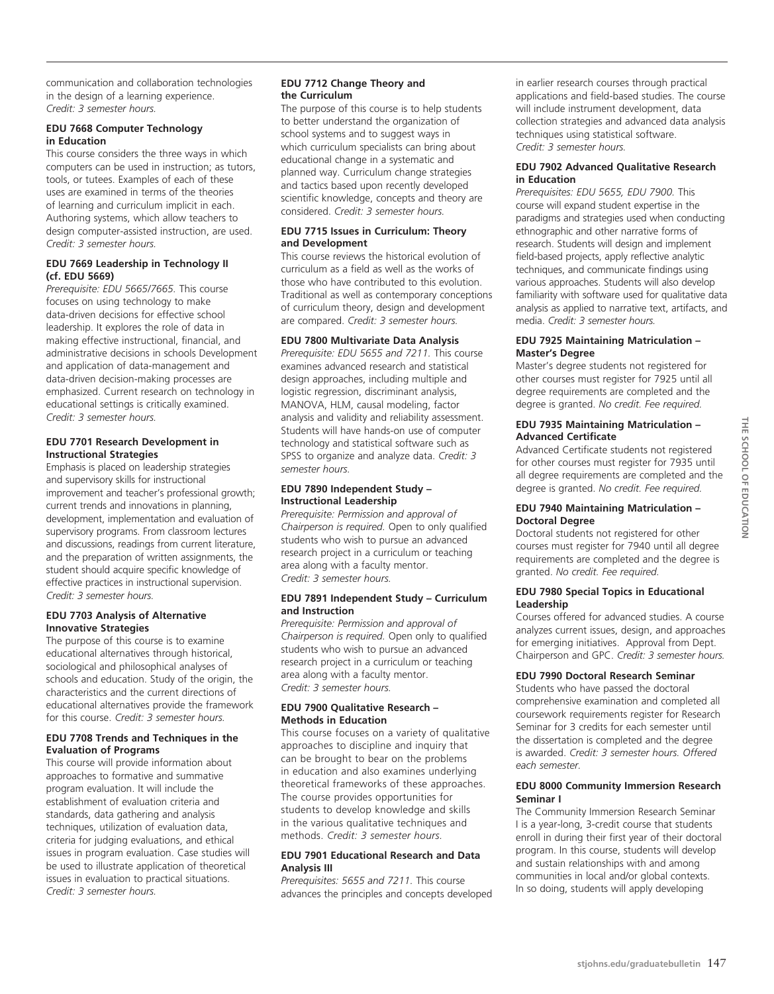communication and collaboration technologies in the design of a learning experience. *Credit: 3 semester hours.*

#### **EDU 7668 Computer Technology in Education**

This course considers the three ways in which computers can be used in instruction; as tutors, tools, or tutees. Examples of each of these uses are examined in terms of the theories of learning and curriculum implicit in each. Authoring systems, which allow teachers to design computer-assisted instruction, are used. *Credit: 3 semester hours.*

#### **EDU 7669 Leadership in Technology II (cf. EDU 5669)**

*Prerequisite: EDU 5665/7665.* This course focuses on using technology to make data-driven decisions for effective school leadership. It explores the role of data in making effective instructional, financial, and administrative decisions in schools Development and application of data-management and data-driven decision-making processes are emphasized. Current research on technology in educational settings is critically examined. *Credit: 3 semester hours.* 

#### **EDU 7701 Research Development in Instructional Strategies**

Emphasis is placed on leadership strategies and supervisory skills for instructional improvement and teacher's professional growth; current trends and innovations in planning, development, implementation and evaluation of supervisory programs. From classroom lectures and discussions, readings from current literature, and the preparation of written assignments, the student should acquire specific knowledge of effective practices in instructional supervision. *Credit: 3 semester hours.*

#### **EDU 7703 Analysis of Alternative Innovative Strategies**

The purpose of this course is to examine educational alternatives through historical, sociological and philosophical analyses of schools and education. Study of the origin, the characteristics and the current directions of educational alternatives provide the framework for this course. *Credit: 3 semester hours.*

#### **EDU 7708 Trends and Techniques in the Evaluation of Programs**

This course will provide information about approaches to formative and summative program evaluation. It will include the establishment of evaluation criteria and standards, data gathering and analysis techniques, utilization of evaluation data, criteria for judging evaluations, and ethical issues in program evaluation. Case studies will be used to illustrate application of theoretical issues in evaluation to practical situations. *Credit: 3 semester hours.*

## **EDU 7712 Change Theory and the Curriculum**

The purpose of this course is to help students to better understand the organization of school systems and to suggest ways in which curriculum specialists can bring about educational change in a systematic and planned way. Curriculum change strategies and tactics based upon recently developed scientific knowledge, concepts and theory are considered. *Credit: 3 semester hours.* 

#### **EDU 7715 Issues in Curriculum: Theory and Development**

This course reviews the historical evolution of curriculum as a field as well as the works of those who have contributed to this evolution. Traditional as well as contemporary conceptions of curriculum theory, design and development are compared. *Credit: 3 semester hours.*

#### **EDU 7800 Multivariate Data Analysis**

*Prerequisite: EDU 5655 and 7211.* This course examines advanced research and statistical design approaches, including multiple and logistic regression, discriminant analysis, MANOVA, HLM, causal modeling, factor analysis and validity and reliability assessment. Students will have hands-on use of computer technology and statistical software such as SPSS to organize and analyze data. *Credit: 3 semester hours.*

#### **EDU 7890 Independent Study – Instructional Leadership**

*Prerequisite: Permission and approval of Chairperson is required.* Open to only qualified students who wish to pursue an advanced research project in a curriculum or teaching area along with a faculty mentor. *Credit: 3 semester hours.* 

#### **EDU 7891 Independent Study – Curriculum and Instruction**

*Prerequisite: Permission and approval of Chairperson is required.* Open only to qualified students who wish to pursue an advanced research project in a curriculum or teaching area along with a faculty mentor. *Credit: 3 semester hours.*

#### **EDU 7900 Qualitative Research – Methods in Education**

This course focuses on a variety of qualitative approaches to discipline and inquiry that can be brought to bear on the problems in education and also examines underlying theoretical frameworks of these approaches. The course provides opportunities for students to develop knowledge and skills in the various qualitative techniques and methods. *Credit: 3 semester hours.*

#### **EDU 7901 Educational Research and Data Analysis III**

*Prerequisites: 5655 and 7211.* This course advances the principles and concepts developed

in earlier research courses through practical applications and field-based studies. The course will include instrument development, data collection strategies and advanced data analysis techniques using statistical software. *Credit: 3 semester hours.*

#### **EDU 7902 Advanced Qualitative Research in Education**

*Prerequisites: EDU 5655, EDU 7900.* This course will expand student expertise in the paradigms and strategies used when conducting ethnographic and other narrative forms of research. Students will design and implement field-based projects, apply reflective analytic techniques, and communicate findings using various approaches. Students will also develop familiarity with software used for qualitative data analysis as applied to narrative text, artifacts, and media. *Credit: 3 semester hours.*

#### **EDU 7925 Maintaining Matriculation – Master's Degree**

Master's degree students not registered for other courses must register for 7925 until all degree requirements are completed and the degree is granted. *No credit. Fee required.*

#### **EDU 7935 Maintaining Matriculation – Advanced Certificate**

Advanced Certificate students not registered for other courses must register for 7935 until all degree requirements are completed and the degree is granted. *No credit. Fee required.*

#### **EDU 7940 Maintaining Matriculation – Doctoral Degree**

Doctoral students not registered for other courses must register for 7940 until all degree requirements are completed and the degree is granted. *No credit. Fee required.* 

#### **EDU 7980 Special Topics in Educational Leadership**

Courses offered for advanced studies. A course analyzes current issues, design, and approaches for emerging initiatives. Approval from Dept. Chairperson and GPC. *Credit: 3 semester hours.*

#### **EDU 7990 Doctoral Research Seminar**

Students who have passed the doctoral comprehensive examination and completed all coursework requirements register for Research Seminar for 3 credits for each semester until the dissertation is completed and the degree is awarded. *Credit: 3 semester hours. Offered each semester.*

#### **EDU 8000 Community Immersion Research Seminar I**

The Community Immersion Research Seminar I is a year-long, 3-credit course that students enroll in during their first year of their doctoral program. In this course, students will develop and sustain relationships with and among communities in local and/or global contexts. In so doing, students will apply developing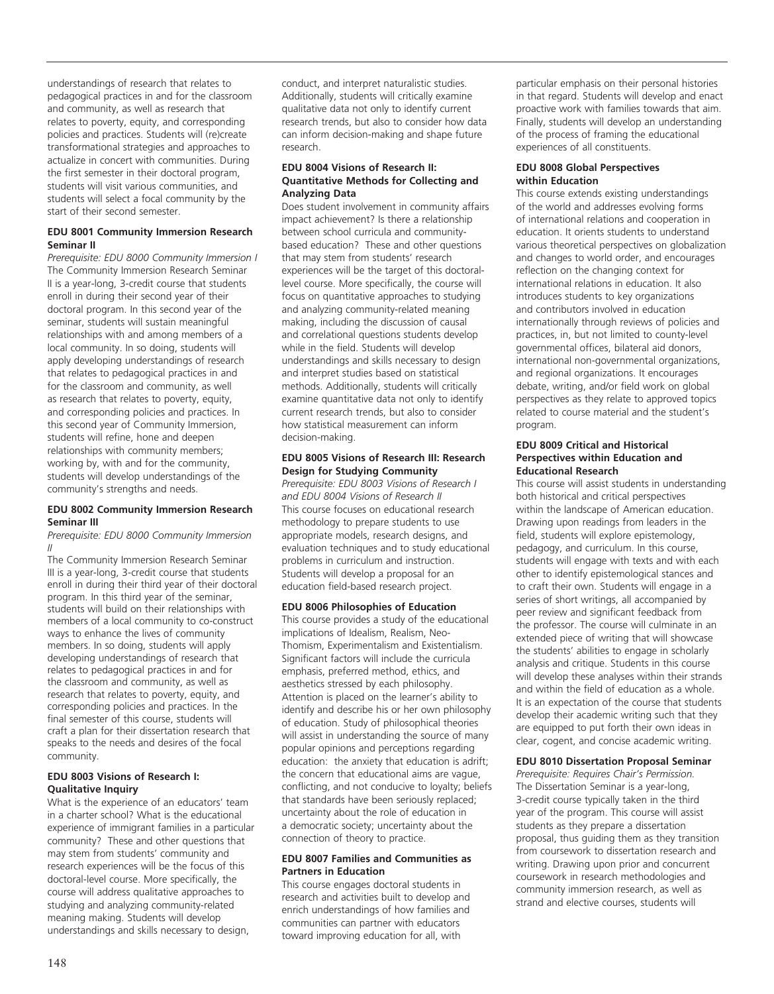understandings of research that relates to pedagogical practices in and for the classroom and community, as well as research that relates to poverty, equity, and corresponding policies and practices. Students will (re)create transformational strategies and approaches to actualize in concert with communities. During the first semester in their doctoral program, students will visit various communities, and students will select a focal community by the start of their second semester.

#### **EDU 8001 Community Immersion Research Seminar II**

*Prerequisite: EDU 8000 Community Immersion I* The Community Immersion Research Seminar II is a year-long, 3-credit course that students enroll in during their second year of their doctoral program. In this second year of the seminar, students will sustain meaningful relationships with and among members of a local community. In so doing, students will apply developing understandings of research that relates to pedagogical practices in and for the classroom and community, as well as research that relates to poverty, equity, and corresponding policies and practices. In this second year of Community Immersion, students will refine, hone and deepen relationships with community members; working by, with and for the community, students will develop understandings of the community's strengths and needs.

#### **EDU 8002 Community Immersion Research Seminar III**

*Prerequisite: EDU 8000 Community Immersion II*

The Community Immersion Research Seminar III is a year-long, 3-credit course that students enroll in during their third year of their doctoral program. In this third year of the seminar, students will build on their relationships with members of a local community to co-construct ways to enhance the lives of community members. In so doing, students will apply developing understandings of research that relates to pedagogical practices in and for the classroom and community, as well as research that relates to poverty, equity, and corresponding policies and practices. In the final semester of this course, students will craft a plan for their dissertation research that speaks to the needs and desires of the focal community.

#### **EDU 8003 Visions of Research I: Qualitative Inquiry**

What is the experience of an educators' team in a charter school? What is the educational experience of immigrant families in a particular community? These and other questions that may stem from students' community and research experiences will be the focus of this doctoral-level course. More specifically, the course will address qualitative approaches to studying and analyzing community-related meaning making. Students will develop understandings and skills necessary to design,

conduct, and interpret naturalistic studies. Additionally, students will critically examine qualitative data not only to identify current research trends, but also to consider how data can inform decision-making and shape future research.

#### **EDU 8004 Visions of Research II: Quantitative Methods for Collecting and Analyzing Data**

Does student involvement in community affairs impact achievement? Is there a relationship between school curricula and communitybased education? These and other questions that may stem from students' research experiences will be the target of this doctorallevel course. More specifically, the course will focus on quantitative approaches to studying and analyzing community-related meaning making, including the discussion of causal and correlational questions students develop while in the field. Students will develop understandings and skills necessary to design and interpret studies based on statistical methods. Additionally, students will critically examine quantitative data not only to identify current research trends, but also to consider how statistical measurement can inform decision-making.

#### **EDU 8005 Visions of Research III: Research Design for Studying Community**

*Prerequisite: EDU 8003 Visions of Research I and EDU 8004 Visions of Research II* This course focuses on educational research methodology to prepare students to use appropriate models, research designs, and evaluation techniques and to study educational problems in curriculum and instruction. Students will develop a proposal for an education field-based research project.

#### **EDU 8006 Philosophies of Education**

This course provides a study of the educational implications of Idealism, Realism, Neo-Thomism, Experimentalism and Existentialism. Significant factors will include the curricula emphasis, preferred method, ethics, and aesthetics stressed by each philosophy. Attention is placed on the learner's ability to identify and describe his or her own philosophy of education. Study of philosophical theories will assist in understanding the source of many popular opinions and perceptions regarding education: the anxiety that education is adrift; the concern that educational aims are vague, conflicting, and not conducive to loyalty; beliefs that standards have been seriously replaced; uncertainty about the role of education in a democratic society; uncertainty about the connection of theory to practice.

#### **EDU 8007 Families and Communities as Partners in Education**

This course engages doctoral students in research and activities built to develop and enrich understandings of how families and communities can partner with educators toward improving education for all, with

particular emphasis on their personal histories in that regard. Students will develop and enact proactive work with families towards that aim. Finally, students will develop an understanding of the process of framing the educational experiences of all constituents.

#### **EDU 8008 Global Perspectives within Education**

This course extends existing understandings of the world and addresses evolving forms of international relations and cooperation in education. It orients students to understand various theoretical perspectives on globalization and changes to world order, and encourages reflection on the changing context for international relations in education. It also introduces students to key organizations and contributors involved in education internationally through reviews of policies and practices, in, but not limited to county-level governmental offices, bilateral aid donors, international non-governmental organizations, and regional organizations. It encourages debate, writing, and/or field work on global perspectives as they relate to approved topics related to course material and the student's program.

#### **EDU 8009 Critical and Historical Perspectives within Education and Educational Research**

This course will assist students in understanding both historical and critical perspectives within the landscape of American education. Drawing upon readings from leaders in the field, students will explore epistemology, pedagogy, and curriculum. In this course, students will engage with texts and with each other to identify epistemological stances and to craft their own. Students will engage in a series of short writings, all accompanied by peer review and significant feedback from the professor. The course will culminate in an extended piece of writing that will showcase the students' abilities to engage in scholarly analysis and critique. Students in this course will develop these analyses within their strands and within the field of education as a whole. It is an expectation of the course that students develop their academic writing such that they are equipped to put forth their own ideas in clear, cogent, and concise academic writing.

#### **EDU 8010 Dissertation Proposal Seminar**

*Prerequisite: Requires Chair's Permission.* The Dissertation Seminar is a year-long, 3-credit course typically taken in the third year of the program. This course will assist students as they prepare a dissertation proposal, thus guiding them as they transition from coursework to dissertation research and writing. Drawing upon prior and concurrent coursework in research methodologies and community immersion research, as well as strand and elective courses, students will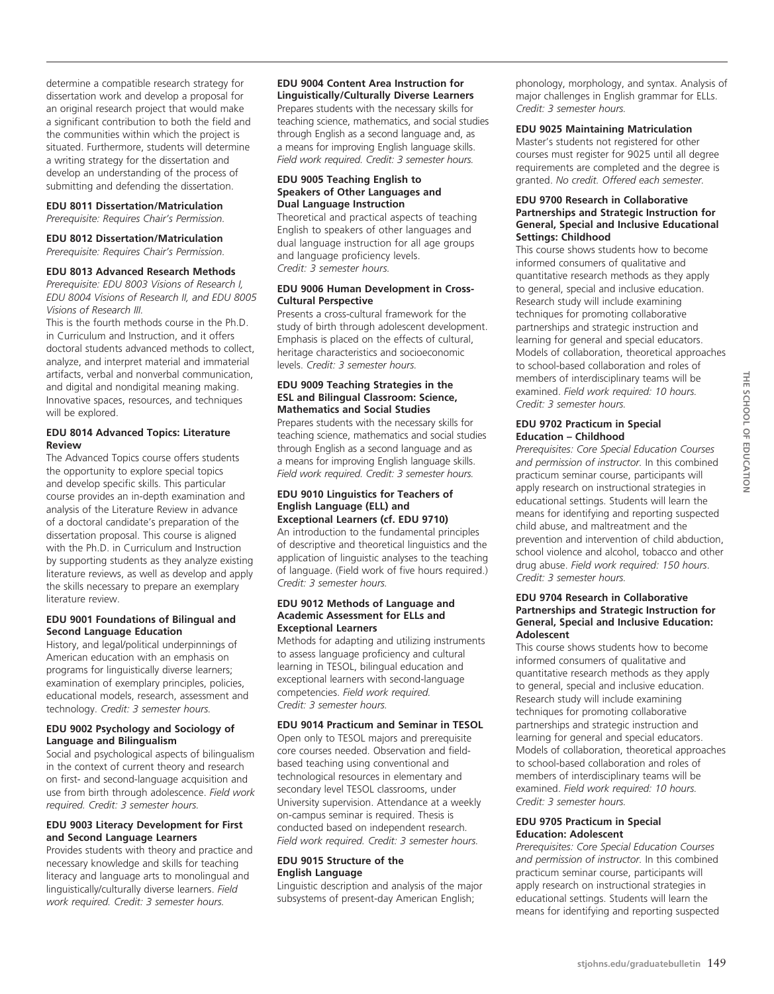determine a compatible research strategy for dissertation work and develop a proposal for an original research project that would make a significant contribution to both the field and the communities within which the project is situated. Furthermore, students will determine a writing strategy for the dissertation and develop an understanding of the process of submitting and defending the dissertation.

#### **EDU 8011 Dissertation/Matriculation**

*Prerequisite: Requires Chair's Permission.*

#### **EDU 8012 Dissertation/Matriculation**

*Prerequisite: Requires Chair's Permission.*

#### **EDU 8013 Advanced Research Methods**

*Prerequisite: EDU 8003 Visions of Research I, EDU 8004 Visions of Research II, and EDU 8005 Visions of Research III.*

This is the fourth methods course in the Ph.D. in Curriculum and Instruction, and it offers doctoral students advanced methods to collect, analyze, and interpret material and immaterial artifacts, verbal and nonverbal communication, and digital and nondigital meaning making. Innovative spaces, resources, and techniques will be explored.

#### **EDU 8014 Advanced Topics: Literature Review**

The Advanced Topics course offers students the opportunity to explore special topics and develop specific skills. This particular course provides an in-depth examination and analysis of the Literature Review in advance of a doctoral candidate's preparation of the dissertation proposal. This course is aligned with the Ph.D. in Curriculum and Instruction by supporting students as they analyze existing literature reviews, as well as develop and apply the skills necessary to prepare an exemplary literature review.

#### **EDU 9001 Foundations of Bilingual and Second Language Education**

History, and legal/political underpinnings of American education with an emphasis on programs for linguistically diverse learners; examination of exemplary principles, policies, educational models, research, assessment and technology. *Credit: 3 semester hours.*

#### **EDU 9002 Psychology and Sociology of Language and Bilingualism**

Social and psychological aspects of bilingualism in the context of current theory and research on first- and second-language acquisition and use from birth through adolescence. *Field work required. Credit: 3 semester hours.*

#### **EDU 9003 Literacy Development for First and Second Language Learners**

Provides students with theory and practice and necessary knowledge and skills for teaching literacy and language arts to monolingual and linguistically/culturally diverse learners. *Field work required. Credit: 3 semester hours.*

#### **EDU 9004 Content Area Instruction for Linguistically/Culturally Diverse Learners**  Prepares students with the necessary skills for teaching science, mathematics, and social studies

through English as a second language and, as a means for improving English language skills. *Field work required. Credit: 3 semester hours.*

#### **EDU 9005 Teaching English to Speakers of Other Languages and Dual Language Instruction**

Theoretical and practical aspects of teaching English to speakers of other languages and dual language instruction for all age groups and language proficiency levels. *Credit: 3 semester hours.*

#### **EDU 9006 Human Development in Cross-Cultural Perspective**

Presents a cross-cultural framework for the study of birth through adolescent development. Emphasis is placed on the effects of cultural, heritage characteristics and socioeconomic levels. *Credit: 3 semester hours.*

#### **EDU 9009 Teaching Strategies in the ESL and Bilingual Classroom: Science, Mathematics and Social Studies**

Prepares students with the necessary skills for teaching science, mathematics and social studies through English as a second language and as a means for improving English language skills. *Field work required. Credit: 3 semester hours.*

#### **EDU 9010 Linguistics for Teachers of English Language (ELL) and Exceptional Learners (cf. EDU 9710)**

An introduction to the fundamental principles of descriptive and theoretical linguistics and the application of linguistic analyses to the teaching of language. (Field work of five hours required.) *Credit: 3 semester hours.*

#### **EDU 9012 Methods of Language and Academic Assessment for ELLs and Exceptional Learners**

Methods for adapting and utilizing instruments to assess language proficiency and cultural learning in TESOL, bilingual education and exceptional learners with second-language competencies. *Field work required. Credit: 3 semester hours.*

#### **EDU 9014 Practicum and Seminar in TESOL**

Open only to TESOL majors and prerequisite core courses needed. Observation and fieldbased teaching using conventional and technological resources in elementary and secondary level TESOL classrooms, under University supervision. Attendance at a weekly on-campus seminar is required. Thesis is conducted based on independent research*. Field work required. Credit: 3 semester hours.*

#### **EDU 9015 Structure of the English Language**

Linguistic description and analysis of the major subsystems of present-day American English;

phonology, morphology, and syntax. Analysis of major challenges in English grammar for ELLs. *Credit: 3 semester hours.* 

#### **EDU 9025 Maintaining Matriculation**

Master's students not registered for other courses must register for 9025 until all degree requirements are completed and the degree is granted. *No credit. Offered each semester.*

#### **EDU 9700 Research in Collaborative Partnerships and Strategic Instruction for General, Special and Inclusive Educational Settings: Childhood**

This course shows students how to become informed consumers of qualitative and quantitative research methods as they apply to general, special and inclusive education. Research study will include examining techniques for promoting collaborative partnerships and strategic instruction and learning for general and special educators. Models of collaboration, theoretical approaches to school-based collaboration and roles of members of interdisciplinary teams will be examined. *Field work required: 10 hours. Credit: 3 semester hours.* 

#### **EDU 9702 Practicum in Special Education – Childhood**

*Prerequisites: Core Special Education Courses and permission of instructor.* In this combined practicum seminar course, participants will apply research on instructional strategies in educational settings. Students will learn the means for identifying and reporting suspected child abuse, and maltreatment and the prevention and intervention of child abduction, school violence and alcohol, tobacco and other drug abuse. *Field work required: 150 hours*. *Credit: 3 semester hours.*

#### **EDU 9704 Research in Collaborative Partnerships and Strategic Instruction for General, Special and Inclusive Education: Adolescent**

This course shows students how to become informed consumers of qualitative and quantitative research methods as they apply to general, special and inclusive education. Research study will include examining techniques for promoting collaborative partnerships and strategic instruction and learning for general and special educators. Models of collaboration, theoretical approaches to school-based collaboration and roles of members of interdisciplinary teams will be examined. *Field work required: 10 hours. Credit: 3 semester hours.*

#### **EDU 9705 Practicum in Special Education: Adolescent**

*Prerequisites: Core Special Education Courses and permission of instructor.* In this combined practicum seminar course, participants will apply research on instructional strategies in educational settings. Students will learn the means for identifying and reporting suspected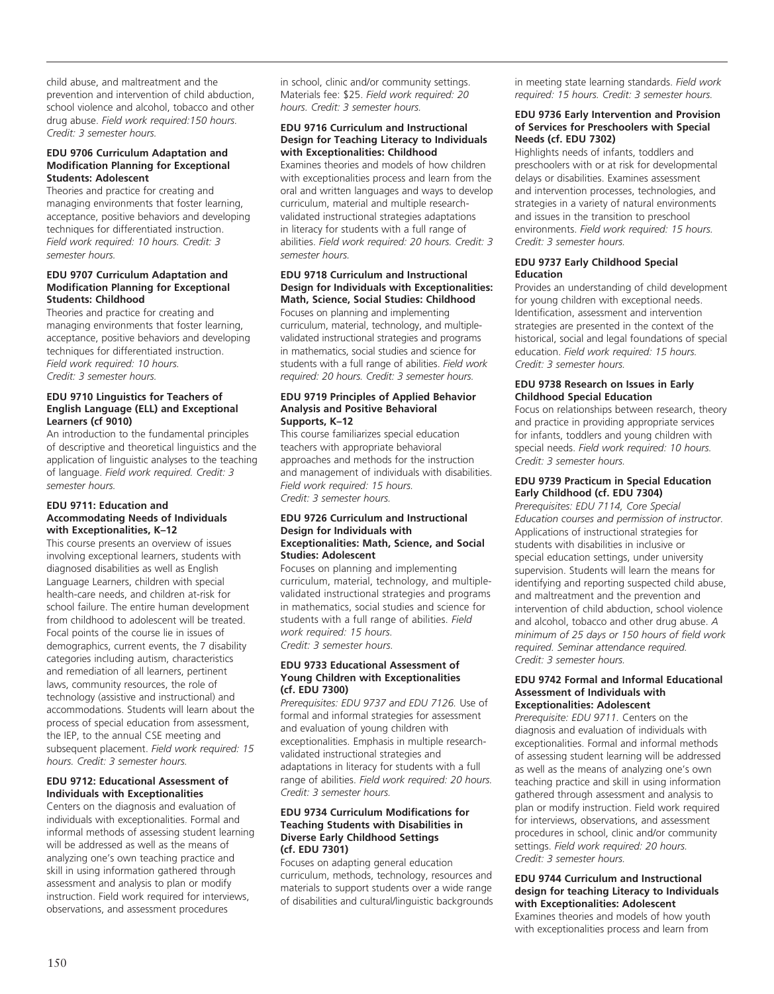child abuse, and maltreatment and the prevention and intervention of child abduction, school violence and alcohol, tobacco and other drug abuse. *Field work required:150 hours. Credit: 3 semester hours.*

#### **EDU 9706 Curriculum Adaptation and Modification Planning for Exceptional Students: Adolescent**

Theories and practice for creating and managing environments that foster learning, acceptance, positive behaviors and developing techniques for differentiated instruction. *Field work required: 10 hours. Credit: 3 semester hours.*

#### **EDU 9707 Curriculum Adaptation and Modification Planning for Exceptional Students: Childhood**

Theories and practice for creating and managing environments that foster learning, acceptance, positive behaviors and developing techniques for differentiated instruction. *Field work required: 10 hours. Credit: 3 semester hours.* 

#### **EDU 9710 Linguistics for Teachers of English Language (ELL) and Exceptional Learners (cf 9010)**

An introduction to the fundamental principles of descriptive and theoretical linguistics and the application of linguistic analyses to the teaching of language. *Field work required. Credit: 3 semester hours.*

#### **EDU 9711: Education and Accommodating Needs of Individuals with Exceptionalities, K–12**

This course presents an overview of issues involving exceptional learners, students with diagnosed disabilities as well as English Language Learners, children with special health-care needs, and children at-risk for school failure. The entire human development from childhood to adolescent will be treated. Focal points of the course lie in issues of demographics, current events, the 7 disability categories including autism, characteristics and remediation of all learners, pertinent laws, community resources, the role of technology (assistive and instructional) and accommodations. Students will learn about the process of special education from assessment, the IEP, to the annual CSE meeting and subsequent placement. *Field work required: 15 hours. Credit: 3 semester hours.*

#### **EDU 9712: Educational Assessment of Individuals with Exceptionalities**

Centers on the diagnosis and evaluation of individuals with exceptionalities. Formal and informal methods of assessing student learning will be addressed as well as the means of analyzing one's own teaching practice and skill in using information gathered through assessment and analysis to plan or modify instruction. Field work required for interviews, observations, and assessment procedures

in school, clinic and/or community settings. Materials fee: \$25. *Field work required: 20 hours. Credit: 3 semester hours.*

#### **EDU 9716 Curriculum and Instructional Design for Teaching Literacy to Individuals with Exceptionalities: Childhood**

Examines theories and models of how children with exceptionalities process and learn from the oral and written languages and ways to develop curriculum, material and multiple researchvalidated instructional strategies adaptations in literacy for students with a full range of abilities. *Field work required: 20 hours. Credit: 3 semester hours.* 

#### **EDU 9718 Curriculum and Instructional Design for Individuals with Exceptionalities: Math, Science, Social Studies: Childhood**

Focuses on planning and implementing curriculum, material, technology, and multiplevalidated instructional strategies and programs in mathematics, social studies and science for students with a full range of abilities. *Field work required: 20 hours. Credit: 3 semester hours.* 

#### **EDU 9719 Principles of Applied Behavior Analysis and Positive Behavioral Supports, K–12**

This course familiarizes special education teachers with appropriate behavioral approaches and methods for the instruction and management of individuals with disabilities. *Field work required: 15 hours. Credit: 3 semester hours.*

#### **EDU 9726 Curriculum and Instructional Design for Individuals with Exceptionalities: Math, Science, and Social Studies: Adolescent**

Focuses on planning and implementing curriculum, material, technology, and multiplevalidated instructional strategies and programs in mathematics, social studies and science for students with a full range of abilities. *Field work required: 15 hours. Credit: 3 semester hours.* 

#### **EDU 9733 Educational Assessment of Young Children with Exceptionalities (cf. EDU 7300)**

*Prerequisites: EDU 9737 and EDU 7126.* Use of formal and informal strategies for assessment and evaluation of young children with exceptionalities. Emphasis in multiple researchvalidated instructional strategies and adaptations in literacy for students with a full range of abilities. *Field work required: 20 hours. Credit: 3 semester hours.* 

#### **EDU 9734 Curriculum Modifications for Teaching Students with Disabilities in Diverse Early Childhood Settings (cf. EDU 7301)**

Focuses on adapting general education curriculum, methods, technology, resources and materials to support students over a wide range of disabilities and cultural/linguistic backgrounds

in meeting state learning standards. *Field work required: 15 hours. Credit: 3 semester hours.* 

#### **EDU 9736 Early Intervention and Provision of Services for Preschoolers with Special Needs (cf. EDU 7302)**

Highlights needs of infants, toddlers and preschoolers with or at risk for developmental delays or disabilities. Examines assessment and intervention processes, technologies, and strategies in a variety of natural environments and issues in the transition to preschool environments. *Field work required: 15 hours. Credit: 3 semester hours.* 

#### **EDU 9737 Early Childhood Special Education**

Provides an understanding of child development for young children with exceptional needs. Identification, assessment and intervention strategies are presented in the context of the historical, social and legal foundations of special education. *Field work required: 15 hours. Credit: 3 semester hours.*

#### **EDU 9738 Research on Issues in Early Childhood Special Education**

Focus on relationships between research, theory and practice in providing appropriate services for infants, toddlers and young children with special needs. *Field work required: 10 hours. Credit: 3 semester hours.* 

#### **EDU 9739 Practicum in Special Education Early Childhood (cf. EDU 7304)**

*Prerequisites: EDU 7114, Core Special Education courses and permission of instructor.* Applications of instructional strategies for students with disabilities in inclusive or special education settings, under university supervision. Students will learn the means for identifying and reporting suspected child abuse, and maltreatment and the prevention and intervention of child abduction, school violence and alcohol, tobacco and other drug abuse. *A minimum of 25 days or 150 hours of field work required. Seminar attendance required. Credit: 3 semester hours.*

#### **EDU 9742 Formal and Informal Educational Assessment of Individuals with Exceptionalities: Adolescent**

*Prerequisite: EDU 9711.* Centers on the diagnosis and evaluation of individuals with exceptionalities. Formal and informal methods of assessing student learning will be addressed as well as the means of analyzing one's own teaching practice and skill in using information gathered through assessment and analysis to plan or modify instruction. Field work required for interviews, observations, and assessment procedures in school, clinic and/or community settings. *Field work required: 20 hours. Credit: 3 semester hours.* 

#### **EDU 9744 Curriculum and Instructional design for teaching Literacy to Individuals with Exceptionalities: Adolescent**

Examines theories and models of how youth with exceptionalities process and learn from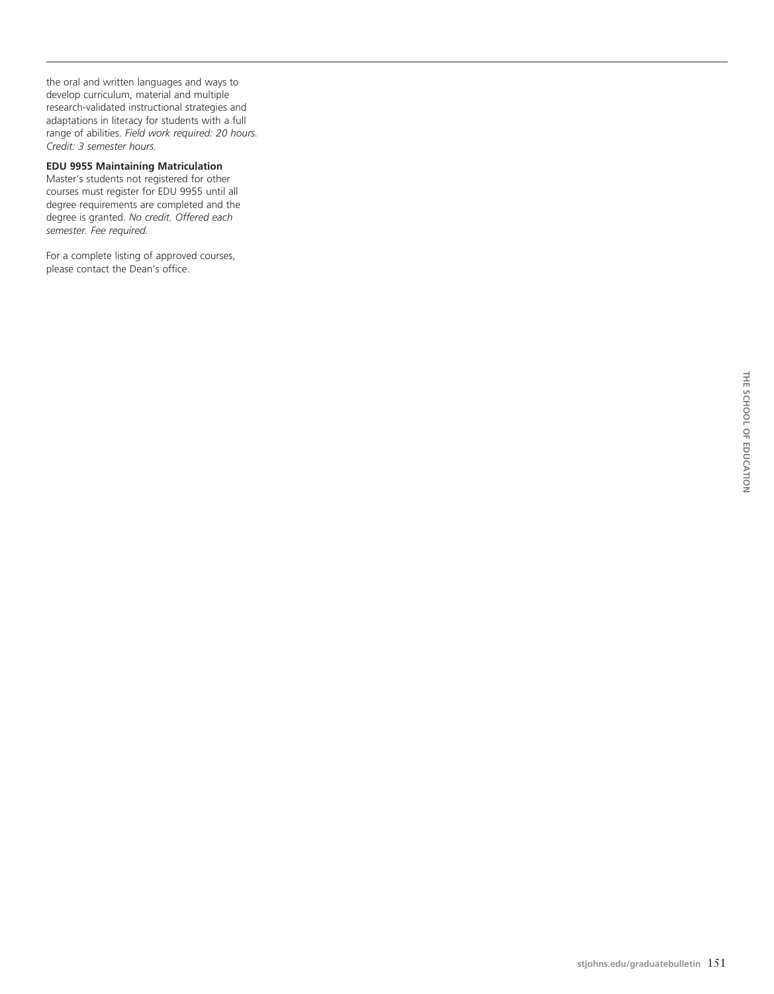the oral and written languages and ways to develop curriculum, material and multiple research-validated instructional strategies and adaptations in literacy for students with a full range of abilities. *Field work required: 20 hours. Credit: 3 semester hours.* 

#### **EDU 9955 Maintaining Matriculation**

Master's students not registered for other courses must register for EDU 9955 until all degree requirements are completed and the degree is granted. *No credit. Offered each semester. Fee required.*

For a complete listing of approved courses, please contact the Dean's office.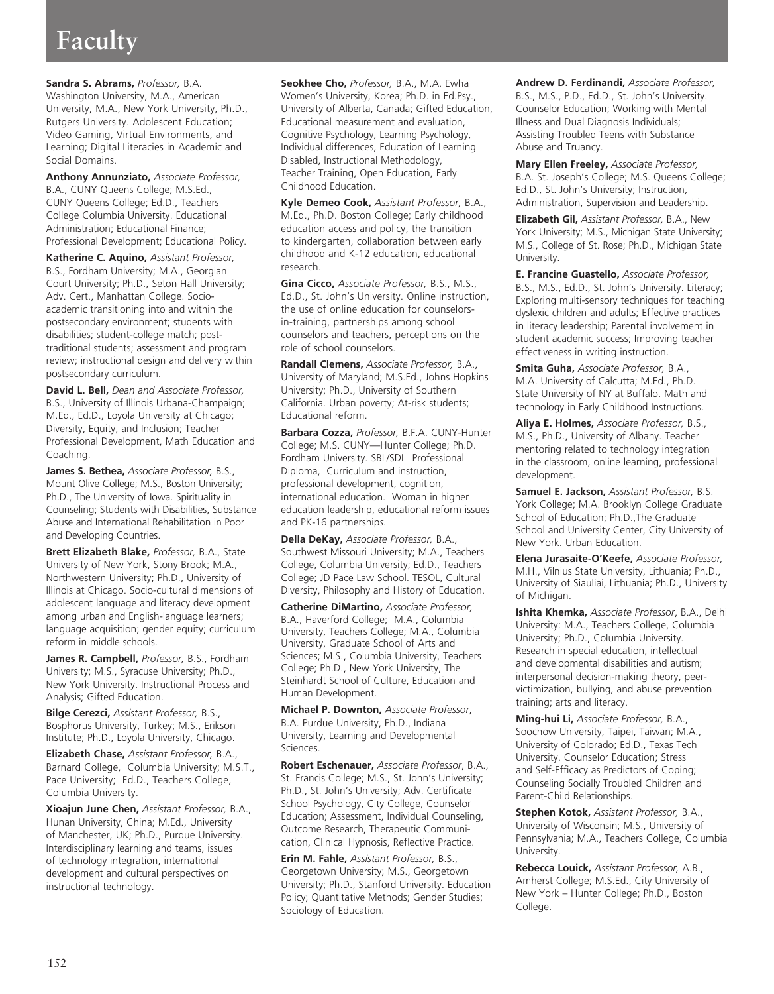# **Faculty**

**Sandra S. Abrams,** *Professor,* B.A. Washington University, M.A., American University, M.A., New York University, Ph.D., Rutgers University. Adolescent Education; Video Gaming, Virtual Environments, and Learning; Digital Literacies in Academic and Social Domains.

**Anthony Annunziato,** *Associate Professor,*  B.A., CUNY Queens College; M.S.Ed., CUNY Queens College; Ed.D., Teachers College Columbia University. Educational Administration; Educational Finance; Professional Development; Educational Policy.

**Katherine C. Aquino,** *Assistant Professor,*  B.S., Fordham University; M.A., Georgian Court University; Ph.D., Seton Hall University; Adv. Cert., Manhattan College. Socioacademic transitioning into and within the postsecondary environment; students with disabilities; student-college match; posttraditional students; assessment and program review; instructional design and delivery within postsecondary curriculum.

**David L. Bell,** *Dean and Associate Professor,* B.S., University of Illinois Urbana-Champaign; M.Ed., Ed.D., Loyola University at Chicago; Diversity, Equity, and Inclusion; Teacher Professional Development, Math Education and Coaching.

**James S. Bethea,** *Associate Professor,* B.S., Mount Olive College; M.S., Boston University; Ph.D., The University of Iowa. Spirituality in Counseling; Students with Disabilities, Substance Abuse and International Rehabilitation in Poor and Developing Countries.

**Brett Elizabeth Blake,** *Professor,* B.A., State University of New York, Stony Brook; M.A., Northwestern University; Ph.D., University of Illinois at Chicago. Socio-cultural dimensions of adolescent language and literacy development among urban and English-language learners; language acquisition; gender equity; curriculum reform in middle schools.

**James R. Campbell,** *Professor,* B.S., Fordham University; M.S., Syracuse University; Ph.D., New York University. Instructional Process and Analysis; Gifted Education.

**Bilge Cerezci,** *Assistant Professor,* B.S., Bosphorus University, Turkey; M.S., Erikson Institute; Ph.D., Loyola University, Chicago.

**Elizabeth Chase,** *Assistant Professor,* B.A., Barnard College, Columbia University; M.S.T., Pace University; Ed.D., Teachers College, Columbia University.

**Xioajun June Chen,** *Assistant Professor,* B.A., Hunan University, China; M.Ed., University of Manchester, UK; Ph.D., Purdue University. Interdisciplinary learning and teams, issues of technology integration, international development and cultural perspectives on instructional technology.

**Seokhee Cho,** *Professor,* B.A., M.A. Ewha Women's University, Korea; Ph.D. in Ed.Psy., University of Alberta, Canada; Gifted Education, Educational measurement and evaluation, Cognitive Psychology, Learning Psychology, Individual differences, Education of Learning Disabled, Instructional Methodology, Teacher Training, Open Education, Early Childhood Education.

**Kyle Demeo Cook,** *Assistant Professor,* B.A., M.Ed., Ph.D. Boston College; Early childhood education access and policy, the transition to kindergarten, collaboration between early childhood and K-12 education, educational research.

**Gina Cicco,** *Associate Professor,* B.S., M.S., Ed.D., St. John's University. Online instruction, the use of online education for counselorsin-training, partnerships among school counselors and teachers, perceptions on the role of school counselors.

**Randall Clemens,** *Associate Professor,* B.A., University of Maryland; M.S.Ed., Johns Hopkins University; Ph.D., University of Southern California. Urban poverty; At-risk students; Educational reform.

**Barbara Cozza,** *Professor,* B.F.A. CUNY-Hunter College; M.S. CUNY—Hunter College; Ph.D. Fordham University. SBL/SDL Professional Diploma, Curriculum and instruction, professional development, cognition, international education. Woman in higher education leadership, educational reform issues and PK-16 partnership*s.*

**Della DeKay,** *Associate Professor,* B.A., Southwest Missouri University; M.A., Teachers College, Columbia University; Ed.D., Teachers College; JD Pace Law School. TESOL, Cultural Diversity, Philosophy and History of Education.

**Catherine DiMartino,** *Associate Professor,*  B.A., Haverford College; M.A., Columbia University, Teachers College; M.A., Columbia University, Graduate School of Arts and Sciences; M.S., Columbia University, Teachers College; Ph.D., New York University, The Steinhardt School of Culture, Education and Human Development.

**Michael P. Downton,** *Associate Professor*, B.A. Purdue University, Ph.D., Indiana University, Learning and Developmental Sciences.

**Robert Eschenauer,** *Associate Professor*, B.A., St. Francis College; M.S., St. John's University; Ph.D., St. John's University; Adv. Certificate School Psychology, City College, Counselor Education; Assessment, Individual Counseling, Outcome Research, Therapeutic Communication, Clinical Hypnosis, Reflective Practice.

**Erin M. Fahle,** *Assistant Professor,* B.S., Georgetown University; M.S., Georgetown University; Ph.D., Stanford University. Education Policy; Quantitative Methods; Gender Studies; Sociology of Education.

**Andrew D. Ferdinandi,** *Associate Professor,*  B.S., M.S., P.D., Ed.D., St. John's University. Counselor Education; Working with Mental Illness and Dual Diagnosis Individuals; Assisting Troubled Teens with Substance Abuse and Truancy.

**Mary Ellen Freeley,** *Associate Professor,*  B.A. St. Joseph's College; M.S. Queens College; Ed.D., St. John's University; Instruction, Administration, Supervision and Leadership.

**Elizabeth Gil,** *Assistant Professor,* B.A., New York University; M.S., Michigan State University; M.S., College of St. Rose; Ph.D., Michigan State University.

**E. Francine Guastello,** *Associate Professor,*  B.S., M.S., Ed.D., St. John's University. Literacy; Exploring multi-sensory techniques for teaching dyslexic children and adults; Effective practices in literacy leadership; Parental involvement in student academic success; Improving teacher effectiveness in writing instruction.

**Smita Guha,** *Associate Professor,* B.A., M.A. University of Calcutta; M.Ed., Ph.D. State University of NY at Buffalo. Math and technology in Early Childhood Instructions.

**Aliya E. Holmes,** *Associate Professor,* B.S., M.S., Ph.D., University of Albany. Teacher mentoring related to technology integration in the classroom, online learning, professional development.

**Samuel E. Jackson,** *Assistant Professor,* B.S. York College; M.A. Brooklyn College Graduate School of Education; Ph.D.,The Graduate School and University Center, City University of New York. Urban Education.

**Elena Jurasaite-O'Keefe,** *Associate Professor,* M.H., Vilnius State University, Lithuania; Ph.D., University of Siauliai, Lithuania; Ph.D., University of Michigan.

**Ishita Khemka,** *Associate Professor*, B.A., Delhi University: M.A., Teachers College, Columbia University; Ph.D., Columbia University. Research in special education, intellectual and developmental disabilities and autism; interpersonal decision-making theory, peervictimization, bullying, and abuse prevention training; arts and literacy.

**Ming-hui Li,** *Associate Professor,* B.A., Soochow University, Taipei, Taiwan; M.A., University of Colorado; Ed.D., Texas Tech University. Counselor Education; Stress and Self-Efficacy as Predictors of Coping; Counseling Socially Troubled Children and Parent-Child Relationships.

**Stephen Kotok,** *Assistant Professor,* B.A., University of Wisconsin; M.S., University of Pennsylvania; M.A., Teachers College, Columbia University.

**Rebecca Louick,** *Assistant Professor,* A.B., Amherst College; M.S.Ed., City University of New York – Hunter College; Ph.D., Boston College.